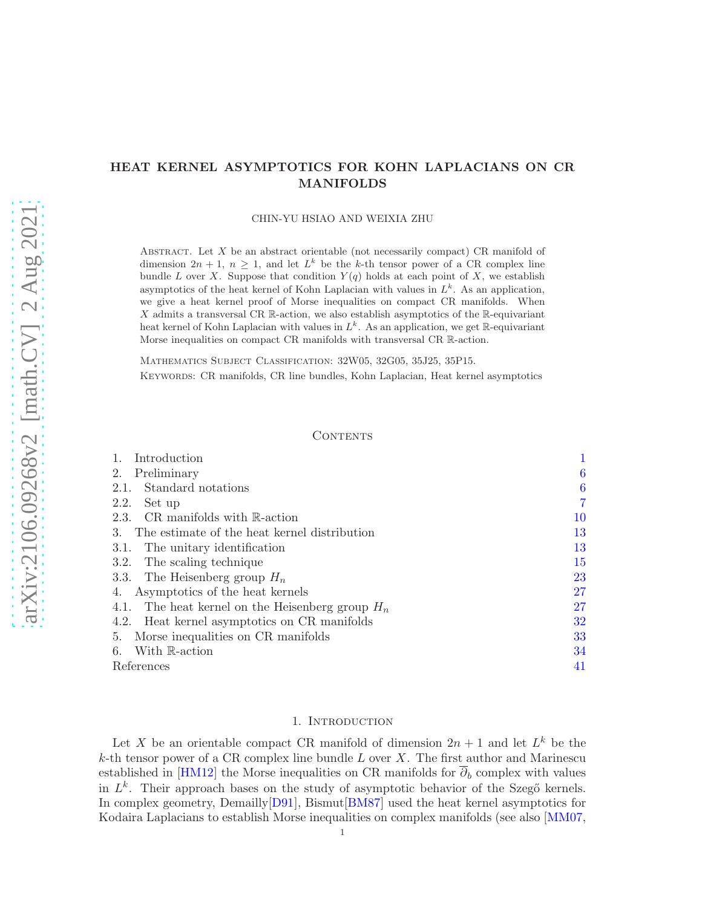## HEAT KERNEL ASYMPTOTICS FOR KOHN LAPLACIANS ON CR MANIFOLDS

CHIN-YU HSIAO AND WEIXIA ZHU

ABSTRACT. Let  $X$  be an abstract orientable (not necessarily compact) CR manifold of dimension  $2n + 1$ ,  $n \geq 1$ , and let  $L^k$  be the k-th tensor power of a CR complex line bundle L over X. Suppose that condition  $Y(q)$  holds at each point of X, we establish asymptotics of the heat kernel of Kohn Laplacian with values in  $L^k$ . As an application, we give a heat kernel proof of Morse inequalities on compact CR manifolds. When X admits a transversal CR  $\mathbb{R}$ -action, we also establish asymptotics of the  $\mathbb{R}$ -equivariant heat kernel of Kohn Laplacian with values in  $L^k$ . As an application, we get R-equivariant Morse inequalities on compact CR manifolds with transversal CR R-action.

Mathematics Subject Classification: 32W05, 32G05, 35J25, 35P15. Keywords: CR manifolds, CR line bundles, Kohn Laplacian, Heat kernel asymptotics

### **CONTENTS**

| Introduction                                       |    |
|----------------------------------------------------|----|
| Preliminary<br>2.                                  | 6  |
| Standard notations<br>2.1.                         | 6  |
| Set up<br>2.2.                                     |    |
| 2.3. CR manifolds with $\mathbb{R}\text{-action}$  | 10 |
| The estimate of the heat kernel distribution<br>3. | 13 |
| 3.1. The unitary identification                    | 13 |
| The scaling technique<br>3.2.                      | 15 |
| 3.3. The Heisenberg group $H_n$                    | 23 |
| Asymptotics of the heat kernels<br>4.              | 27 |
| 4.1. The heat kernel on the Heisenberg group $H_n$ | 27 |
| 4.2. Heat kernel asymptotics on CR manifolds       | 32 |
| 5. Morse inequalities on CR manifolds              | 33 |
| With R-action<br>6.                                | 34 |
| References                                         | 41 |

#### 1. INTRODUCTION

<span id="page-0-0"></span>Let X be an orientable compact CR manifold of dimension  $2n + 1$  and let  $L^k$  be the  $k$ -th tensor power of a CR complex line bundle L over X. The first author and Marinescu established in [\[HM12\]](#page-40-1) the Morse inequalities on CR manifolds for  $\overline{\partial}_b$  complex with values in  $L^k$ . Their approach bases on the study of asymptotic behavior of the Szegő kernels. In complex geometry, Demailly[\[D91\]](#page-40-2), Bismut[\[BM87\]](#page-40-3) used the heat kernel asymptotics for Kodaira Laplacians to establish Morse inequalities on complex manifolds (see also [\[MM07,](#page-41-0)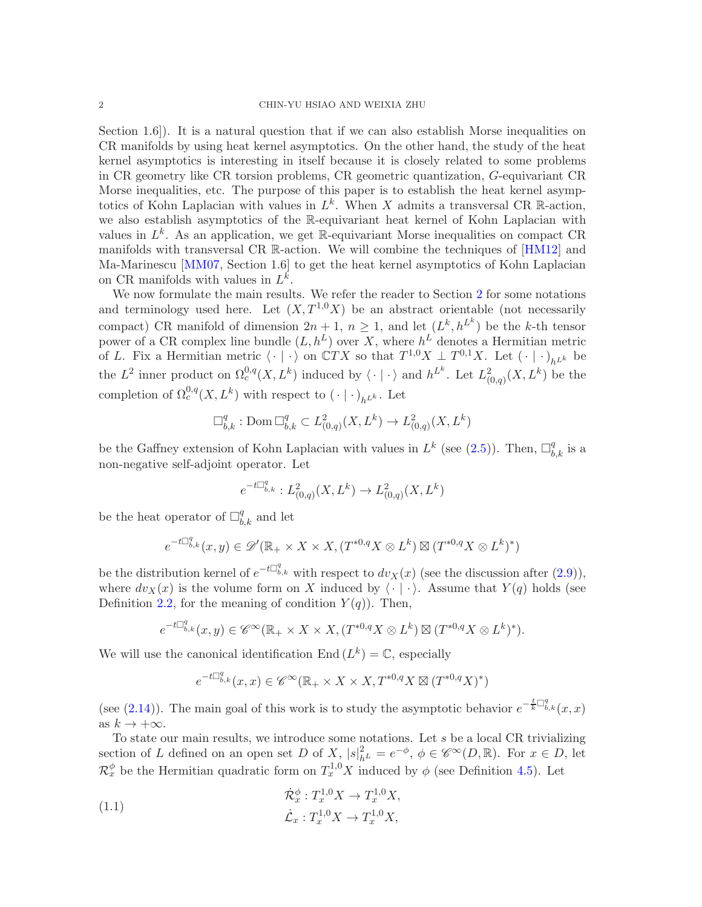Section 1.6. It is a natural question that if we can also establish Morse inequalities on CR manifolds by using heat kernel asymptotics. On the other hand, the study of the heat kernel asymptotics is interesting in itself because it is closely related to some problems in CR geometry like CR torsion problems, CR geometric quantization, G-equivariant CR Morse inequalities, etc. The purpose of this paper is to establish the heat kernel asymptotics of Kohn Laplacian with values in  $L^k$ . When X admits a transversal CR R-action, we also establish asymptotics of the R-equivariant heat kernel of Kohn Laplacian with values in  $L^k$ . As an application, we get R-equivariant Morse inequalities on compact CR manifolds with transversal CR R-action. We will combine the techniques of [\[HM12\]](#page-40-1) and Ma-Marinescu [\[MM07,](#page-41-0) Section 1.6] to get the heat kernel asymptotics of Kohn Laplacian on CR manifolds with values in  $L^k$ .

We now formulate the main results. We refer the reader to Section [2](#page-5-0) for some notations and terminology used here. Let  $(X, T^{1,0}X)$  be an abstract orientable (not necessarily compact) CR manifold of dimension  $2n+1$ ,  $n \geq 1$ , and let  $(L^k, h^{L^k})$  be the k-th tensor power of a CR complex line bundle  $(L, h^L)$  over X, where  $h^L$  denotes a Hermitian metric of L. Fix a Hermitian metric  $\langle \cdot | \cdot \rangle$  on  $\mathbb{C}TX$  so that  $T^{1,0}X \perp T^{0,1}X$ . Let  $(\cdot | \cdot)_{h^{L^k}}$  be the  $L^2$  inner product on  $\Omega_c^{0,q}(X,L^k)$  induced by  $\langle \cdot | \cdot \rangle$  and  $h^{L^k}$ . Let  $L^2_{(0,q)}(X,L^k)$  be the completion of  $\Omega_c^{0,q}(X,L^k)$  with respect to  $(\cdot | \cdot)_{h^{L^k}}$ . Let

$$
\square_{b,k}^q : \operatorname{Dom} \square_{b,k}^q \subset L^2_{(0,q)}(X,L^k) \to L^2_{(0,q)}(X,L^k)
$$

be the Gaffney extension of Kohn Laplacian with values in  $L^k$  (see [\(2.5\)](#page-8-0)). Then,  $\Box_{b,k}^q$  is a non-negative self-adjoint operator. Let

$$
e^{-t\Box_{b,k}^q}: L^2_{(0,q)}(X,L^k) \to L^2_{(0,q)}(X,L^k)
$$

be the heat operator of  $\Box_{b,k}^q$  and let

$$
e^{-t\Box^q_{b,k}}(x,y)\in\mathscr{D}'(\mathbb{R}_+\times X\times X, (T^{*0,q}X\otimes L^k)\boxtimes (T^{*0,q}X\otimes L^k)^*)
$$

be the distribution kernel of  $e^{-t\Box_{b,k}^q}$  with respect to  $dv_X(x)$  (see the discussion after [\(2.9\)](#page-8-1)), where  $dv_X(x)$  is the volume form on X induced by  $\langle \cdot | \cdot \rangle$ . Assume that  $Y(q)$  holds (see Definition [2.2,](#page-7-0) for the meaning of condition  $Y(q)$ ). Then,

$$
e^{-t\Box^q_{b,k}}(x,y)\in \mathscr{C}^\infty({\mathbb{R}}_+\times X\times X, (T^{*0,q}X\otimes L^k)\boxtimes (T^{*0,q}X\otimes L^k)^*).
$$

We will use the canonical identification End  $(L^k) = \mathbb{C}$ , especially

$$
e^{-t\Box^q_{b,k}}(x,x)\in\mathscr{C}^\infty(\mathbb{R}_+\times X\times X,T^{*0,q}X\boxtimes(T^{*0,q}X)^*)
$$

(see [\(2.14\)](#page-9-1)). The main goal of this work is to study the asymptotic behavior  $e^{-\frac{t}{k}\Box_{b,k}^q}(x,x)$ as  $k \to +\infty$ .

To state our main results, we introduce some notations. Let s be a local CR trivializing section of L defined on an open set D of  $X$ ,  $|s|^2_{h^L} = e^{-\phi}$ ,  $\phi \in \mathscr{C}^{\infty}(D,\mathbb{R})$ . For  $x \in D$ , let  $\mathcal{R}_x^{\phi}$  be the Hermitian quadratic form on  $T_x^{1,0}X$  induced by  $\phi$  (see Definition [4.5\)](#page-31-1). Let

(1.1) 
$$
\dot{\mathcal{R}}_x^{\phi} : T_x^{1,0} X \to T_x^{1,0} X, \n\dot{\mathcal{L}}_x : T_x^{1,0} X \to T_x^{1,0} X,
$$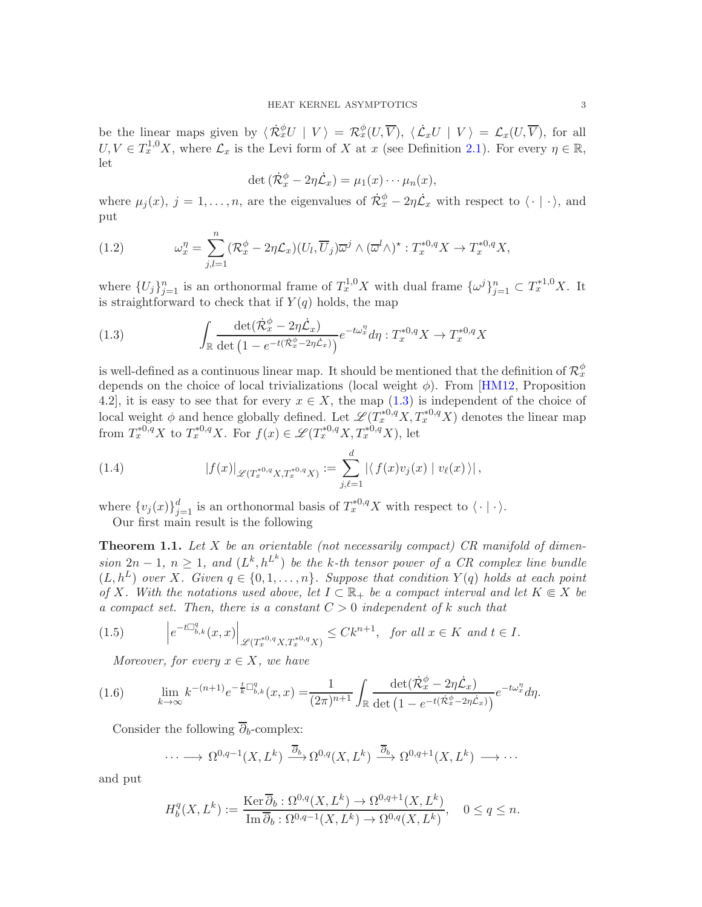be the linear maps given by  $\langle \dot{\mathcal{R}}_x^{\phi} U | V \rangle = \mathcal{R}_x^{\phi} (U, \overline{V}), \langle \dot{\mathcal{L}}_x U | V \rangle = \mathcal{L}_x (U, \overline{V}),$  for all  $U, V \in T^{1,0}_x X$ , where  $\mathcal{L}_x$  is the Levi form of X at x (see Definition [2.1\)](#page-7-1). For every  $\eta \in \mathbb{R}$ , let

$$
\det\left(\dot{\mathcal{R}}_x^{\phi}-2\eta\dot{\mathcal{L}}_x\right)=\mu_1(x)\cdots\mu_n(x),
$$

where  $\mu_j(x)$ ,  $j = 1, \ldots, n$ , are the eigenvalues of  $\dot{\mathcal{R}}_x^{\phi} - 2\eta \dot{\mathcal{L}}_x$  with respect to  $\langle \cdot | \cdot \rangle$ , and put

(1.2) 
$$
\omega_x^{\eta} = \sum_{j,l=1}^n (\mathcal{R}_x^{\phi} - 2\eta \mathcal{L}_x)(U_l, \overline{U}_j) \overline{\omega}^j \wedge (\overline{\omega}^l \wedge)^* : T_x^{*0,q} X \to T_x^{*0,q} X,
$$

where  $\{U_j\}_{j=1}^n$  is an orthonormal frame of  $T_x^{1,0}X$  with dual frame  $\{\omega^j\}_{j=1}^n \subset T_x^{*1,0}X$ . It is straightforward to check that if  $Y(q)$  holds, the map

<span id="page-2-0"></span>(1.3) 
$$
\int_{\mathbb{R}} \frac{\det(\dot{\mathcal{R}}_x^{\phi} - 2\eta \dot{\mathcal{L}}_x)}{\det (1 - e^{-t(\dot{\mathcal{R}}_x^{\phi} - 2\eta \dot{\mathcal{L}}_x)})} e^{-t\omega_x^{\eta}} d\eta : T_x^{*0,q} X \to T_x^{*0,q} X
$$

is well-defined as a continuous linear map. It should be mentioned that the definition of  $\mathcal{R}_x^{\phi}$ depends on the choice of local trivializations (local weight  $\phi$ ). From [\[HM12,](#page-40-1) Proposition 4.2], it is easy to see that for every  $x \in X$ , the map [\(1.3\)](#page-2-0) is independent of the choice of local weight  $\phi$  and hence globally defined. Let  $\mathscr{L}(T^{*0,q}_x X, T^{*0,q}_x X)$  denotes the linear map from  $T^{*0,q}_x X$  to  $T^{*0,q}_x X$ . For  $f(x) \in \mathscr{L}(T^{*0,q}_x X, T^{*0,q}_x X)$ , let

(1.4) 
$$
|f(x)|_{\mathscr{L}(T_x^{*0,q}X,T_x^{*0,q}X)} := \sum_{j,\ell=1}^d |\langle f(x)v_j(x) | v_\ell(x) \rangle|,
$$

where  $\{v_j(x)\}_{j=1}^d$  is an orthonormal basis of  $T^{*0,q}_xX$  with respect to  $\langle \cdot | \cdot \rangle$ .

Our first main result is the following

<span id="page-2-1"></span>**Theorem 1.1.** Let X be an orientable (not necessarily compact) CR manifold of dimension  $2n-1$ ,  $n \geq 1$ , and  $(L^k, h^{L^k})$  be the k-th tensor power of a CR complex line bundle  $(L, h^L)$  over X. Given  $q \in \{0, 1, \ldots, n\}$ . Suppose that condition  $Y(q)$  holds at each point of X. With the notations used above, let  $I \subset \mathbb{R}_+$  be a compact interval and let  $K \subseteq X$  be a compact set. Then, there is a constant  $C > 0$  independent of k such that

$$
(1.5) \qquad \left| e^{-t\Box_{b,k}^q(x,x)} \right|_{\mathscr{L}(T_x^{*0,q}X,T_x^{*0,q}X)} \leq Ck^{n+1}, \text{ for all } x \in K \text{ and } t \in I.
$$

Moreover, for every  $x \in X$ , we have

(1.6) 
$$
\lim_{k \to \infty} k^{-(n+1)} e^{-\frac{t}{k} \Box_{b,k}^q}(x,x) = \frac{1}{(2\pi)^{n+1}} \int_{\mathbb{R}} \frac{\det(\dot{\mathcal{R}}_x^{\phi} - 2\eta \dot{\mathcal{L}}_x)}{\det(1 - e^{-t(\dot{\mathcal{R}}_x^{\phi} - 2\eta \dot{\mathcal{L}}_x)})} e^{-t\omega_x^{\eta}} d\eta.
$$

Consider the following  $\overline{\partial}_b$ -complex:

$$
\cdots \longrightarrow \Omega^{0,q-1}(X,L^k) \xrightarrow{\overline{\partial}_b} \Omega^{0,q}(X,L^k) \xrightarrow{\overline{\partial}_b} \Omega^{0,q+1}(X,L^k) \longrightarrow \cdots
$$

and put

$$
H_b^q(X, L^k) := \frac{\text{Ker }\overline{\partial}_b : \Omega^{0,q}(X, L^k) \to \Omega^{0,q+1}(X, L^k)}{\text{Im }\overline{\partial}_b : \Omega^{0,q-1}(X, L^k) \to \Omega^{0,q}(X, L^k)}, \quad 0 \le q \le n.
$$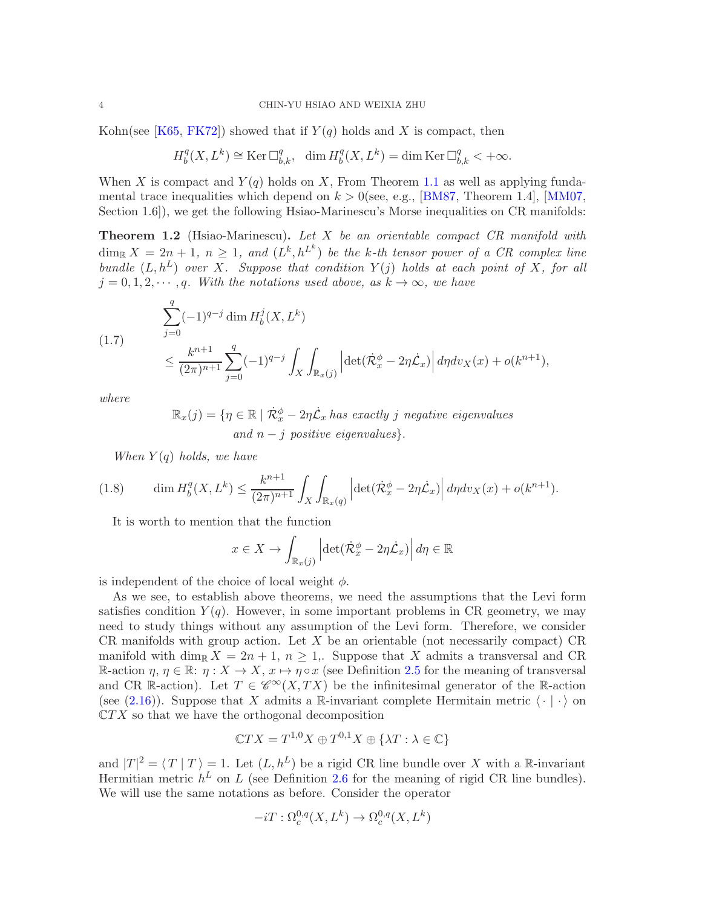Kohn(see [\[K65,](#page-41-1) [FK72\]](#page-40-4)) showed that if  $Y(q)$  holds and X is compact, then

$$
H^q_b(X,L^k)\cong{\rm Ker\,}\Box^q_{b,k},\ \ \dim H^q_b(X,L^k)=\dim{\rm Ker\,}\Box^q_{b,k}<+\infty.
$$

When X is compact and  $Y(q)$  holds on X, From Theorem [1.1](#page-2-1) as well as applying fundamental trace inequalities which depend on  $k > 0$ (see, e.g., [\[BM87,](#page-40-3) Theorem 1.4], [\[MM07,](#page-41-0) Section 1.6]), we get the following Hsiao-Marinescu's Morse inequalities on CR manifolds:

<span id="page-3-0"></span>Theorem 1.2 (Hsiao-Marinescu). Let X be an orientable compact CR manifold with  $\dim_{\mathbb{R}} X = 2n + 1, n \geq 1,$  and  $(L^k, h^{L^k})$  be the k-th tensor power of a CR complex line bundle  $(L, h^L)$  over X. Suppose that condition  $Y(j)$  holds at each point of X, for all  $j = 0, 1, 2, \dots, q$ . With the notations used above, as  $k \to \infty$ , we have

<span id="page-3-1"></span>(1.7) 
$$
\sum_{j=0}^{q} (-1)^{q-j} \dim H_b^j(X, L^k) \le \frac{k^{n+1}}{(2\pi)^{n+1}} \sum_{j=0}^{q} (-1)^{q-j} \int_X \int_{\mathbb{R}_x(j)} \left| \det(\dot{\mathcal{R}}_x^{\phi} - 2\eta \dot{\mathcal{L}}_x) \right| d\eta d\upsilon_X(x) + o(k^{n+1}),
$$

where

$$
\mathbb{R}_x(j) = \{ \eta \in \mathbb{R} \mid \dot{\mathcal{R}}_x^{\phi} - 2\eta \dot{\mathcal{L}}_x \text{ has exactly } j \text{ negative eigenvalues} \}
$$
  
and  $n - j \text{ positive eigenvalues} \}.$ 

<span id="page-3-2"></span>When  $Y(q)$  holds, we have

(1.8) 
$$
\dim H_b^q(X, L^k) \leq \frac{k^{n+1}}{(2\pi)^{n+1}} \int_X \int_{\mathbb{R}_x(q)} \left| \det(\dot{\mathcal{R}}_x^{\phi} - 2\eta \dot{\mathcal{L}}_x) \right| d\eta dv_X(x) + o(k^{n+1}).
$$

It is worth to mention that the function

$$
x \in X \to \int_{\mathbb{R}_x(j)} \left| \det(\dot{\mathcal{R}}_x^{\phi} - 2\eta \dot{\mathcal{L}}_x) \right| d\eta \in \mathbb{R}
$$

is independent of the choice of local weight  $\phi$ .

As we see, to establish above theorems, we need the assumptions that the Levi form satisfies condition  $Y(q)$ . However, in some important problems in CR geometry, we may need to study things without any assumption of the Levi form. Therefore, we consider CR manifolds with group action. Let  $X$  be an orientable (not necessarily compact) CR manifold with dim<sub>R</sub>  $X = 2n + 1$ ,  $n \ge 1$ . Suppose that X admits a transversal and CR R-action  $\eta, \eta \in \mathbb{R}$ :  $\eta: X \to X$ ,  $x \mapsto \eta \circ x$  (see Definition [2.5](#page-9-2) for the meaning of transversal and CR R-action). Let  $T \in \mathscr{C}^{\infty}(X,TX)$  be the infinitesimal generator of the R-action (see [\(2.16\)](#page-9-3)). Suppose that X admits a R-invariant complete Hermitain metric  $\langle \cdot | \cdot \rangle$  on  $\mathbb{C}TX$  so that we have the orthogonal decomposition

$$
\mathbb{C}TX = T^{1,0}X \oplus T^{0,1}X \oplus \{\lambda T : \lambda \in \mathbb{C}\}
$$

and  $|T|^2 = \langle T | T \rangle = 1$ . Let  $(L, h^L)$  be a rigid CR line bundle over X with a R-invariant Hermitian metric  $h^L$  on L (see Definition [2.6](#page-10-0) for the meaning of rigid CR line bundles). We will use the same notations as before. Consider the operator

$$
-iT:\Omega_c^{0,q}(X,L^k)\to\Omega_c^{0,q}(X,L^k)
$$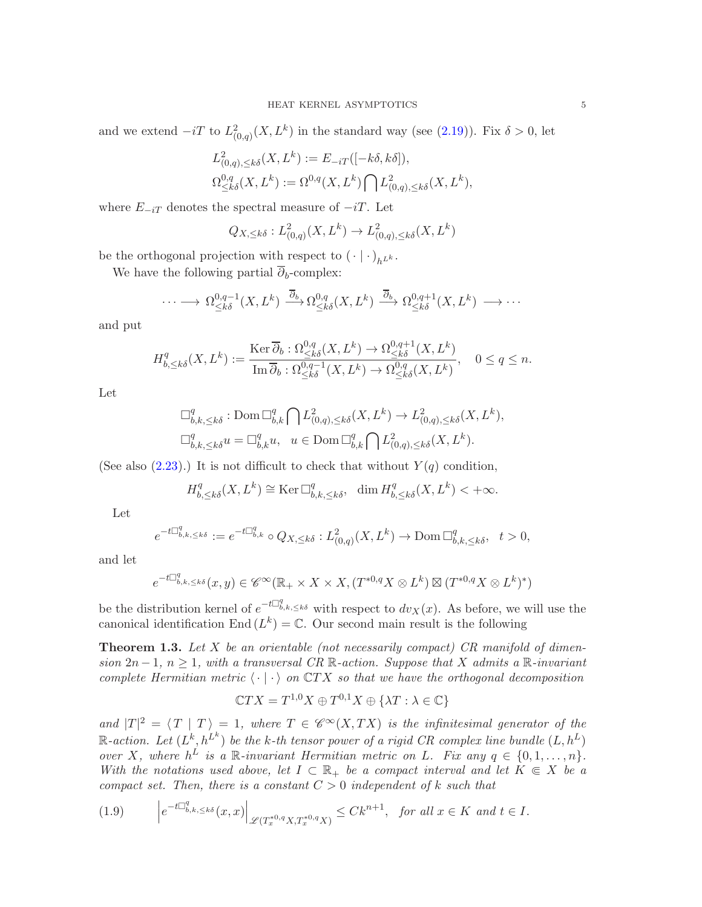and we extend  $-iT$  to  $L^2_{(0,q)}(X,L^k)$  in the standard way (see [\(2.19\)](#page-10-1)). Fix  $\delta > 0$ , let

$$
L^2_{(0,q),\leq k\delta}(X,L^k) := E_{-iT}([-k\delta,k\delta]),
$$
  

$$
\Omega^{0,q}_{\leq k\delta}(X,L^k) := \Omega^{0,q}(X,L^k) \bigcap L^2_{(0,q),\leq k\delta}(X,L^k),
$$

where  $E_{-iT}$  denotes the spectral measure of  $-iT$ . Let

$$
Q_{X,\leq k\delta}: L^2_{(0,q)}(X,L^k) \to L^2_{(0,q),\leq k\delta}(X,L^k)
$$

be the orthogonal projection with respect to  $(\cdot | \cdot)_{h^{L^k}}$ .

We have the following partial  $\overline{\partial}_b$ -complex:

$$
\cdots \longrightarrow \Omega^{0,q-1}_{\leq k\delta}(X,L^k) \xrightarrow{\overline{\partial}_b} \Omega^{0,q}_{\leq k\delta}(X,L^k) \xrightarrow{\overline{\partial}_b} \Omega^{0,q+1}_{\leq k\delta}(X,L^k) \longrightarrow \cdots
$$

and put

$$
H_{b,\leq k\delta}^q(X,L^k) := \frac{\operatorname{Ker} \overline{\partial}_b : \Omega_{\leq k\delta}^{0,q}(X,L^k) \to \Omega_{\leq k\delta}^{0,q+1}(X,L^k)}{\operatorname{Im} \overline{\partial}_b : \Omega_{\leq k\delta}^{0,q-1}(X,L^k) \to \Omega_{\leq k\delta}^{0,q}(X,L^k)}, \quad 0 \leq q \leq n.
$$

Let

$$
\Box_{b,k,\leq k\delta}^q : \text{Dom } \Box_{b,k}^q \bigcap L^2_{(0,q),\leq k\delta}(X,L^k) \to L^2_{(0,q),\leq k\delta}(X,L^k),
$$
  

$$
\Box_{b,k,\leq k\delta}^q u = \Box_{b,k}^q u, \quad u \in \text{Dom } \Box_{b,k}^q \bigcap L^2_{(0,q),\leq k\delta}(X,L^k).
$$

(See also  $(2.23)$ .) It is not difficult to check that without  $Y(q)$  condition,

$$
H^q_{b,\leq k\delta}(X,L^k)\cong{\rm Ker\,}\Box^q_{b,k,\leq k\delta},\ \ \dim H^q_{b,\leq k\delta}(X,L^k)<+\infty.
$$

Let

$$
e^{-t\Box^q_{b,k,\leq k\delta}}:=e^{-t\Box^q_{b,k}}\circ Q_{X,\leq k\delta}:L^2_{(0,q)}(X,L^k)\to{\rm Dom\,}\Box^q_{b,k,\leq k\delta},\quad t>0,
$$

and let

$$
e^{-t\Box^q_{b,k,\leq k\delta}}(x,y)\in \mathscr{C}^\infty({\mathbb{R}}_+\times X\times X, (T^{*0,q}X\otimes L^k)\boxtimes (T^{*0,q}X\otimes L^k)^*)
$$

be the distribution kernel of  $e^{-t\Box_{b,k,\leq k\delta}^q}$  with respect to  $dv_X(x)$ . As before, we will use the canonical identification End  $(L^k) = \mathbb{C}$ . Our second main result is the following

<span id="page-4-0"></span>**Theorem 1.3.** Let X be an orientable (not necessarily compact) CR manifold of dimension 2n − 1, n ≥ 1, with a transversal CR R-action. Suppose that X admits a R-invariant complete Hermitian metric  $\langle \cdot | \cdot \rangle$  on  $\mathbb{C}TX$  so that we have the orthogonal decomposition

$$
\mathbb{C}TX = T^{1,0}X \oplus T^{0,1}X \oplus \{ \lambda T : \lambda \in \mathbb{C} \}
$$

and  $|T|^2 = \langle T | T \rangle = 1$ , where  $T \in \mathscr{C}^{\infty}(X,TX)$  is the infinitesimal generator of the  $\mathbb{R}\text{-action.}$  Let  $(L^k, h^{L^k})$  be the k-th tensor power of a rigid CR complex line bundle  $(L, h^L)$ over X, where  $h^L$  is a R-invariant Hermitian metric on L. Fix any  $q \in \{0, 1, ..., n\}$ . With the notations used above, let  $I \subset \mathbb{R}_+$  be a compact interval and let  $K \in X$  be a compact set. Then, there is a constant  $C > 0$  independent of k such that

$$
(1.9) \qquad \left| e^{-t\Box_{b,k,\leq k\delta}^q}(x,x) \right|_{\mathscr{L}(T_x^{*0,q}X,T_x^{*0,q}X)} \leq Ck^{n+1}, \text{ for all } x \in K \text{ and } t \in I.
$$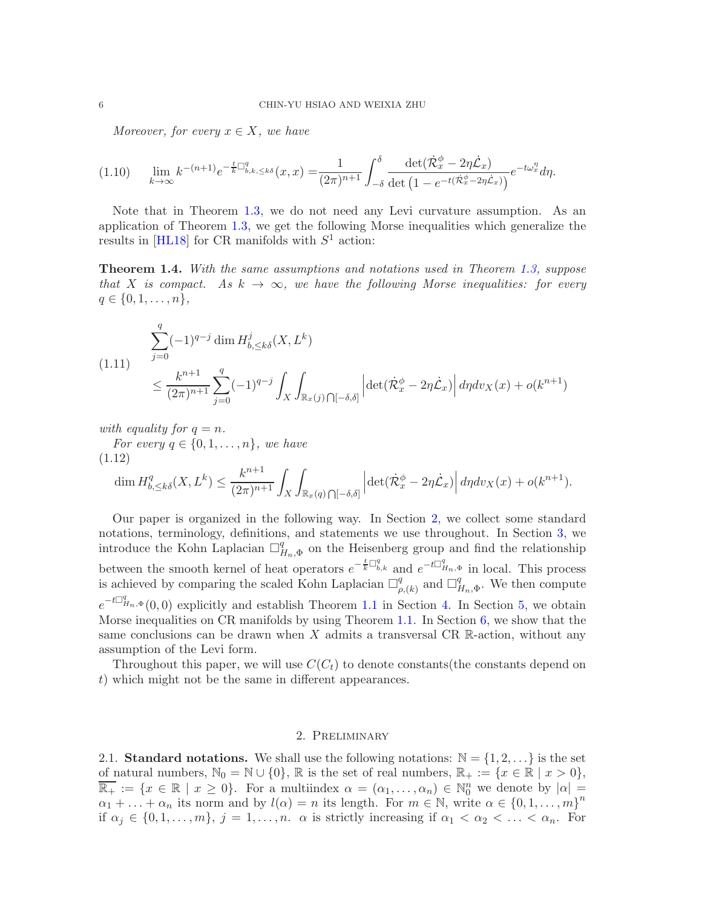Moreover, for every  $x \in X$ , we have

$$
(1.10) \qquad \lim_{k \to \infty} k^{-(n+1)} e^{-\frac{t}{k} \Box_{b,k,\leq k\delta}^q}(x,x) = \frac{1}{(2\pi)^{n+1}} \int_{-\delta}^{\delta} \frac{\det(\dot{\mathcal{R}}_x^{\phi} - 2\eta \dot{\mathcal{L}}_x)}{\det(1 - e^{-t(\dot{\mathcal{R}}_x^{\phi} - 2\eta \dot{\mathcal{L}}_x)})} e^{-t\omega_x^{\eta}} d\eta.
$$

Note that in Theorem [1.3,](#page-4-0) we do not need any Levi curvature assumption. As an application of Theorem [1.3,](#page-4-0) we get the following Morse inequalities which generalize the results in [\[HL18\]](#page-40-5) for CR manifolds with  $S^1$  action:

<span id="page-5-2"></span>Theorem 1.4. With the same assumptions and notations used in Theorem [1.3,](#page-4-0) suppose that X is compact. As  $k \to \infty$ , we have the following Morse inequalities: for every  $q \in \{0, 1, \ldots, n\},\$ 

$$
(1.11) \quad \sum_{j=0}^{q} (-1)^{q-j} \dim H_{b,\leq k\delta}^{j}(X,L^{k})
$$
\n
$$
\leq \frac{k^{n+1}}{(2\pi)^{n+1}} \sum_{j=0}^{q} (-1)^{q-j} \int_{X} \int_{\mathbb{R}_{x}(j) \cap [-\delta,\delta]} \left| \det(\dot{\mathcal{R}}_{x}^{\phi} - 2\eta \dot{\mathcal{L}}_{x}) \right| d\eta d\upsilon_{X}(x) + o(k^{n+1})
$$

with equality for  $q = n$ .

For every  $q \in \{0, 1, \ldots, n\}$ , we have (1.12)

$$
\dim H_{b,\leq k\delta}^q(X,L^k) \leq \frac{k^{n+1}}{(2\pi)^{n+1}} \int_X \int_{\mathbb{R}_x(q)} \left| \det(\dot{\mathcal{R}}_x^{\phi} - 2\eta \dot{\mathcal{L}}_x) \right| d\eta dv_X(x) + o(k^{n+1}).
$$

Our paper is organized in the following way. In Section [2,](#page-5-0) we collect some standard notations, terminology, definitions, and statements we use throughout. In Section [3,](#page-12-0) we introduce the Kohn Laplacian  $\Box^q_I$  $H_{n,\Phi}^{q}$  on the Heisenberg group and find the relationship between the smooth kernel of heat operators  $e^{-\frac{t}{k}\Box_{b,k}^q}$  and  $e^{-t\Box_{H_n,\Phi}^q}$  in local. This process is achieved by comparing the scaled Kohn Laplacian  $\Box^q_a$  $_{\rho,(k)}^q$  and  $\Box_q^q$  $H_{n,\Phi}^q$ . We then compute  $e^{-t\Box_{H_n,\Phi}^q}(0,0)$  explicitly and establish Theorem [1.1](#page-2-1) in Section [4.](#page-26-0) In Section [5,](#page-32-0) we obtain Morse inequalities on CR manifolds by using Theorem [1.1.](#page-2-1) In Section [6,](#page-33-0) we show that the same conclusions can be drawn when  $X$  admits a transversal CR R-action, without any assumption of the Levi form.

Throughout this paper, we will use  $C(C_t)$  to denote constants (the constants depend on t) which might not be the same in different appearances.

### 2. Preliminary

<span id="page-5-1"></span><span id="page-5-0"></span>2.1. Standard notations. We shall use the following notations:  $\mathbb{N} = \{1, 2, \ldots\}$  is the set of natural numbers,  $\mathbb{N}_0 = \mathbb{N} \cup \{0\}$ ,  $\mathbb R$  is the set of real numbers,  $\mathbb{R}_+ := \{x \in \mathbb R \mid x > 0\}$ ,  $\overline{\mathbb{R}_+} := \{x \in \mathbb{R} \mid x \geq 0\}$ . For a multiindex  $\alpha = (\alpha_1, \dots, \alpha_n) \in \mathbb{N}_0^n$  we denote by  $|\alpha| =$  $\alpha_1 + \ldots + \alpha_n$  its norm and by  $l(\alpha) = n$  its length. For  $m \in \mathbb{N}$ , write  $\alpha \in \{0, 1, \ldots, m\}^n$ if  $\alpha_j \in \{0, 1, \ldots, m\}, j = 1, \ldots, n$ .  $\alpha$  is strictly increasing if  $\alpha_1 < \alpha_2 < \ldots < \alpha_n$ . For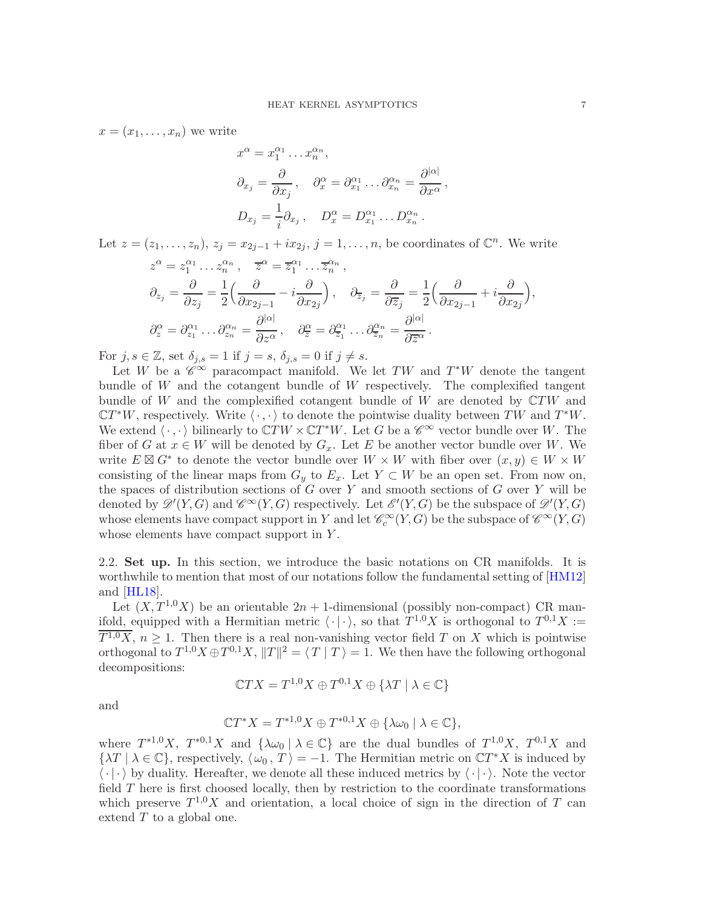$x = (x_1, \ldots, x_n)$  we write

$$
x^{\alpha} = x_1^{\alpha_1} \dots x_n^{\alpha_n},
$$
  
\n
$$
\partial_{x_j} = \frac{\partial}{\partial x_j}, \quad \partial_x^{\alpha} = \partial_{x_1}^{\alpha_1} \dots \partial_{x_n}^{\alpha_n} = \frac{\partial^{|\alpha|}}{\partial x^{\alpha}},
$$
  
\n
$$
D_{x_j} = \frac{1}{i} \partial_{x_j}, \quad D_x^{\alpha} = D_{x_1}^{\alpha_1} \dots D_{x_n}^{\alpha_n}.
$$

Let  $z = (z_1, \ldots, z_n)$ ,  $z_j = x_{2j-1} + ix_{2j}$ ,  $j = 1, \ldots, n$ , be coordinates of  $\mathbb{C}^n$ . We write

$$
z^{\alpha} = z_1^{\alpha_1} \dots z_n^{\alpha_n}, \quad \overline{z}^{\alpha} = \overline{z}_1^{\alpha_1} \dots \overline{z}_n^{\alpha_n},
$$
  
\n
$$
\partial_{z_j} = \frac{\partial}{\partial z_j} = \frac{1}{2} \Big( \frac{\partial}{\partial x_{2j-1}} - i \frac{\partial}{\partial x_{2j}} \Big), \quad \partial_{\overline{z}_j} = \frac{\partial}{\partial \overline{z}_j} = \frac{1}{2} \Big( \frac{\partial}{\partial x_{2j-1}} + i \frac{\partial}{\partial x_{2j}} \Big),
$$
  
\n
$$
\partial_z^{\alpha} = \partial_{z_1}^{\alpha_1} \dots \partial_{z_n}^{\alpha_n} = \frac{\partial^{|\alpha|}}{\partial z^{\alpha}}, \quad \partial_{\overline{z}}^{\alpha} = \partial_{\overline{z}_1}^{\alpha_1} \dots \partial_{\overline{z}_n}^{\alpha_n} = \frac{\partial^{|\alpha|}}{\partial \overline{z}^{\alpha}}.
$$

For  $j, s \in \mathbb{Z}$ , set  $\delta_{j,s} = 1$  if  $j = s$ ,  $\delta_{j,s} = 0$  if  $j \neq s$ .

Let W be a  $\check{\mathscr{C}}^{\infty}$  paracompact manifold. We let TW and  $T^*W$  denote the tangent bundle of W and the cotangent bundle of W respectively. The complexified tangent bundle of W and the complexified cotangent bundle of W are denoted by  $\mathbb{C}TW$  and  $\mathbb{C}T^*W$ , respectively. Write  $\langle \cdot, \cdot \rangle$  to denote the pointwise duality between  $TW$  and  $T^*W$ . We extend  $\langle \cdot, \cdot \rangle$  bilinearly to  $\mathbb{C}TW \times \mathbb{C}T^*W$ . Let G be a  $\mathscr{C}^{\infty}$  vector bundle over W. The fiber of G at  $x \in W$  will be denoted by  $G_x$ . Let E be another vector bundle over W. We write  $E \boxtimes G^*$  to denote the vector bundle over  $W \times W$  with fiber over  $(x, y) \in W \times W$ consisting of the linear maps from  $G_y$  to  $E_x$ . Let  $Y \subset W$  be an open set. From now on, the spaces of distribution sections of  $G$  over  $Y$  and smooth sections of  $G$  over  $Y$  will be denoted by  $\mathscr{D}'(Y,G)$  and  $\mathscr{C}^{\infty}(Y,G)$  respectively. Let  $\mathscr{E}'(Y,G)$  be the subspace of  $\mathscr{D}'(Y,G)$ whose elements have compact support in Y and let  $\mathscr{C}_c^{\infty}(Y,G)$  be the subspace of  $\mathscr{C}^{\infty}(Y,G)$ whose elements have compact support in Y.

<span id="page-6-0"></span>2.2. Set up. In this section, we introduce the basic notations on CR manifolds. It is worthwhile to mention that most of our notations follow the fundamental setting of [\[HM12\]](#page-40-1) and [\[HL18\]](#page-40-5).

Let  $(X, T^{1,0}X)$  be an orientable  $2n + 1$ -dimensional (possibly non-compact) CR manifold, equipped with a Hermitian metric  $\langle \cdot | \cdot \rangle$ , so that  $T^{1,0}X$  is orthogonal to  $T^{0,1}X :=$  $\overline{T^{1,0}X}$ ,  $n \geq 1$ . Then there is a real non-vanishing vector field T on X which is pointwise orthogonal to  $T^{1,0}X \oplus T^{0,1}X$ ,  $||T||^2 = \langle T | T \rangle = 1$ . We then have the following orthogonal decompositions:

$$
\mathbb{C}TX = T^{1,0}X \oplus T^{0,1}X \oplus \{\lambda T \mid \lambda \in \mathbb{C}\}
$$

and

$$
\mathbb{C}T^*X = T^{*1,0}X \oplus T^{*0,1}X \oplus {\lambda\omega_0 \mid \lambda \in \mathbb{C}},
$$

where  $T^{*1,0}X$ ,  $T^{*0,1}X$  and  $\{\lambda\omega_0 \mid \lambda \in \mathbb{C}\}\$  are the dual bundles of  $T^{1,0}X$ ,  $T^{0,1}X$  and  $\{\lambda T \mid \lambda \in \mathbb{C}\},$  respectively,  $\langle \omega_0, T \rangle = -1$ . The Hermitian metric on  $\mathbb{C}T^*X$  is induced by  $\langle \cdot | \cdot \rangle$  by duality. Hereafter, we denote all these induced metrics by  $\langle \cdot | \cdot \rangle$ . Note the vector field T here is first choosed locally, then by restriction to the coordinate transformations which preserve  $T^{1,0}X$  and orientation, a local choice of sign in the direction of T can extend  $T$  to a global one.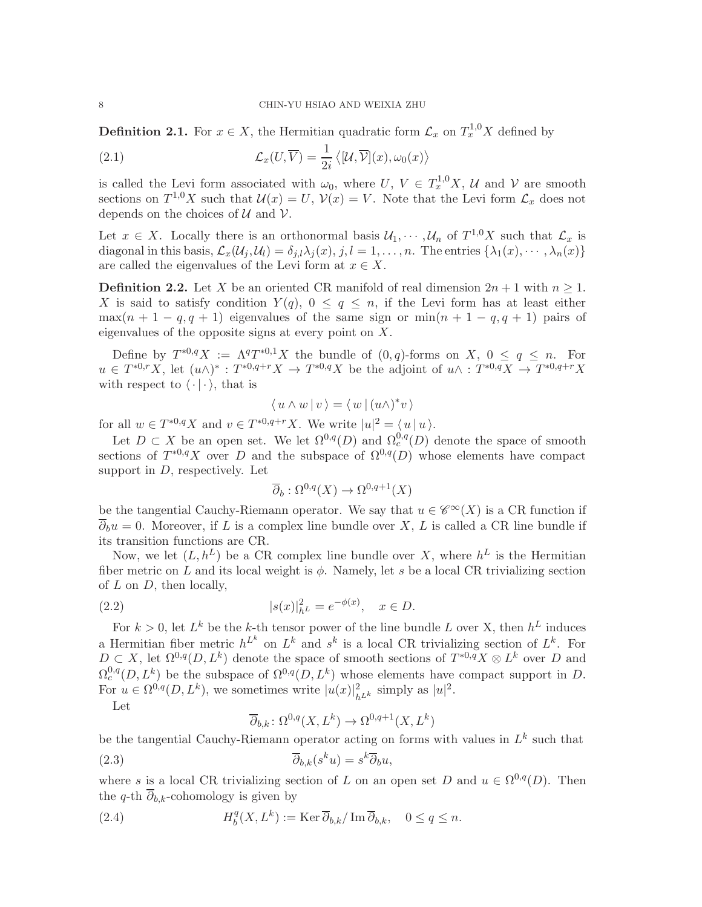<span id="page-7-1"></span>**Definition 2.1.** For  $x \in X$ , the Hermitian quadratic form  $\mathcal{L}_x$  on  $T_x^{1,0}X$  defined by

(2.1) 
$$
\mathcal{L}_x(U, \overline{V}) = \frac{1}{2i} \langle [U, \overline{V}](x), \omega_0(x) \rangle
$$

is called the Levi form associated with  $\omega_0$ , where  $U, V \in T_x^{1,0}X, U$  and  $V$  are smooth sections on  $T^{1,0}X$  such that  $\mathcal{U}(x) = U$ ,  $\mathcal{V}(x) = V$ . Note that the Levi form  $\mathcal{L}_x$  does not depends on the choices of  $U$  and  $V$ .

Let  $x \in X$ . Locally there is an orthonormal basis  $\mathcal{U}_1, \dots, \mathcal{U}_n$  of  $T^{1,0}X$  such that  $\mathcal{L}_x$  is diagonal in this basis,  $\mathcal{L}_x(\mathcal{U}_j, \mathcal{U}_l) = \delta_{j,l} \lambda_j(x), j, l = 1, \ldots, n$ . The entries  $\{\lambda_1(x), \cdots, \lambda_n(x)\}$ are called the eigenvalues of the Levi form at  $x \in X$ .

<span id="page-7-0"></span>**Definition 2.2.** Let X be an oriented CR manifold of real dimension  $2n + 1$  with  $n \ge 1$ . X is said to satisfy condition  $Y(q)$ ,  $0 \leq q \leq n$ , if the Levi form has at least either  $\max(n+1-q, q+1)$  eigenvalues of the same sign or  $\min(n+1-q, q+1)$  pairs of eigenvalues of the opposite signs at every point on X.

Define by  $T^{*0,q}X := \Lambda^qT^{*0,1}X$  the bundle of  $(0,q)$ -forms on  $X, 0 \le q \le n$ . For  $u \in T^{*0,r}X$ , let  $(u \wedge)^*: T^{*0,q+r}X \to T^{*0,q}X$  be the adjoint of  $u \wedge : T^{*0,q}X \to T^{*0,q+r}X$ with respect to  $\langle \cdot | \cdot \rangle$ , that is

$$
\langle u \wedge w | v \rangle = \langle w | (u \wedge)^* v \rangle
$$

for all  $w \in T^{*0,q}X$  and  $v \in T^{*0,q+r}X$ . We write  $|u|^2 = \langle u | u \rangle$ .

Let  $D \subset X$  be an open set. We let  $\Omega^{0,q}(D)$  and  $\Omega_c^{0,q}(D)$  denote the space of smooth sections of  $T^{*0,q}X$  over D and the subspace of  $\Omega^{0,q}(D)$  whose elements have compact support in  $D$ , respectively. Let

$$
\overline{\partial}_b : \Omega^{0,q}(X) \to \Omega^{0,q+1}(X)
$$

be the tangential Cauchy-Riemann operator. We say that  $u \in \mathscr{C}^{\infty}(X)$  is a CR function if  $\overline{\partial}_b u = 0$ . Moreover, if L is a complex line bundle over X, L is called a CR line bundle if its transition functions are CR.

Now, we let  $(L, h^L)$  be a CR complex line bundle over X, where  $h^L$  is the Hermitian fiber metric on L and its local weight is  $\phi$ . Namely, let s be a local CR trivializing section of  $L$  on  $D$ , then locally,

(2.2) 
$$
|s(x)|_{h^L}^2 = e^{-\phi(x)}, \quad x \in D.
$$

For  $k > 0$ , let  $L^k$  be the k-th tensor power of the line bundle L over X, then  $h^L$  induces a Hermitian fiber metric  $h^{L^k}$  on  $L^k$  and  $s^k$  is a local CR trivializing section of  $L^k$ . For  $D \subset X$ , let  $\Omega^{0,q}(D, L^k)$  denote the space of smooth sections of  $T^{*0,q}X \otimes L^k$  over D and  $\Omega_c^{0,q}(D, L^k)$  be the subspace of  $\Omega^{0,q}(D, L^k)$  whose elements have compact support in D. For  $u \in \Omega^{0,q}(D, L^k)$ , we sometimes write  $|u(x)|^2_{h^{L^k}}$  simply as  $|u|^2$ .

Let

$$
\overline{\partial}_{b,k} \colon \Omega^{0,q}(X, L^k) \to \Omega^{0,q+1}(X, L^k)
$$

be the tangential Cauchy-Riemann operator acting on forms with values in  $L^k$  such that (2.3)  $\overline{\partial}_{b,k}(s^k u) = s^k \overline{\partial}_b u,$ 

where s is a local CR trivializing section of L on an open set D and  $u \in \Omega^{0,q}(D)$ . Then the q-th  $\overline{\partial}_{b,k}$ -cohomology is given by

(2.4) 
$$
H_b^q(X, L^k) := \text{Ker}\,\overline{\partial}_{b,k}/\text{Im}\,\overline{\partial}_{b,k}, \quad 0 \le q \le n.
$$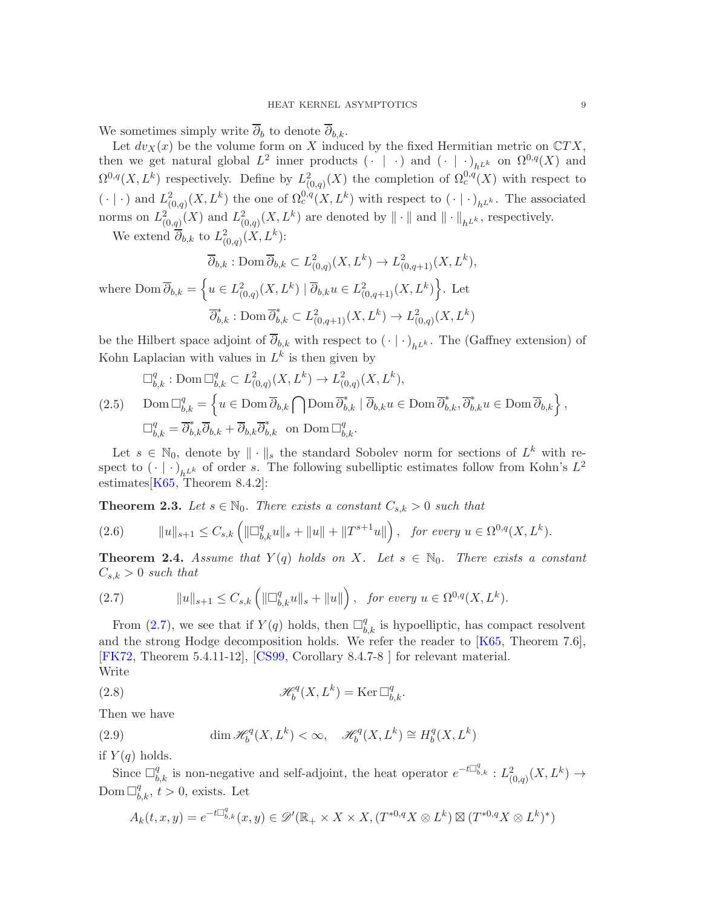We sometimes simply write  $\overline{\partial}_b$  to denote  $\overline{\partial}_{b,k}$ .

Let  $dv_X(x)$  be the volume form on X induced by the fixed Hermitian metric on  $\mathbb{C}TX$ , then we get natural global  $L^2$  inner products  $(\cdot | \cdot)$  and  $(\cdot | \cdot)_{h^{L^k}}$  on  $\Omega^{0,q}(X)$  and  $\Omega^{0,q}(X,L^k)$  respectively. Define by  $L^2_{(0,q)}(X)$  the completion of  $\Omega^{0,q}_c(X)$  with respect to  $(\cdot | \cdot)$  and  $L^2_{(0,q)}(X,L^k)$  the one of  $\Omega_c^{0,q}(X,L^k)$  with respect to  $(\cdot | \cdot)_{h^{L^k}}$ . The associated norms on  $L^2_{(0,q)}(X)$  and  $L^2_{(0,q)}(X,L^k)$  are denoted by  $\|\cdot\|$  and  $\|\cdot\|_{h^{L^k}}$ , respectively.

We extend  $\overline{\partial}_{b,k}$  to  $L^2_{(0,q)}(X,L^k)$ :

$$
\overline{\partial}_{b,k} : \text{Dom } \overline{\partial}_{b,k} \subset L^2_{(0,q)}(X,L^k) \to L^2_{(0,q+1)}(X,L^k),
$$

where Dom  $\overline{\partial}_{b,k} = \left\{ u \in L^2_{(0,q)}(X,L^k) \mid \overline{\partial}_{b,k} u \in L^2_{(0,q+1)}(X,L^k) \right\}$ . Let  $\overline{\partial}_{b,k}^* : \text{Dom } \overline{\partial}_{b,k}^* \subset L^2_{(0,q+1)}(X,L^k) \to L^2_{(0,q)}(X,L^k)$ 

be the Hilbert space adjoint of  $\partial_{b,k}$  with respect to  $(\cdot | \cdot)_{h^{L^k}}$ . The (Gaffney extension) of Kohn Laplacian with values in  $L^k$  is then given by

<span id="page-8-0"></span>
$$
\Box_{b,k}^q : \text{Dom } \Box_{b,k}^q \subset L^2_{(0,q)}(X, L^k) \to L^2_{(0,q)}(X, L^k),
$$
  
(2.5) 
$$
\text{Dom } \Box_{b,k}^q = \left\{ u \in \text{Dom } \overline{\partial}_{b,k} \cap \text{Dom } \overline{\partial}_{b,k}^* \mid \overline{\partial}_{b,k} u \in \text{Dom } \overline{\partial}_{b,k}^*, \overline{\partial}_{b,k}^* u \in \text{Dom } \overline{\partial}_{b,k} \right\},
$$

$$
\Box_{b,k}^q = \overline{\partial}_{b,k}^* \overline{\partial}_{b,k} + \overline{\partial}_{b,k} \overline{\partial}_{b,k}^* \quad \text{on } \text{Dom } \Box_{b,k}^q.
$$

Let  $s \in \mathbb{N}_0$ , denote by  $\|\cdot\|_s$  the standard Sobolev norm for sections of  $L^k$  with respect to  $(\cdot | \cdot)_{h^{L^k}}$  of order s. The following subelliptic estimates follow from Kohn's  $L^2$ estimates  $[K65, Theorem 8.4.2]:$  $[K65, Theorem 8.4.2]:$ 

<span id="page-8-3"></span>**Theorem 2.3.** Let  $s \in \mathbb{N}_0$ . There exists a constant  $C_{s,k} > 0$  such that

$$
(2.6) \t\t ||u||_{s+1} \leq C_{s,k} \left( \|\Box^q_{b,k} u\|_{s} + \|u\| + \|T^{s+1}u\| \right), \text{ for every } u \in \Omega^{0,q}(X, L^k).
$$

**Theorem 2.4.** Assume that  $Y(q)$  holds on X. Let  $s \in \mathbb{N}_0$ . There exists a constant  $C_{s,k} > 0$  such that

<span id="page-8-2"></span>(2.7) 
$$
||u||_{s+1} \leq C_{s,k} \left( ||\Box_{b,k}^q u||_s + ||u|| \right), \text{ for every } u \in \Omega^{0,q}(X, L^k).
$$

From [\(2.7\)](#page-8-2), we see that if  $Y(q)$  holds, then  $\Box_{b,k}^q$  is hypoelliptic, has compact resolvent and the strong Hodge decomposition holds. We refer the reader to [\[K65,](#page-41-1) Theorem 7.6], [\[FK72,](#page-40-4) Theorem 5.4.11-12], [\[CS99,](#page-40-6) Corollary 8.4.7-8 ] for relevant material. Write

(2.8) 
$$
\mathscr{H}_b^q(X, L^k) = \text{Ker} \, \Box_{b,k}^q.
$$

Then we have

<span id="page-8-1"></span>(2.9) 
$$
\dim \mathcal{H}_b^q(X, L^k) < \infty, \quad \mathcal{H}_b^q(X, L^k) \cong H_b^q(X, L^k)
$$

if  $Y(q)$  holds.

Since  $\Box_{b,k}^q$  is non-negative and self-adjoint, the heat operator  $e^{-t\Box_{b,k}^q}: L^2_{(0,q)}(X,L^k) \to$  $\text{Dom }\Box^q_{b,k}, t>0$ , exists. Let

$$
A_k(t, x, y) = e^{-t\Box_{b,k}^q}(x, y) \in \mathscr{D}'(\mathbb{R}_+ \times X \times X, (T^{*0,q}X \otimes L^k) \boxtimes (T^{*0,q}X \otimes L^k)^*)
$$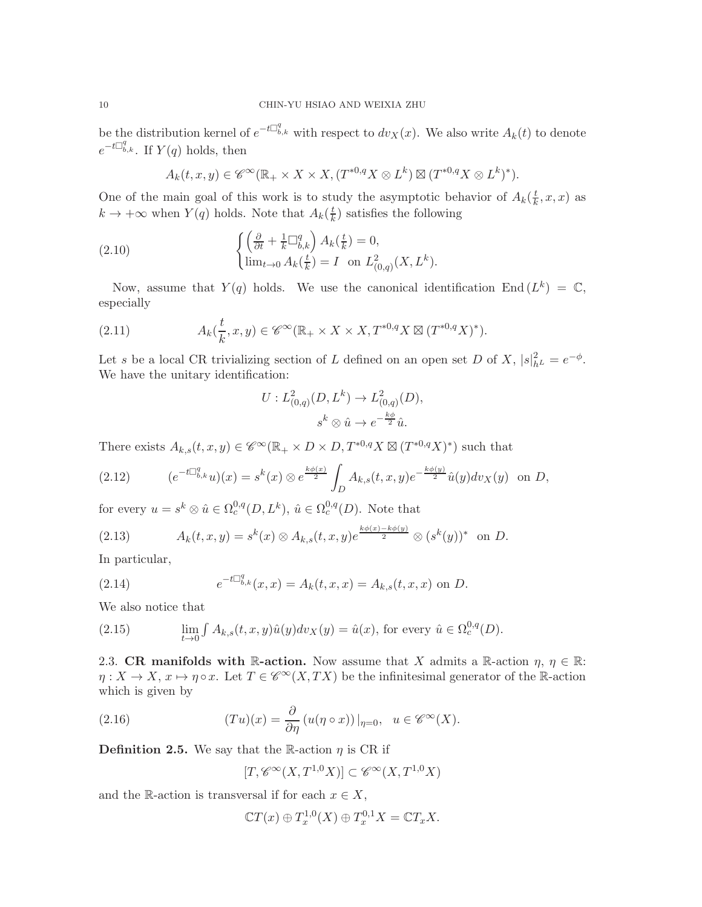be the distribution kernel of  $e^{-t\Box_{b,k}^q}$  with respect to  $dv_X(x)$ . We also write  $A_k(t)$  to denote  $e^{-t\Box_{b,k}^q}$ . If  $Y(q)$  holds, then

$$
A_k(t, x, y) \in \mathscr{C}^{\infty}(\mathbb{R}_+ \times X \times X, (T^{*0,q}X \otimes L^k) \boxtimes (T^{*0,q}X \otimes L^k)^*).
$$

One of the main goal of this work is to study the asymptotic behavior of  $A_k(\frac{t}{k})$  $\frac{t}{k}, x, x$ ) as  $k \to +\infty$  when  $Y(q)$  holds. Note that  $A_k(\frac{t}{k})$  $\frac{t}{k}$ ) satisfies the following

(2.10) 
$$
\begin{cases} \left(\frac{\partial}{\partial t} + \frac{1}{k} \Box_{b,k}^q\right) A_k(\frac{t}{k}) = 0, \\ \lim_{t \to 0} A_k(\frac{t}{k}) = I \text{ on } L^2_{(0,q)}(X, L^k). \end{cases}
$$

Now, assume that  $Y(q)$  holds. We use the canonical identification End  $(L^k) = \mathbb{C}$ , especially

(2.11) 
$$
A_k(\frac{t}{k},x,y) \in \mathscr{C}^{\infty}(\mathbb{R}_+ \times X \times X, T^{*0,q}X \boxtimes (T^{*0,q}X)^*).
$$

Let s be a local CR trivializing section of L defined on an open set D of X,  $|s|^2_{h} = e^{-\phi}$ . We have the unitary identification:

$$
U: L^{2}_{(0,q)}(D, L^{k}) \to L^{2}_{(0,q)}(D),
$$
  

$$
s^{k} \otimes \hat{u} \to e^{-\frac{k\phi}{2}}\hat{u}.
$$

There exists  $A_{k,s}(t,x,y) \in \mathscr{C}^{\infty}(\mathbb{R}_+ \times D \times D, T^{*0,q}X \boxtimes (T^{*0,q}X)^*)$  such that

(2.12) 
$$
(e^{-t\Box_{b,k}^q}u)(x) = s^k(x) \otimes e^{\frac{k\phi(x)}{2}} \int_D A_{k,s}(t,x,y) e^{-\frac{k\phi(y)}{2}} \hat{u}(y) dv_X(y) \text{ on } D,
$$

for every  $u = s^k \otimes \hat{u} \in \Omega_c^{0,q}(D, L^k)$ ,  $\hat{u} \in \Omega_c^{0,q}(D)$ . Note that

<span id="page-9-4"></span>(2.13) 
$$
A_k(t, x, y) = s^k(x) \otimes A_{k,s}(t, x, y) e^{\frac{k\phi(x) - k\phi(y)}{2}} \otimes (s^k(y))^* \text{ on } D.
$$

In particular,

<span id="page-9-1"></span>(2.14) 
$$
e^{-t\Box_{b,k}^q}(x,x) = A_k(t,x,x) = A_{k,s}(t,x,x) \text{ on } D.
$$

We also notice that

(2.15) 
$$
\lim_{t \to 0} \int A_{k,s}(t,x,y)\hat{u}(y)dv_X(y) = \hat{u}(x), \text{ for every } \hat{u} \in \Omega_c^{0,q}(D).
$$

<span id="page-9-0"></span>2.3. CR manifolds with R-action. Now assume that X admits a R-action  $\eta$ ,  $\eta \in \mathbb{R}$ :  $\eta: X \to X, x \mapsto \eta \circ x$ . Let  $T \in \mathscr{C}^{\infty}(X, TX)$  be the infinitesimal generator of the R-action which is given by

(2.16) 
$$
(Tu)(x) = \frac{\partial}{\partial \eta} (u(\eta \circ x))|_{\eta=0}, \quad u \in \mathscr{C}^{\infty}(X).
$$

<span id="page-9-2"></span>**Definition 2.5.** We say that the R-action  $\eta$  is CR if

<span id="page-9-3"></span>
$$
[T, \mathscr{C}^\infty(X, T^{1,0}X)] \subset \mathscr{C}^\infty(X, T^{1,0}X)
$$

and the R-action is transversal if for each  $x \in X$ ,

$$
\mathbb{C}T(x) \oplus T_x^{1,0}(X) \oplus T_x^{0,1}X = \mathbb{C}T_xX.
$$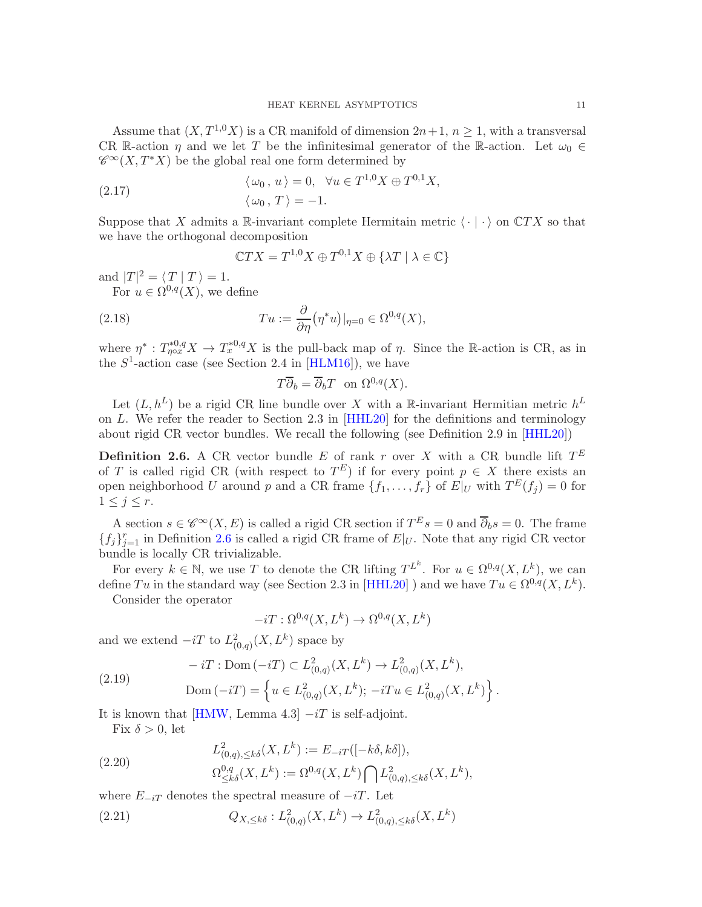Assume that  $(X, T^{1,0}X)$  is a CR manifold of dimension  $2n+1, n \ge 1$ , with a transversal CR R-action  $\eta$  and we let T be the infinitesimal generator of the R-action. Let  $\omega_0 \in$  $\mathscr{C}^{\infty}(X,T^*X)$  be the global real one form determined by

(2.17) 
$$
\langle \omega_0, u \rangle = 0, \quad \forall u \in T^{1,0}X \oplus T^{0,1}X, \langle \omega_0, T \rangle = -1.
$$

Suppose that X admits a R-invariant complete Hermitain metric  $\langle \cdot | \cdot \rangle$  on  $\mathbb{C}TX$  so that we have the orthogonal decomposition

$$
\mathbb{C}TX = T^{1,0}X \oplus T^{0,1}X \oplus \{\lambda T \mid \lambda \in \mathbb{C}\}
$$

and  $|T|^2 = \langle T | T \rangle = 1.$ 

For  $u \in \Omega^{0,q}(X)$ , we define

(2.18) 
$$
Tu := \frac{\partial}{\partial \eta} (\eta^* u)|_{\eta=0} \in \Omega^{0,q}(X),
$$

where  $\eta^*: T^{*0,q}_{\eta\circ x}X \to T^{*0,q}_{x}X$  is the pull-back map of  $\eta$ . Since the R-action is CR, as in the  $S^1$ -action case (see Section 2.4 in [\[HLM16\]](#page-40-7)), we have

$$
T\overline{\partial}_b = \overline{\partial}_b T \text{ on } \Omega^{0,q}(X).
$$

Let  $(L, h^L)$  be a rigid CR line bundle over X with a R-invariant Hermitian metric  $h^L$ on L. We refer the reader to Section 2.3 in [\[HHL20\]](#page-40-8) for the definitions and terminology about rigid CR vector bundles. We recall the following (see Definition 2.9 in [\[HHL20\]](#page-40-8))

<span id="page-10-0"></span>**Definition 2.6.** A CR vector bundle E of rank r over X with a CR bundle lift  $T^E$ of T is called rigid CR (with respect to  $T^E$ ) if for every point  $p \in X$  there exists an open neighborhood U around p and a CR frame  $\{f_1, \ldots, f_r\}$  of  $E|_U$  with  $T^E(f_j) = 0$  for  $1 \leq j \leq r$ .

A section  $s \in \mathscr{C}^{\infty}(X,E)$  is called a rigid CR section if  $T^E s = 0$  and  $\overline{\partial}_b s = 0$ . The frame  ${f_j}_{j=1}^r$  in Definition [2.6](#page-10-0) is called a rigid CR frame of  $E|_U$ . Note that any rigid CR vector bundle is locally CR trivializable.

For every  $k \in \mathbb{N}$ , we use T to denote the CR lifting  $T^{L^k}$ . For  $u \in \Omega^{0,q}(X, L^k)$ , we can define Tu in the standard way (see Section 2.3 in [\[HHL20\]](#page-40-8)) and we have  $Tu \in \Omega^{0,q}(X, L^k)$ .

Consider the operator

$$
-iT:\Omega^{0,q}(X,L^k)\to\Omega^{0,q}(X,L^k)
$$

and we extend  $-iT$  to  $L^2_{(0,q)}(X,L^k)$  space by

<span id="page-10-1"></span>(2.19) 
$$
-iT: \text{Dom}(-iT) \subset L^2_{(0,q)}(X, L^k) \to L^2_{(0,q)}(X, L^k),
$$

$$
\text{Dom}(-iT) = \left\{ u \in L^2_{(0,q)}(X, L^k); -iTu \in L^2_{(0,q)}(X, L^k) \right\}.
$$

It is known that [\[HMW,](#page-41-2) Lemma 4.3]  $-iT$  is self-adjoint.

Fix  $\delta > 0$ , let

$$
L^2_{(0,q),\leq k\delta}(X,L^k) := E_{-iT}([-k\delta,k\delta]),
$$

(2.20) 
$$
\Omega^{0,q}_{\leq k\delta}(X,L^k) := \Omega^{0,q}(X,L^k) \bigcap L^2_{(0,q),\leq k\delta}(X,L^k),
$$

where  $E_{-iT}$  denotes the spectral measure of  $-iT$ . Let

(2.21) 
$$
Q_{X,\leq k\delta}: L^2_{(0,q)}(X,L^k) \to L^2_{(0,q),\leq k\delta}(X,L^k)
$$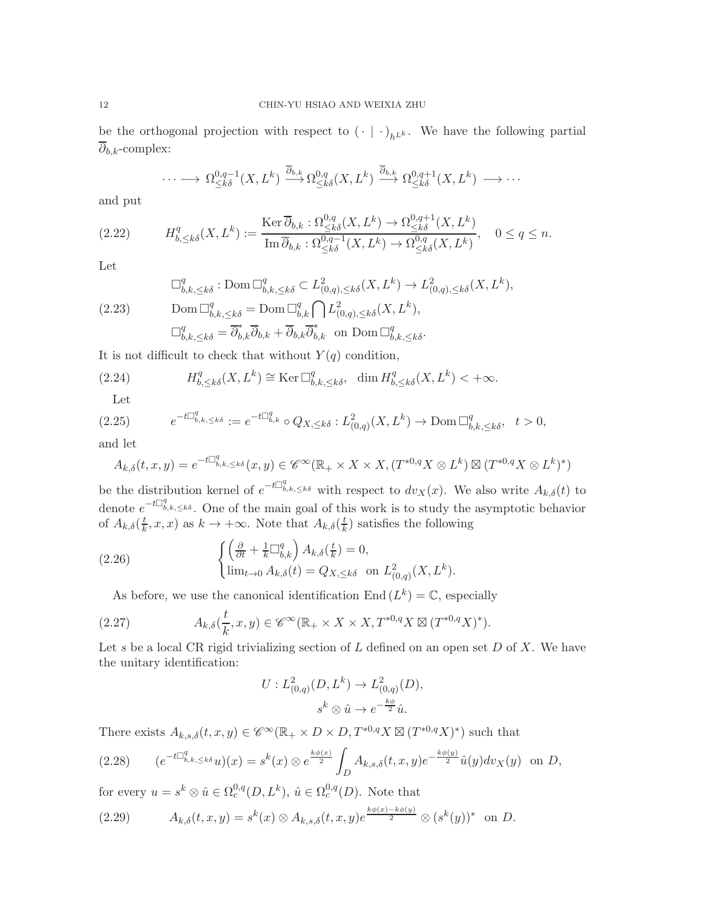be the orthogonal projection with respect to  $(\cdot | \cdot)_{h^{L^k}}$ . We have the following partial  $\partial_{b,k}$ -complex:

$$
\cdots \longrightarrow \Omega^{0,q-1}_{\leq k\delta}(X,L^k) \stackrel{\overline{\partial}_{b,k}}{\longrightarrow} \Omega^{0,q}_{\leq k\delta}(X,L^k) \stackrel{\overline{\partial}_{b,k}}{\longrightarrow} \Omega^{0,q+1}_{\leq k\delta}(X,L^k) \longrightarrow \cdots
$$

and put

$$
(2.22) \tH_{b,\leq k\delta}^q(X,L^k) := \frac{\operatorname{Ker} \overline{\partial}_{b,k} : \Omega_{\leq k\delta}^{0,q}(X,L^k) \to \Omega_{\leq k\delta}^{0,q+1}(X,L^k)}{\operatorname{Im} \overline{\partial}_{b,k} : \Omega_{\leq k\delta}^{0,q-1}(X,L^k) \to \Omega_{\leq k\delta}^{0,q}(X,L^k)}, \t0 \leq q \leq n.
$$

Let

<span id="page-11-0"></span>
$$
\Box_{b,k,\leq k\delta}^q : \text{Dom } \Box_{b,k,\leq k\delta}^q \subset L^2_{(0,q),\leq k\delta}(X,L^k) \to L^2_{(0,q),\leq k\delta}(X,L^k),
$$
\n
$$
\text{Dom } \Box_{b,k,\leq k\delta}^q = \text{Dom } \Box_{b,k}^q \bigcap L^2_{(0,q),\leq k\delta}(X,L^k),
$$
\n
$$
\Box_{b,k,\leq k\delta}^q = \overline{\partial}_{b,k}^* \overline{\partial}_{b,k} + \overline{\partial}_{b,k} \overline{\partial}_{b,k}^* \quad \text{on } \text{Dom } \Box_{b,k,\leq k\delta}^q.
$$

It is not difficult to check that without  $Y(q)$  condition,

(2.24) 
$$
H_{b,\leq k\delta}^q(X,L^k) \cong \text{Ker } \Box_{b,k,\leq k\delta}^q, \quad \dim H_{b,\leq k\delta}^q(X,L^k) < +\infty.
$$

Let

$$
(2.25) \qquad e^{-t\Box^q_{b,k,\leq k\delta}} := e^{-t\Box^q_{b,k}} \circ Q_{X,\leq k\delta} : L^2_{(0,q)}(X,L^k) \to \text{Dom }\Box^q_{b,k,\leq k\delta}, \quad t > 0,
$$

and let

$$
A_{k,\delta}(t,x,y) = e^{-t\Box_{b,k,\leq k\delta}^q}(x,y) \in \mathscr{C}^\infty(\mathbb{R}_+ \times X \times X, (T^{*0,q}X \otimes L^k) \boxtimes (T^{*0,q}X \otimes L^k)^*)
$$

be the distribution kernel of  $e^{-t\Box_{b,k,\leq k\delta}^q}$  with respect to  $dv_X(x)$ . We also write  $A_{k,\delta}(t)$  to denote  $e^{-t\Box_{b,k,\leq k\delta}^q}$ . One of the main goal of this work is to study the asymptotic behavior of  $A_{k,\delta}(\frac{t}{k})$  $(\frac{t}{k}, x, x)$  as  $k \to +\infty$ . Note that  $A_{k,\delta}(\frac{t}{k})$  $\frac{t}{k}$ ) satisfies the following

(2.26) 
$$
\begin{cases} \left(\frac{\partial}{\partial t} + \frac{1}{k} \Box_{b,k}^q\right) A_{k,\delta}(\frac{t}{k}) = 0, \\ \lim_{t \to 0} A_{k,\delta}(t) = Q_{X,\leq k\delta} \text{ on } L^2_{(0,q)}(X, L^k). \end{cases}
$$

As before, we use the canonical identification End  $(L^k) = \mathbb{C}$ , especially

(2.27) 
$$
A_{k,\delta}(\frac{t}{k},x,y) \in \mathscr{C}^{\infty}(\mathbb{R}_+ \times X \times X, T^{*0,q}X \boxtimes (T^{*0,q}X)^*).
$$

Let s be a local CR rigid trivializing section of  $L$  defined on an open set  $D$  of  $X$ . We have the unitary identification:

$$
U: L^{2}_{(0,q)}(D, L^{k}) \to L^{2}_{(0,q)}(D),
$$
  

$$
s^{k} \otimes \hat{u} \to e^{-\frac{k\phi}{2}}\hat{u}.
$$

There exists  $A_{k,s,\delta}(t,x,y) \in \mathscr{C}^{\infty}(\mathbb{R}_+ \times D \times D, T^{*0,q}X \boxtimes (T^{*0,q}X)^*)$  such that

<span id="page-11-1"></span>
$$
(2.28) \qquad (e^{-t\Box^q_{b,k,\leq k\delta}}u)(x)=s^k(x)\otimes e^{\frac{k\phi(x)}{2}}\int_D A_{k,s,\delta}(t,x,y)e^{-\frac{k\phi(y)}{2}}\hat{u}(y)dv_X(y) \text{ on } D,
$$

for every  $u = s^k \otimes \hat{u} \in \Omega_c^{0,q}(D, L^k)$ ,  $\hat{u} \in \Omega_c^{0,q}(D)$ . Note that

$$
(2.29) \t A_{k,\delta}(t,x,y) = s^k(x) \otimes A_{k,s,\delta}(t,x,y)e^{\frac{k\phi(x)-k\phi(y)}{2}} \otimes (s^k(y))^* \text{ on } D.
$$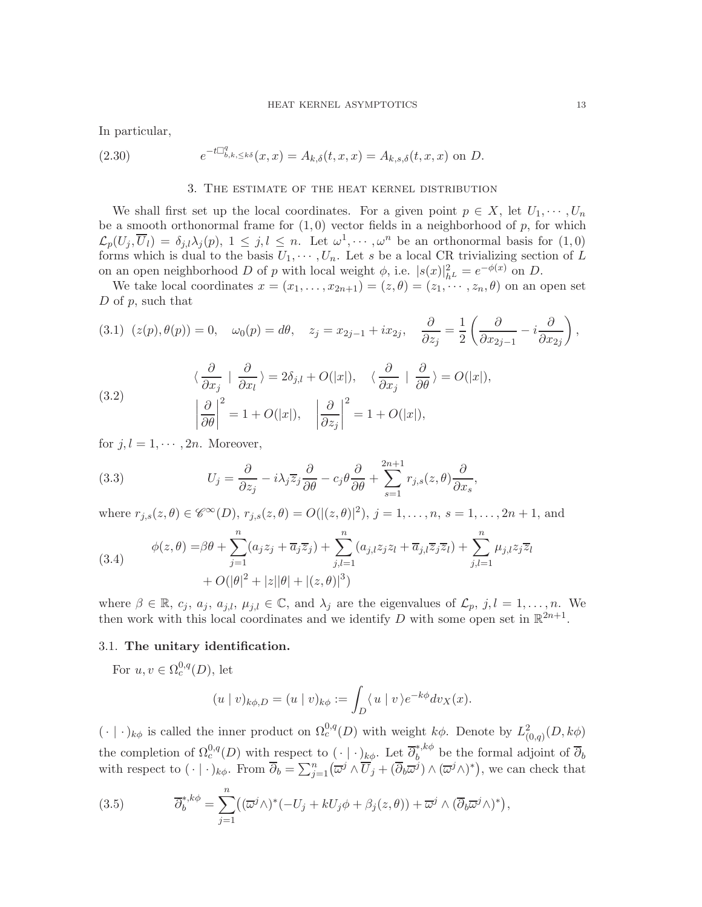In particular,

<span id="page-12-0"></span>(2.30) 
$$
e^{-t\Box_{b,k,\leq k\delta}^q}(x,x) = A_{k,\delta}(t,x,x) = A_{k,s,\delta}(t,x,x) \text{ on } D.
$$

### 3. The estimate of the heat kernel distribution

We shall first set up the local coordinates. For a given point  $p \in X$ , let  $U_1, \cdots, U_n$ be a smooth orthonormal frame for  $(1, 0)$  vector fields in a neighborhood of p, for which  $\mathcal{L}_p(U_j, \overline{U}_l) = \delta_{j,l} \lambda_j(p)$ ,  $1 \leq j, l \leq n$ . Let  $\omega^1, \dots, \omega^n$  be an orthonormal basis for  $(1,0)$ forms which is dual to the basis  $U_1, \dots, U_n$ . Let s be a local CR trivializing section of L on an open neighborhood D of p with local weight  $\phi$ , i.e.  $|s(x)|_{h^L}^2 = e^{-\phi(x)}$  on D.

We take local coordinates  $x = (x_1, \ldots, x_{2n+1}) = (z, \theta) = (z_1, \ldots, z_n, \theta)$  on an open set  $D$  of  $p$ , such that

<span id="page-12-3"></span>
$$
(3.1) (z(p), \theta(p)) = 0, \quad \omega_0(p) = d\theta, \quad z_j = x_{2j-1} + ix_{2j}, \quad \frac{\partial}{\partial z_j} = \frac{1}{2} \left( \frac{\partial}{\partial x_{2j-1}} - i \frac{\partial}{\partial x_{2j}} \right),
$$

<span id="page-12-4"></span>(3.2)  
\n
$$
\langle \frac{\partial}{\partial x_j} | \frac{\partial}{\partial x_l} \rangle = 2\delta_{j,l} + O(|x|), \quad \langle \frac{\partial}{\partial x_j} | \frac{\partial}{\partial \theta} \rangle = O(|x|),
$$
\n
$$
\left| \frac{\partial}{\partial \theta} \right|^2 = 1 + O(|x|), \quad \left| \frac{\partial}{\partial z_j} \right|^2 = 1 + O(|x|),
$$

for  $i, l = 1, \cdots, 2n$ . Moreover,

<span id="page-12-2"></span>(3.3) 
$$
U_j = \frac{\partial}{\partial z_j} - i\lambda_j \overline{z}_j \frac{\partial}{\partial \theta} - c_j \theta \frac{\partial}{\partial \theta} + \sum_{s=1}^{2n+1} r_{j,s}(z,\theta) \frac{\partial}{\partial x_s},
$$

where  $r_{j,s}(z, \theta) \in \mathscr{C}^{\infty}(D)$ ,  $r_{j,s}(z, \theta) = O(|(z, \theta)|^2)$ ,  $j = 1, ..., n$ ,  $s = 1, ..., 2n + 1$ , and

<span id="page-12-5"></span>(3.4) 
$$
\phi(z,\theta) = \beta\theta + \sum_{j=1}^{n} (a_j z_j + \overline{a}_j \overline{z}_j) + \sum_{j,l=1}^{n} (a_{j,l} z_j z_l + \overline{a}_{j,l} \overline{z}_j \overline{z}_l) + \sum_{j,l=1}^{n} \mu_{j,l} z_j \overline{z}_l
$$

$$
+ O(|\theta|^2 + |z||\theta| + |(z,\theta)|^3)
$$

where  $\beta \in \mathbb{R}$ ,  $c_j$ ,  $a_j$ ,  $a_{j,l}$ ,  $\mu_{j,l} \in \mathbb{C}$ , and  $\lambda_j$  are the eigenvalues of  $\mathcal{L}_p$ ,  $j, l = 1, \ldots, n$ . We then work with this local coordinates and we identify D with some open set in  $\mathbb{R}^{2n+1}$ .

### <span id="page-12-1"></span>3.1. The unitary identification.

For  $u, v \in \Omega_c^{0,q}(D)$ , let

$$
(u \mid v)_{k\phi,D} = (u \mid v)_{k\phi} := \int_D \langle u \mid v \rangle e^{-k\phi} dv_X(x).
$$

 $(\cdot | \cdot)_{k\phi}$  is called the inner product on  $\Omega_c^{0,q}(D)$  with weight  $k\phi$ . Denote by  $L^2_{(0,q)}(D, k\phi)$ the completion of  $\Omega_c^{0,q}(D)$  with respect to  $(\cdot | \cdot)_{k\phi}$ . Let  $\overline{\partial}_b^{*,k\phi}$  be the formal adjoint of  $\overline{\partial}_b$ with respect to  $(\cdot | \cdot)_{k\phi}$ . From  $\overline{\partial}_b = \sum_{j=1}^n (\overline{\omega}^j \wedge \overline{U}_j + (\overline{\partial}_b \overline{\omega}^j) \wedge (\overline{\omega}^j \wedge)^*)$ , we can check that

(3.5) 
$$
\overline{\partial}_b^{*,k\phi} = \sum_{j=1}^n ((\overline{\omega}^j \wedge)^* (-U_j + kU_j \phi + \beta_j(z,\theta)) + \overline{\omega}^j \wedge (\overline{\partial}_b \overline{\omega}^j \wedge)^*),
$$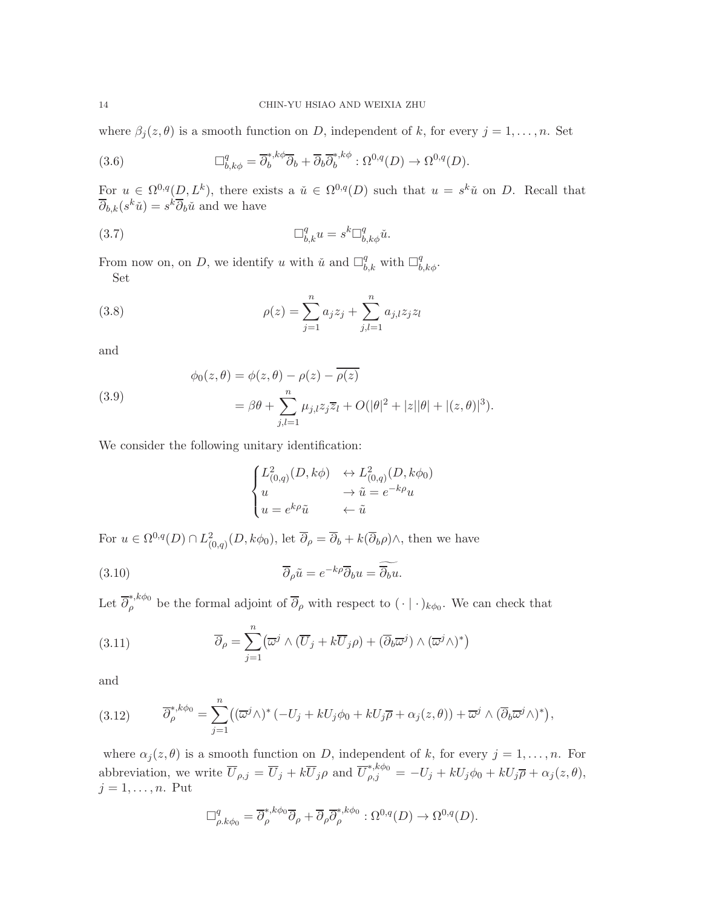where  $\beta_j(z,\theta)$  is a smooth function on D, independent of k, for every  $j=1,\ldots,n$ . Set

(3.6) 
$$
\Box_{b,k\phi}^q = \overline{\partial}_b^{*,k\phi} \overline{\partial}_b + \overline{\partial}_b \overline{\partial}_b^{*,k\phi} : \Omega^{0,q}(D) \to \Omega^{0,q}(D).
$$

For  $u \in \Omega^{0,q}(D, L^k)$ , there exists a  $\check{u} \in \Omega^{0,q}(D)$  such that  $u = s^k \check{u}$  on D. Recall that  $\overline{\partial}_{b,k}(s^k\check{u}) = s^k \overline{\partial}_b \check{u}$  and we have

(3.7) 
$$
\Box_{b,k}^q u = s^k \Box_{b,k\phi}^q \check{u}.
$$

From now on, on D, we identify u with  $\tilde{u}$  and  $\Box_{b,k}^q$  with  $\Box_{b,k\phi}^q$ . Set

(3.8) 
$$
\rho(z) = \sum_{j=1}^{n} a_j z_j + \sum_{j,l=1}^{n} a_{j,l} z_j z_l
$$

and

<span id="page-13-2"></span>(3.9)  
\n
$$
\phi_0(z,\theta) = \phi(z,\theta) - \rho(z) - \overline{\rho(z)}
$$
\n
$$
= \beta\theta + \sum_{j,l=1}^n \mu_{j,l} z_j \overline{z}_l + O(|\theta|^2 + |z||\theta| + |(z,\theta)|^3).
$$

We consider the following unitary identification:

<span id="page-13-0"></span>
$$
\begin{cases} L^2_{(0,q)}(D,k\phi) & \leftrightarrow L^2_{(0,q)}(D,k\phi_0) \\ u & \to \tilde{u} = e^{-k\rho}u \\ u = e^{k\rho}\tilde{u} & \leftarrow \tilde{u} \end{cases}
$$

For  $u \in \Omega^{0,q}(D) \cap L^2_{(0,q)}(D, k\phi_0)$ , let  $\overline{\partial}_{\rho} = \overline{\partial}_b + k(\overline{\partial}_b \rho) \wedge$ , then we have

(3.10) 
$$
\overline{\partial}_{\rho}\tilde{u} = e^{-k\rho}\overline{\partial}_{b}u = \widetilde{\overline{\partial}_{b}u}.
$$

Let  $\overline{\partial}_{\rho}^{*,k\phi_0}$  be the formal adjoint of  $\overline{\partial}_{\rho}$  with respect to  $(\cdot | \cdot)_{k\phi_0}$ . We can check that

(3.11) 
$$
\overline{\partial}_{\rho} = \sum_{j=1}^{n} (\overline{\omega}^{j} \wedge (\overline{U}_{j} + k\overline{U}_{j}\rho) + (\overline{\partial}_{b}\overline{\omega}^{j}) \wedge (\overline{\omega}^{j}\wedge)^{*})
$$

and

<span id="page-13-1"></span>(3.12) 
$$
\overline{\partial}_{\rho}^{*,k\phi_0} = \sum_{j=1}^n ((\overline{\omega}^j \wedge)^* (-U_j + kU_j \phi_0 + kU_j \overline{\rho} + \alpha_j(z,\theta)) + \overline{\omega}^j \wedge (\overline{\partial}_b \overline{\omega}^j \wedge)^*),
$$

where  $\alpha_j(z,\theta)$  is a smooth function on D, independent of k, for every  $j=1,\ldots,n$ . For abbreviation, we write  $\overline{U}_{\rho,j} = \overline{U}_j + k \overline{U}_j \rho$  and  $\overline{U}_{\rho,j}^{*,k\phi_0} = -U_j + kU_j \phi_0 + kU_j \overline{\rho} + \alpha_j(z,\theta)$ ,  $j = 1, \ldots, n$ . Put

$$
\Box^q_{\rho.k\phi_0} = \overline{\partial}^{*,k\phi_0}_{\rho} \overline{\partial}_{\rho} + \overline{\partial}_{\rho} \overline{\partial}^{*,k\phi_0}_{\rho} : \Omega^{0,q}(D) \to \Omega^{0,q}(D).
$$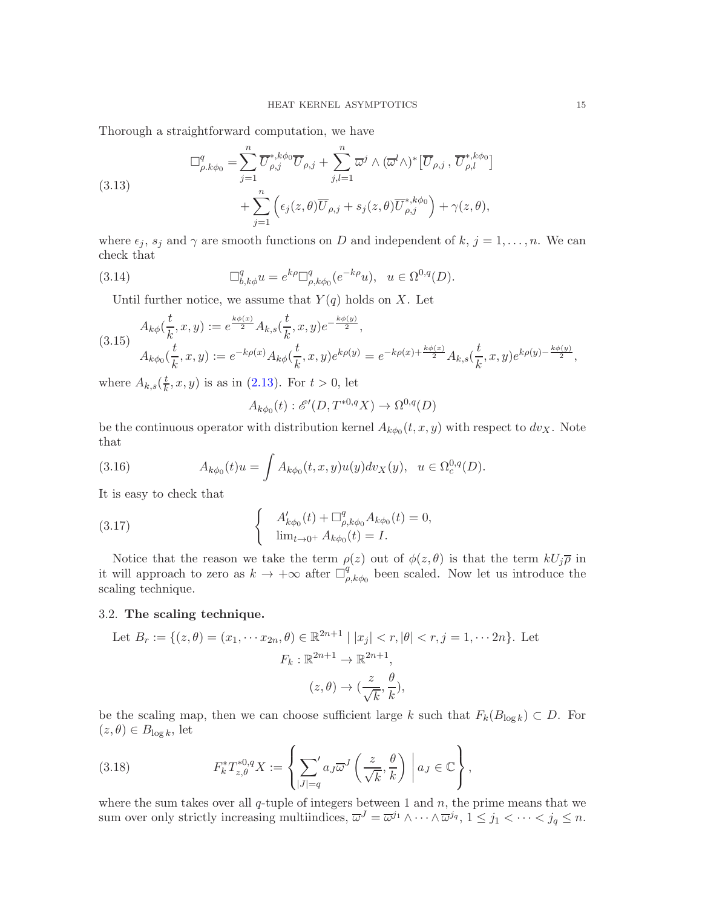Thorough a straightforward computation, we have

(3.13)  
\n
$$
\Box_{\rho.k\phi_0}^q = \sum_{j=1}^n \overline{U}_{\rho,j}^{*,k\phi_0} \overline{U}_{\rho,j} + \sum_{j,l=1}^n \overline{\omega}^j \wedge (\overline{\omega}^l \wedge)^* [\overline{U}_{\rho,j}, \overline{U}_{\rho,l}^{*,k\phi_0}] + \sum_{j=1}^n \left( \epsilon_j(z,\theta) \overline{U}_{\rho,j} + s_j(z,\theta) \overline{U}_{\rho,j}^{*,k\phi_0} \right) + \gamma(z,\theta),
$$

where  $\epsilon_j$ ,  $s_j$  and  $\gamma$  are smooth functions on D and independent of  $k, j = 1, ..., n$ . We can check that

(3.14) 
$$
\Box_{b,k\phi}^q u = e^{k\rho} \Box_{\rho,k\phi_0}^q (e^{-k\rho} u), \ \ u \in \Omega^{0,q}(D).
$$

<span id="page-14-2"></span>Until further notice, we assume that  $Y(q)$  holds on X. Let

<span id="page-14-1"></span>
$$
(3.15) \quad\n\begin{aligned}\nA_{k\phi}(\frac{t}{k},x,y) &:= e^{\frac{k\phi(x)}{2}} A_{k,s}(\frac{t}{k},x,y) e^{-\frac{k\phi(y)}{2}}, \\
A_{k\phi_0}(\frac{t}{k},x,y) &:= e^{-k\rho(x)} A_{k\phi}(\frac{t}{k},x,y) e^{k\rho(y)} = e^{-k\rho(x) + \frac{k\phi(x)}{2}} A_{k,s}(\frac{t}{k},x,y) e^{k\rho(y) - \frac{k\phi(y)}{2}},\n\end{aligned}
$$

where  $A_{k,s}(\frac{t}{k})$  $\frac{t}{k}$ , x, y) is as in [\(2.13\)](#page-9-4). For  $t > 0$ , let

$$
A_{k\phi_0}(t): \mathscr{E}'(D, T^{*0,q}X) \to \Omega^{0,q}(D)
$$

be the continuous operator with distribution kernel  $A_{k\phi_0}(t, x, y)$  with respect to  $dv_X$ . Note that

(3.16) 
$$
A_{k\phi_0}(t)u = \int A_{k\phi_0}(t,x,y)u(y)dv_X(y), \quad u \in \Omega_c^{0,q}(D).
$$

It is easy to check that

(3.17) 
$$
\begin{cases} A'_{k\phi_0}(t) + \Box^q_{\rho,k\phi_0} A_{k\phi_0}(t) = 0, \\ \lim_{t \to 0^+} A_{k\phi_0}(t) = I. \end{cases}
$$

Notice that the reason we take the term  $\rho(z)$  out of  $\phi(z, \theta)$  is that the term  $kU_j\overline{\rho}$  in it will approach to zero as  $k \to +\infty$  after  $\Box_{\rho}^{q}$  $_{\rho,k\phi_0}^q$  been scaled. Now let us introduce the scaling technique.

#### <span id="page-14-0"></span>3.2. The scaling technique.

Let 
$$
B_r := \{(z, \theta) = (x_1, \dots, x_{2n}, \theta) \in \mathbb{R}^{2n+1} \mid |x_j| < r, |\theta| < r, j = 1, \dots, 2n\}
$$
. Let\n
$$
F_k : \mathbb{R}^{2n+1} \to \mathbb{R}^{2n+1},
$$
\n
$$
(z, \theta) \to \left(\frac{z}{\sqrt{k}}, \frac{\theta}{k}\right),
$$

be the scaling map, then we can choose sufficient large k such that  $F_k(B_{\log k}) \subset D$ . For  $(z, \theta) \in B_{\log k}$ , let

(3.18) 
$$
F_k^* T_{z,\theta}^{*0,q} X := \left\{ \sum_{|J|=q} a_J \overline{\omega}^J \left( \frac{z}{\sqrt{k}}, \frac{\theta}{k} \right) \middle| a_J \in \mathbb{C} \right\},
$$

where the sum takes over all  $q$ -tuple of integers between 1 and  $n$ , the prime means that we sum over only strictly increasing multiindices,  $\overline{\omega}^J = \overline{\omega}^{j_1} \wedge \cdots \wedge \overline{\omega}^{j_q}, 1 \leq j_1 < \cdots < j_q \leq n$ .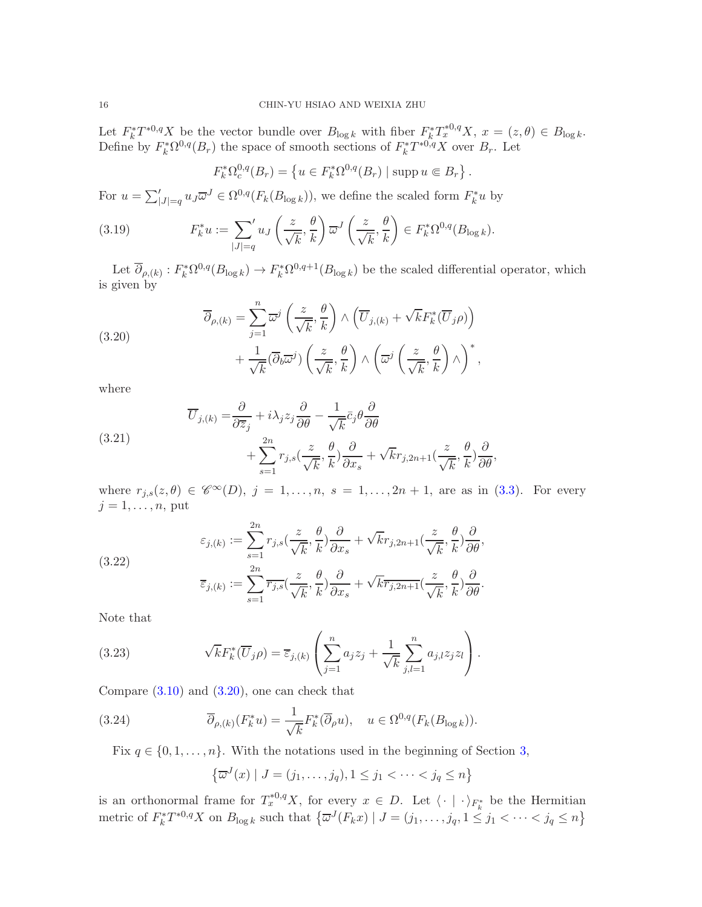Let  $F_k^*T^{*0,q}X$  be the vector bundle over  $B_{\log k}$  with fiber  $F_k^*T_x^{*0,q}X$ ,  $x = (z,\theta) \in B_{\log k}$ . Define by  $F_k^* \Omega^{0,q}(B_r)$  the space of smooth sections of  $F_k^* T^{*0,q} X$  over  $B_r$ . Let

$$
F_k^* \Omega_c^{0,q}(B_r) = \{ u \in F_k^* \Omega^{0,q}(B_r) \mid \text{supp } u \in B_r \}.
$$

For  $u = \sum_{|J|=q}^{\prime} u_J \overline{\omega}^J \in \Omega^{0,q}(F_k(B_{\log k}))$ , we define the scaled form  $F_k^*u$  by

(3.19) 
$$
F_k^* u := \sum_{|J|=q} u_J \left( \frac{z}{\sqrt{k}}, \frac{\theta}{k} \right) \overline{\omega}^J \left( \frac{z}{\sqrt{k}}, \frac{\theta}{k} \right) \in F_k^* \Omega^{0,q}(B_{\log k}).
$$

Let  $\overline{\partial}_{\rho,(k)} : F_k^* \Omega^{0,q}(B_{\log k}) \to F_k^* \Omega^{0,q+1}(B_{\log k})$  be the scaled differential operator, which is given by

<span id="page-15-0"></span>(3.20)  

$$
\overline{\partial}_{\rho,(k)} = \sum_{j=1}^{n} \overline{\omega}^{j} \left( \frac{z}{\sqrt{k}}, \frac{\theta}{k} \right) \wedge \left( \overline{U}_{j,(k)} + \sqrt{k} F_{k}^{*} (\overline{U}_{j}\rho) \right) + \frac{1}{\sqrt{k}} (\overline{\partial}_{b}\overline{\omega}^{j}) \left( \frac{z}{\sqrt{k}}, \frac{\theta}{k} \right) \wedge \left( \overline{\omega}^{j} \left( \frac{z}{\sqrt{k}}, \frac{\theta}{k} \right) \wedge \right)^{*},
$$

where

<span id="page-15-2"></span>(3.21) 
$$
\overline{U}_{j,(k)} = \frac{\partial}{\partial \overline{z}_j} + i\lambda_j z_j \frac{\partial}{\partial \theta} - \frac{1}{\sqrt{k}} \overline{c}_j \theta \frac{\partial}{\partial \theta} + \sum_{s=1}^{2n} r_{j,s} \left( \frac{z}{\sqrt{k}}, \frac{\theta}{k} \right) \frac{\partial}{\partial x_s} + \sqrt{k} r_{j,2n+1} \left( \frac{z}{\sqrt{k}}, \frac{\theta}{k} \right) \frac{\partial}{\partial \theta},
$$

where  $r_{j,s}(z,\theta) \in \mathscr{C}^{\infty}(D)$ ,  $j = 1,\ldots,n$ ,  $s = 1,\ldots,2n+1$ , are as in [\(3.3\)](#page-12-2). For every  $j = 1, \ldots, n$ , put

(3.22)  

$$
\varepsilon_{j,(k)} := \sum_{s=1}^{2n} r_{j,s} \left(\frac{z}{\sqrt{k}}, \frac{\theta}{k}\right) \frac{\partial}{\partial x_s} + \sqrt{k} r_{j,2n+1} \left(\frac{z}{\sqrt{k}}, \frac{\theta}{k}\right) \frac{\partial}{\partial \theta},
$$

$$
\overline{\varepsilon}_{j,(k)} := \sum_{s=1}^{2n} \overline{r_{j,s}} \left(\frac{z}{\sqrt{k}}, \frac{\theta}{k}\right) \frac{\partial}{\partial x_s} + \sqrt{k} \overline{r_{j,2n+1}} \left(\frac{z}{\sqrt{k}}, \frac{\theta}{k}\right) \frac{\partial}{\partial \theta}.
$$

Note that

<span id="page-15-3"></span>(3.23) 
$$
\sqrt{k}F_k^*(\overline{U}_j \rho) = \overline{\varepsilon}_{j,(k)} \left( \sum_{j=1}^n a_j z_j + \frac{1}{\sqrt{k}} \sum_{j,l=1}^n a_{j,l} z_j z_l \right).
$$

Compare  $(3.10)$  and  $(3.20)$ , one can check that

(3.24) 
$$
\overline{\partial}_{\rho,(k)}(F_k^*u) = \frac{1}{\sqrt{k}} F_k^*(\overline{\partial}_{\rho}u), \quad u \in \Omega^{0,q}(F_k(B_{\log k})).
$$

Fix  $q \in \{0, 1, \ldots, n\}$ . With the notations used in the beginning of Section [3,](#page-12-0)

<span id="page-15-1"></span>
$$
\left\{ \overline{\omega}^J(x) \mid J = (j_1, \dots, j_q), 1 \le j_1 < \dots < j_q \le n \right\}
$$

is an orthonormal frame for  $T^{*0,q}_xX$ , for every  $x \in D$ . Let  $\langle \cdot | \cdot \rangle_{F^*_k}$  be the Hermitian metric of  $F_k^*T^{*0,q}X$  on  $B_{\log k}$  such that  $\{\overline{\omega}^J(F_kx) \mid J=(j_1,\ldots,j_q, 1\leq j_1 < \cdots < j_q \leq n\}$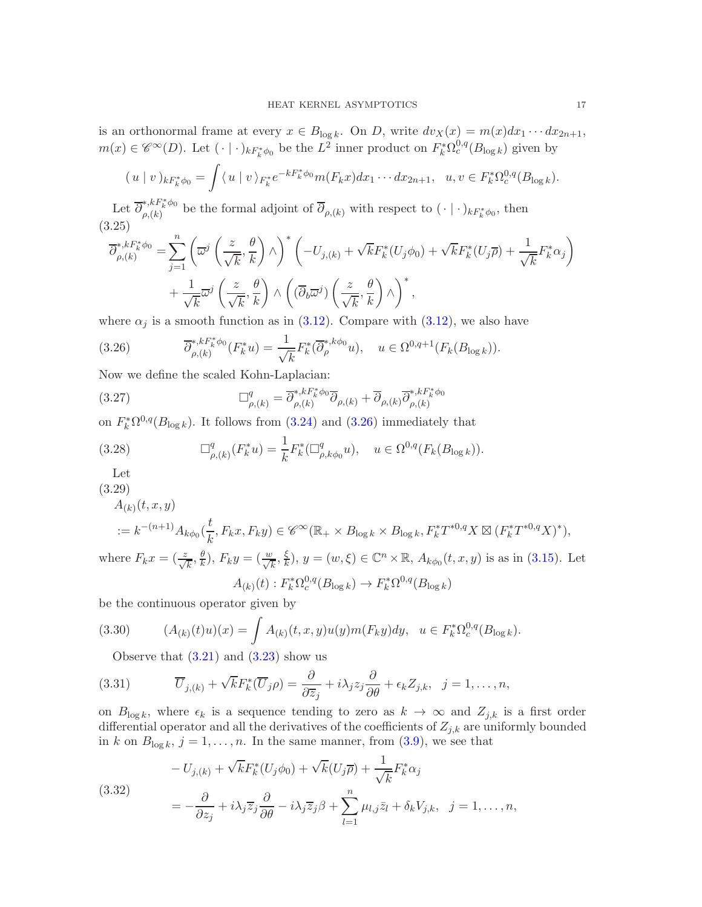is an orthonormal frame at every  $x \in B_{\log k}$ . On D, write  $dv_X(x) = m(x)dx_1 \cdots dx_{2n+1}$ ,  $m(x) \in \mathscr{C}^{\infty}(D)$ . Let  $(\cdot | \cdot)_{kF_k^*\phi_0}$  be the  $L^2$  inner product on  $F_k^*\Omega_c^{0,q}(B_{\log k})$  given by

$$
(u \mid v)_{kF_k^*\phi_0} = \int \langle u \mid v \rangle_{F_k^*} e^{-kF_k^*\phi_0} m(F_k x) dx_1 \cdots dx_{2n+1}, \ \ u, v \in F_k^* \Omega_c^{0,q}(B_{\log k}).
$$

Let  $\overline{\partial}_{a(k)}^{*,kF_k^*\phi_0}$ <sup>\*,n</sup><sup>k</sup><sup>w0</sup> be the formal adjoint of  $\partial_{\rho,(k)}$  with respect to  $(\cdot | \cdot)_{kF_k^*\phi_0}$ , then (3.25)

<span id="page-16-1"></span>
$$
\overline{\partial}_{\rho,(k)}^{*,kF_k^*\phi_0} = \sum_{j=1}^n \left( \overline{\omega}^j \left( \frac{z}{\sqrt{k}}, \frac{\theta}{k} \right) \wedge \right)^* \left( -U_{j,(k)} + \sqrt{k} F_k^*(U_j \phi_0) + \sqrt{k} F_k^*(U_j \overline{\rho}) + \frac{1}{\sqrt{k}} F_k^* \alpha_j \right) + \frac{1}{\sqrt{k}} \overline{\omega}^j \left( \frac{z}{\sqrt{k}}, \frac{\theta}{k} \right) \wedge \left( (\overline{\partial}_b \overline{\omega}^j) \left( \frac{z}{\sqrt{k}}, \frac{\theta}{k} \right) \wedge \right)^*,
$$

where  $\alpha_j$  is a smooth function as in [\(3.12\)](#page-13-1). Compare with (3.12), we also have

<span id="page-16-0"></span>(3.26) 
$$
\overline{\partial}_{\rho,(k)}^{*,kF_k^*\phi_0}(F_k^*u) = \frac{1}{\sqrt{k}} F_k^*(\overline{\partial}_{\rho}^{*,k\phi_0}u), \quad u \in \Omega^{0,q+1}(F_k(B_{\log k})).
$$

Now we define the scaled Kohn-Laplacian:

<span id="page-16-6"></span>(3.27) 
$$
\Box^q_{\rho,(k)} = \overline{\partial}^{*,kF^*_k \phi_0}_{\rho,(k)} \overline{\partial}_{\rho,(k)} + \overline{\partial}_{\rho,(k)} \overline{\partial}^{*,kF^*_k \phi_0}_{\rho,(k)}
$$

on  $F_k^* \Omega^{0,q}(B_{\log k})$ . It follows from [\(3.24\)](#page-15-1) and [\(3.26\)](#page-16-0) immediately that

<span id="page-16-4"></span>(3.28) 
$$
\Box^q_{\rho,(k)}(F_k^*u) = \frac{1}{k} F_k^* (\Box^q_{\rho,k\phi_0} u), \quad u \in \Omega^{0,q}(F_k(B_{\log k})).
$$

Let

(3.29)

<span id="page-16-5"></span>
$$
A_{(k)}(t, x, y)
$$
  
 :=  $k^{-(n+1)}A_{k\phi_0}(\frac{t}{k}, F_k x, F_k y) \in \mathscr{C}^{\infty}(\mathbb{R}_+ \times B_{\log k} \times B_{\log k}, F_k^* T^{*0,q} X \boxtimes (F_k^* T^{*0,q} X)^*),$   
 are  $F_{(k,n)}(z, \theta) \cdot F_{(k,n)}(w, \xi) \cdot g(x, \theta) \in \mathbb{C}^n \times \mathbb{R}^n$ ,  $(t, x, y)$  is a single (2.15).

where  $F_k x = (\frac{z}{\sqrt{k}}, \frac{\theta}{k})$  $(\frac{\theta}{k}), F_k y = (\frac{w}{\sqrt{k}}, \frac{\xi}{k})$  $(\frac{\xi}{k}), y = (w, \xi) \in \mathbb{C}^n \times \mathbb{R}, A_{k\phi_0}(t, x, y)$  is as in [\(3.15\)](#page-14-1). Let  $A_{(k)}(t) : F_k^* \Omega_c^{0,q}(B_{\log k}) \to F_k^* \Omega^{0,q}(B_{\log k})$ 

be the continuous operator given by

(3.30) 
$$
(A_{(k)}(t)u)(x) = \int A_{(k)}(t,x,y)u(y)m(F_ky)dy, \quad u \in F_k^*\Omega_c^{0,q}(B_{\log k}).
$$

<span id="page-16-2"></span>Observe that  $(3.21)$  and  $(3.23)$  show us

(3.31) 
$$
\overline{U}_{j,(k)} + \sqrt{k} F_k^*(\overline{U}_j \rho) = \frac{\partial}{\partial \overline{z}_j} + i\lambda_j z_j \frac{\partial}{\partial \theta} + \epsilon_k Z_{j,k}, \ \ j = 1, \ldots, n,
$$

on  $B_{\log k}$ , where  $\epsilon_k$  is a sequence tending to zero as  $k \to \infty$  and  $Z_{j,k}$  is a first order differential operator and all the derivatives of the coefficients of  $Z_{j,k}$  are uniformly bounded in k on  $B_{\log k}$ ,  $j = 1, ..., n$ . In the same manner, from [\(3.9\)](#page-13-2), we see that

<span id="page-16-3"></span>(3.32)  
\n
$$
-U_{j,(k)} + \sqrt{k} F_k^*(U_j \phi_0) + \sqrt{k}(U_j \overline{\rho}) + \frac{1}{\sqrt{k}} F_k^* \alpha_j
$$
\n
$$
= -\frac{\partial}{\partial z_j} + i\lambda_j \overline{z}_j \frac{\partial}{\partial \theta} - i\lambda_j \overline{z}_j \beta + \sum_{l=1}^n \mu_{l,j} \overline{z}_l + \delta_k V_{j,k}, \quad j = 1, \dots, n,
$$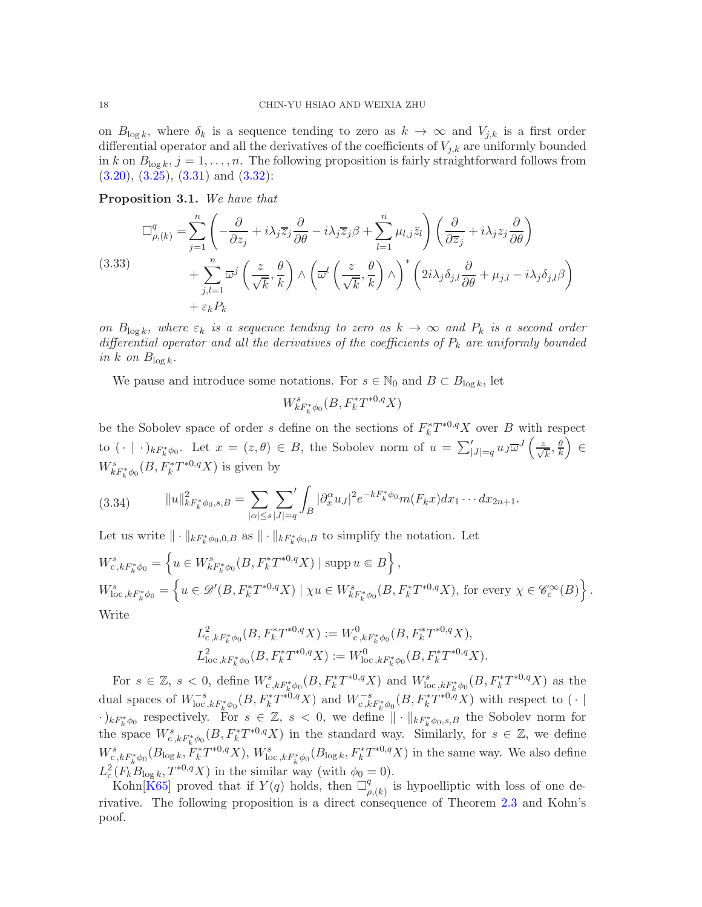on  $B_{\log k}$ , where  $\delta_k$  is a sequence tending to zero as  $k \to \infty$  and  $V_{j,k}$  is a first order differential operator and all the derivatives of the coefficients of  $V_{j,k}$  are uniformly bounded in k on  $B_{\log k}$ ,  $j = 1, \ldots, n$ . The following proposition is fairly straightforward follows from  $(3.20), (3.25), (3.31)$  $(3.20), (3.25), (3.31)$  $(3.20), (3.25), (3.31)$  $(3.20), (3.25), (3.31)$  $(3.20), (3.25), (3.31)$  and  $(3.32)$ :

Proposition 3.1. We have that

<span id="page-17-0"></span>
$$
\Box_{\rho,(k)}^q = \sum_{j=1}^n \left( -\frac{\partial}{\partial z_j} + i\lambda_j \overline{z}_j \frac{\partial}{\partial \theta} - i\lambda_j \overline{z}_j \beta + \sum_{l=1}^n \mu_{l,j} \overline{z}_l \right) \left( \frac{\partial}{\partial \overline{z}_j} + i\lambda_j z_j \frac{\partial}{\partial \theta} \right) + \sum_{j,l=1}^n \overline{\omega}^j \left( \frac{z}{\sqrt{k}}, \frac{\theta}{k} \right) \wedge \left( \overline{\omega}^l \left( \frac{z}{\sqrt{k}}, \frac{\theta}{k} \right) \wedge \right)^* \left( 2i\lambda_j \delta_{j,l} \frac{\partial}{\partial \theta} + \mu_{j,l} - i\lambda_j \delta_{j,l} \beta \right) + \varepsilon_k P_k
$$

on  $B_{\log k}$ , where  $\varepsilon_k$  is a sequence tending to zero as  $k \to \infty$  and  $P_k$  is a second order differential operator and all the derivatives of the coefficients of  $P_k$  are uniformly bounded in k on  $B_{\log k}$ .

We pause and introduce some notations. For  $s \in \mathbb{N}_0$  and  $B \subset B_{\log k}$ , let

$$
W_{kF_k^*\phi_0}^s(B, F_k^*T^{*0,q}X)
$$

be the Sobolev space of order s define on the sections of  $F_k^*T^{*0,q}X$  over B with respect to  $(\cdot \mid \cdot)_{kF_k^*\phi_0}$ . Let  $x = (z, \theta) \in B$ , the Sobolev norm of  $u = \sum_{|J|=q}^{\prime} u_J \overline{\omega}^J \left( \frac{z}{\sqrt{k}}, \frac{\theta}{k} \right)$ k  $\overline{ }$ ∈  $W^s_{kF^*_k\phi_0}(B, F^*_kT^{*0,q}X)$  is given by

(3.34) 
$$
||u||_{kF_k^*\phi_0,s,B}^2 = \sum_{|\alpha| \le s} \sum_{|J|=q} \int_B |\partial_x^{\alpha} u_J|^2 e^{-kF_k^*\phi_0} m(F_k x) dx_1 \cdots dx_{2n+1}.
$$

Let us write  $\|\cdot\|_{kF_k^*\phi_0,0,B}$  as  $\|\cdot\|_{kF_k^*\phi_0,B}$  to simplify the notation. Let

$$
W_{c,kF_k^*\phi_0}^s = \left\{ u \in W_{kF_k^*\phi_0}^s(B, F_k^*T^{*0,q}X) \mid \operatorname{supp} u \in B \right\},
$$
  
\n
$$
W_{\text{loc},kF_k^*\phi_0}^s = \left\{ u \in \mathscr{D}'(B, F_k^*T^{*0,q}X) \mid \chi u \in W_{kF_k^*\phi_0}^s(B, F_k^*T^{*0,q}X), \text{ for every } \chi \in \mathscr{C}_c^\infty(B) \right\}.
$$
  
\nWrite

$$
L^2_{c,kF_k^*\phi_0}(B, F_k^*T^{*0,q}X) := W^0_{c,kF_k^*\phi_0}(B, F_k^*T^{*0,q}X),
$$
  

$$
L^2_{\text{loc}, kF_k^*\phi_0}(B, F_k^*T^{*0,q}X) := W^0_{\text{loc}, kF_k^*\phi_0}(B, F_k^*T^{*0,q}X).
$$

For  $s \in \mathbb{Z}$ ,  $s < 0$ , define  $W_{c, kF_k^*\phi_0}^s(B, F_k^*T^{*0,q}X)$  and  $W_{\text{loc}, kF_k^*\phi_0}^s(B, F_k^*T^{*0,q}X)$  as the dual spaces of  $W^{-s}_{\text{loc},kF^*_k\phi_0}(B, F^*_kT^{*0,q}X)$  and  $W^{-s}_{c,kF^*_k\phi_0}(B, F^*_kT^{*0,q}X)$  with respect to  $(·|$  $(k)_{k}F_{k}^{*}\phi_{0}$  respectively. For  $s \in \mathbb{Z}$ ,  $s < 0$ , we define  $\|\cdot\|_{k}F_{k}^{*}\phi_{0}, s, B$  the Sobolev norm for the space  $W_{c,kF_k^*\phi_0}^s(B, F_k^*T^{*0,q}X)$  in the standard way. Similarly, for  $s \in \mathbb{Z}$ , we define  $W_{c,kF_k^*\phi_0}^s(B_{\log k}, F_k^*T^{*0,q}X), W_{\text{loc},kF_k^*\phi_0}^s(B_{\log k}, F_k^*T^{*0,q}X)$  in the same way. We also define  $L^2_{\rm c}(F_k B_{\log k}, T^{*0,q}X)$  in the similar way (with  $\phi_0 = 0$ ).

Kohn $\overline{[K65]}$  $\overline{[K65]}$  $\overline{[K65]}$  proved that if  $Y(q)$  holds, then  $\Box_q^q$  $_{\rho,(k)}^q$  is hypoelliptic with loss of one derivative. The following proposition is a direct consequence of Theorem [2.3](#page-8-3) and Kohn's poof.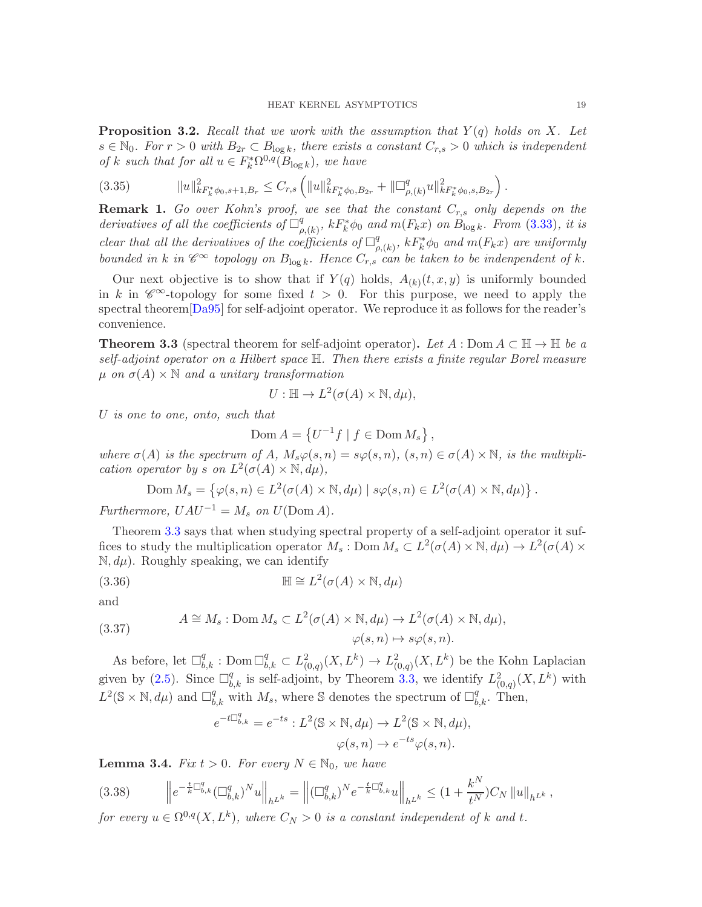<span id="page-18-1"></span>**Proposition 3.2.** Recall that we work with the assumption that  $Y(q)$  holds on X. Let  $s \in \mathbb{N}_0$ . For  $r > 0$  with  $B_{2r} \subset B_{\log k}$ , there exists a constant  $C_{r,s} > 0$  which is independent of k such that for all  $u \in F_k^* \Omega^{0,q}(\overline{B}_{\log k})$ , we have

(3.35) kuk 2 kF<sup>∗</sup> k <sup>φ</sup>0,s+1,B<sup>r</sup> <sup>≤</sup> <sup>C</sup>r,s kuk 2 kF<sup>∗</sup> k <sup>φ</sup>0,B2<sup>r</sup> <sup>+</sup> <sup>k</sup> q ρ,(k) uk 2 kF<sup>∗</sup> k φ0,s,B2<sup>r</sup> .

<span id="page-18-3"></span>**Remark 1.** Go over Kohn's proof, we see that the constant  $C_{r,s}$  only depends on the derivatives of all the coefficients of  $\Box_g^q$  $\mathcal{F}_{\rho,(k)}^{q},\ kF_{k}^{*}\phi_{0}\ and\ m(F_{k}x)\ on\ B_{\log k}.$  From [\(3.33\)](#page-17-0), it is clear that all the derivatives of the coefficients of  $\Box^q_\rho$  $\mathcal{E}_{\rho,(k)}^{q},\ kF_{k}^{*}\phi_{0}\ and\ m(F_{k}x)\ are\ uniformly.$ bounded in k in  $\mathscr{C}^{\infty}$  topology on  $B_{\log k}$ . Hence  $C_{r,s}$  can be taken to be indenpendent of k.

Our next objective is to show that if  $Y(q)$  holds,  $A_{(k)}(t, x, y)$  is uniformly bounded in k in  $\mathscr{C}^{\infty}$ -topology for some fixed  $t > 0$ . For this purpose, we need to apply the spectral theorem[\[Da95\]](#page-40-9) for self-adjoint operator. We reproduce it as follows for the reader's convenience.

<span id="page-18-0"></span>**Theorem 3.3** (spectral theorem for self-adjoint operator). Let  $A : Dom A \subset \mathbb{H} \to \mathbb{H}$  be a self-adjoint operator on a Hilbert space H. Then there exists a finite regular Borel measure  $\mu$  on  $\sigma(A) \times \mathbb{N}$  and a unitary transformation

$$
U: \mathbb{H} \to L^2(\sigma(A) \times \mathbb{N}, d\mu),
$$

U is one to one, onto, such that

$$
Dom A = \left\{ U^{-1} f \mid f \in Dom M_s \right\},\
$$

where  $\sigma(A)$  is the spectrum of A,  $M_s\varphi(s,n) = s\varphi(s,n)$ ,  $(s,n) \in \sigma(A) \times \mathbb{N}$ , is the multiplication operator by s on  $L^2(\sigma(A) \times \mathbb{N}, d\mu)$ ,

$$
\text{Dom } M_s = \left\{ \varphi(s, n) \in L^2(\sigma(A) \times \mathbb{N}, d\mu) \mid s\varphi(s, n) \in L^2(\sigma(A) \times \mathbb{N}, d\mu) \right\}.
$$

Furthermore,  $UAU^{-1} = M_s$  on  $U(\text{Dom }A)$ .

Theorem [3.3](#page-18-0) says that when studying spectral property of a self-adjoint operator it suffices to study the multiplication operator  $M_s$ : Dom  $M_s \subset L^2(\sigma(A) \times \mathbb{N}, d\mu) \to L^2(\sigma(A) \times$  $\mathbb{N}, d\mu$ ). Roughly speaking, we can identify

(3.36) 
$$
\mathbb{H} \cong L^2(\sigma(A) \times \mathbb{N}, d\mu)
$$

and

(3.37) 
$$
A \cong M_s: \text{Dom } M_s \subset L^2(\sigma(A) \times \mathbb{N}, d\mu) \to L^2(\sigma(A) \times \mathbb{N}, d\mu),
$$

$$
\varphi(s, n) \mapsto s\varphi(s, n).
$$

As before, let  $\Box_{b,k}^q$ : Dom  $\Box_{b,k}^q \subset L^2_{(0,q)}(X,L^k) \to L^2_{(0,q)}(X,L^k)$  be the Kohn Laplacian given by [\(2.5\)](#page-8-0). Since  $\Box_{b,k}^q$  is self-adjoint, by Theorem [3.3,](#page-18-0) we identify  $L^2_{(0,q)}(X,L^k)$  with  $L^2(\mathbb{S} \times \mathbb{N}, d\mu)$  and  $\Box_{b,k}^q$  with  $M_s$ , where S denotes the spectrum of  $\Box_{b,k}^q$ . Then,

$$
e^{-t\Box_{b,k}^q} = e^{-ts} : L^2(\mathbb{S} \times \mathbb{N}, d\mu) \to L^2(\mathbb{S} \times \mathbb{N}, d\mu),
$$

$$
\varphi(s, n) \to e^{-ts}\varphi(s, n).
$$

<span id="page-18-2"></span>**Lemma 3.4.** Fix  $t > 0$ . For every  $N \in \mathbb{N}_0$ , we have

$$
(3.38) \qquad \left\| e^{-\frac{t}{k}\Box_{b,k}^q} (\Box_{b,k}^q)^N u \right\|_{h^{L^k}} = \left\| (\Box_{b,k}^q)^N e^{-\frac{t}{k}\Box_{b,k}^q} u \right\|_{h^{L^k}} \le (1 + \frac{k^N}{t^N}) C_N \left\| u \right\|_{h^{L^k}},
$$

for every  $u \in \Omega^{0,q}(X,L^k)$ , where  $C_N > 0$  is a constant independent of k and t.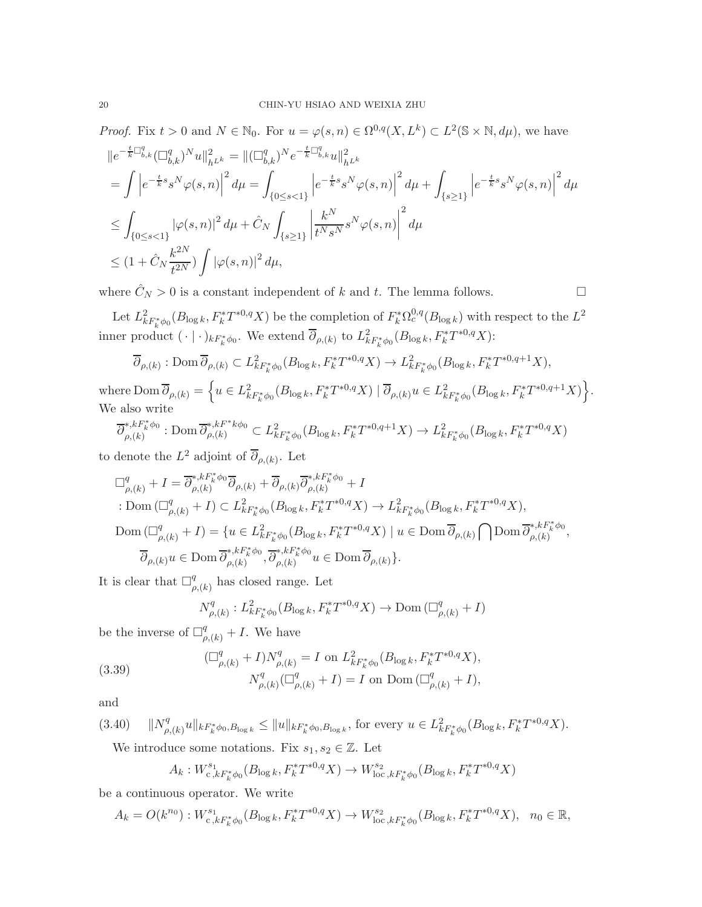*Proof.* Fix  $t > 0$  and  $N \in \mathbb{N}_0$ . For  $u = \varphi(s, n) \in \Omega^{0,q}(X, L^k) \subset L^2(\mathbb{S} \times \mathbb{N}, d\mu)$ , we have

$$
\begin{split} &\|e^{-\frac{t}{k}\Box_{b,k}^q}(\Box_{b,k}^q)^Nu\|_{h^{L^k}}^2=\|(\Box_{b,k}^q)^Ne^{-\frac{t}{k}\Box_{b,k}^q}u\|_{h^{L^k}}^2\\ &=\int\left|e^{-\frac{t}{k}s}s^N\varphi(s,n)\right|^2d\mu=\int_{\{0\leq s<1\}}\left|e^{-\frac{t}{k}s}s^N\varphi(s,n)\right|^2d\mu+\int_{\{s\geq 1\}}\left|e^{-\frac{t}{k}s}s^N\varphi(s,n)\right|^2d\mu\\ &\leq\int_{\{0\leq s<1\}}|\varphi(s,n)|^2\,d\mu+\hat{C}_N\int_{\{s\geq 1\}}\left|\frac{k^N}{t^Ns^N}s^N\varphi(s,n)\right|^2d\mu\\ &\leq (1+\hat{C}_N\frac{k^{2N}}{t^{2N}})\int|\varphi(s,n)|^2\,d\mu, \end{split}
$$

where  $\hat{C}_N > 0$  is a constant independent of k and t. The lemma follows.

Let  $L^2_{kF^*_k\phi_0}(B_{\log k}, F^*_kT^{*0,q}X)$  be the completion of  $F^*_k\Omega_c^{0,q}(B_{\log k})$  with respect to the  $L^2$ inner product  $(\cdot | \cdot)_{kF_k^*\phi_0}$ . We extend  $\overline{\partial}_{\rho,(k)}$  to  $L^2_{kF_k^*\phi_0}(B_{\log k}, F_k^*T^{*0,q}X)$ :

$$
\overline{\partial}_{\rho,(k)}: \text{Dom}\,\overline{\partial}_{\rho,(k)} \subset L^2_{kF^*_k\phi_0}(B_{\log k}, F^*_kT^{*0,q}X) \to L^2_{kF^*_k\phi_0}(B_{\log k}, F^*_kT^{*0,q+1}X),
$$

where  $\text{Dom }\overline{\partial}_{\rho,(k)} = \left\{ u \in L^2_{kF_k^*\phi_0}(B_{\log k}, F_k^*T^{*0,q}X) \mid \overline{\partial}_{\rho,(k)} u \in L^2_{kF_k^*\phi_0}(B_{\log k}, F_k^*T^{*0,q+1}X) \right\}.$ We also write

$$
\overline{\partial}_{\rho,(k)}^{*,kF_k^*\phi_0}: \text{Dom }\overline{\partial}_{\rho,(k)}^{*,kF^*k\phi_0} \subset L^2_{kF_k^*\phi_0}(B_{\log k}, F_k^*T^{*0,q+1}X) \to L^2_{kF_k^*\phi_0}(B_{\log k}, F_k^*T^{*0,q}X)
$$

to denote the  $L^2$  adjoint of  $\overline{\partial}_{\rho,(k)}$ . Let

$$
\Box_{\rho,(k)}^q + I = \overline{\partial}_{\rho,(k)}^{*,kF_k^*\phi_0} \overline{\partial}_{\rho,(k)} + \overline{\partial}_{\rho,(k)} \overline{\partial}_{\rho,(k)}^{*,kF_k^*\phi_0} + I
$$
  
\n
$$
\therefore \text{Dom } (\Box_{\rho,(k)}^q + I) \subset L_{kF_k^*\phi_0}^2(B_{\log k}, F_k^*T^{*0,q}X) \to L_{kF_k^*\phi_0}^2(B_{\log k}, F_k^*T^{*0,q}X),
$$
  
\n
$$
\text{Dom } (\Box_{\rho,(k)}^q + I) = \{ u \in L_{kF_k^*\phi_0}^2(B_{\log k}, F_k^*T^{*0,q}X) \mid u \in \text{Dom } \overline{\partial}_{\rho,(k)} \bigcap \text{Dom } \overline{\partial}_{\rho,(k)}^{*,kF_k^*\phi_0},
$$
  
\n
$$
\overline{\partial}_{\rho,(k)} u \in \text{Dom } \overline{\partial}_{\rho,(k)}^{*,kF_k^*\phi_0}, \overline{\partial}_{\rho,(k)}^{*,kF_k^*\phi_0} u \in \text{Dom } \overline{\partial}_{\rho,(k)} \}.
$$

It is clear that  $\Box^q_a$  $P_{\rho,(k)}^{q}$  has closed range. Let

$$
N_{\rho,(k)}^q : L^2_{kF_k^*\phi_0}(B_{\log k}, F_k^*T^{*0,q}X) \to \text{Dom}(\Box_{\rho,(k)}^q + I)
$$

be the inverse of  $\Box_{\rho,(k)}^q + I$ . We have

<span id="page-19-0"></span>(3.39) 
$$
\left(\Box^q_{\rho,(k)} + I\right) N^q_{\rho,(k)} = I \text{ on } L^2_{kF^*_k\phi_0}(B_{\log k}, F^*_k T^{*0,q} X),
$$

$$
N^q_{\rho,(k)}(\Box^q_{\rho,(k)} + I) = I \text{ on } \text{Dom }(\Box^q_{\rho,(k)} + I),
$$

and

$$
(3.40) \quad \|N^q_{\rho,(k)}u\|_{kF_k^*\phi_0, B_{\log k}} \le \|u\|_{kF_k^*\phi_0, B_{\log k}}, \text{ for every } u \in L^2_{kF_k^*\phi_0}(B_{\log k}, F_k^*T^{*0,q}X).
$$

We introduce some notations. Fix  $s_1, s_2 \in \mathbb{Z}$ . Let

$$
A_k: W^{s_1}_{c,kF^*_k\phi_0}(B_{\log k}, F^*_kT^{*0,q}X) \to W^{s_2}_{\text{loc}, kF^*_k\phi_0}(B_{\log k}, F^*_kT^{*0,q}X)
$$

be a continuous operator. We write

$$
A_k = O(k^{n_0}) : W^{s_1}_{c,k}F^*_{k}\phi_0(B_{\log k}, F^*_{k}T^{*0,q}X) \to W^{s_2}_{\text{loc},k}F^*_{k}\phi_0(B_{\log k}, F^*_{k}T^{*0,q}X), \quad n_0 \in \mathbb{R},
$$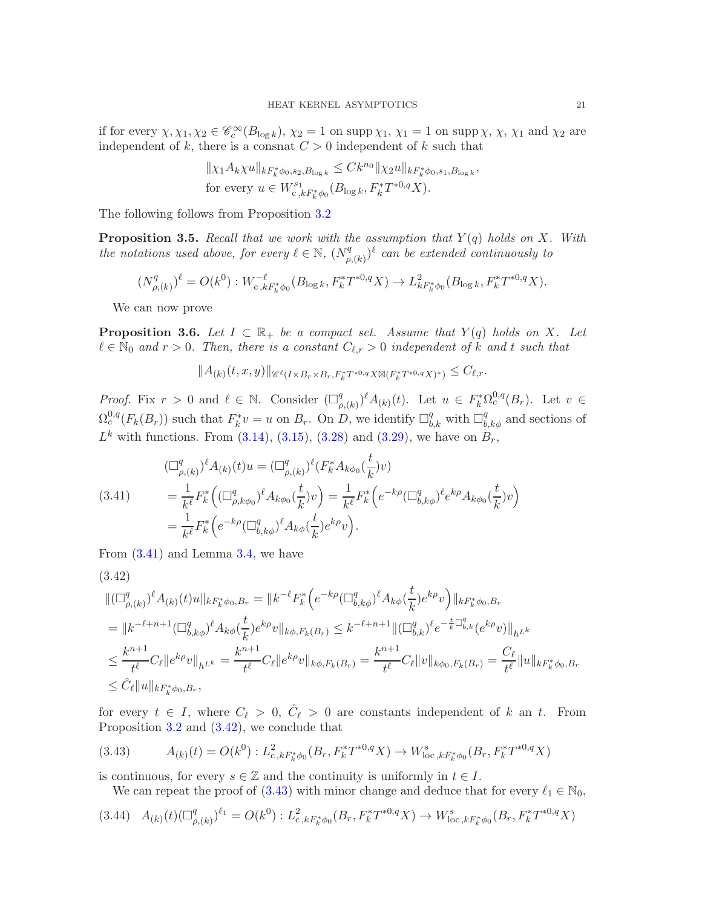if for every  $\chi, \chi_1, \chi_2 \in \mathscr{C}_c^\infty(B_{\log k}), \chi_2 = 1$  on supp  $\chi_1, \chi_1 = 1$  on supp  $\chi, \chi, \chi_1$  and  $\chi_2$  are independent of k, there is a consnat  $C > 0$  independent of k such that

$$
\|\chi_1 A_k \chi u\|_{k F_k^* \phi_{0}, s_2, B_{\log k}} \leq C k^{n_0} \|\chi_2 u\|_{k F_k^* \phi_{0}, s_1, B_{\log k}},
$$
  
for every  $u \in W_{c, k F_k^* \phi_0}^{s_1}(B_{\log k}, F_k^* T^{*0, q} X).$ 

The following follows from Proposition [3.2](#page-18-1)

<span id="page-20-4"></span>**Proposition 3.5.** Recall that we work with the assumption that  $Y(q)$  holds on X. With the notations used above, for every  $\ell \in \mathbb{N}$ ,  $(N_{\rho}^q)$  $(\rho^{q}_{\rho,(k)})^{\ell}$  can be extended continuously to

$$
(N^q_{\rho,(k)})^\ell = O(k^0) : W^{-\ell}_{c,kF^*_k\phi_0}(B_{\log k}, F^*_k T^{*0,q} X) \to L^2_{kF^*_k\phi_0}(B_{\log k}, F^*_k T^{*0,q} X).
$$

We can now prove

<span id="page-20-5"></span>**Proposition 3.6.** Let  $I \subset \mathbb{R}_+$  be a compact set. Assume that  $Y(q)$  holds on X. Let  $\ell \in \mathbb{N}_0$  and  $r > 0$ . Then, there is a constant  $C_{\ell,r} > 0$  independent of k and t such that

$$
||A_{(k)}(t,x,y)||_{\mathscr{C}^{\ell}(I\times B_r\times B_r,F_k^*T^{*0,q}X\boxtimes (F_k^*T^{*0,q}X)^*)}\leq C_{\ell,r}.
$$

*Proof.* Fix  $r > 0$  and  $\ell \in \mathbb{N}$ . Consider  $\left(\Box_{\rho}^q\right)$  $(\rho_{\rho(k)})^{\ell} A_{(k)}(t)$ . Let  $u \in F_k^* \Omega_c^{0,q}(B_r)$ . Let  $v \in$  $\Omega_c^{0,q}(F_k(B_r))$  such that  $F_k^*v = u$  on  $B_r$ . On D, we identify  $\Box_{b,k}^q$  with  $\Box_{b,k\phi}^q$  and sections of  $L^k$  with functions. From [\(3.14\)](#page-14-2), [\(3.15\)](#page-14-1), [\(3.28\)](#page-16-4) and [\(3.29\)](#page-16-5), we have on  $B_r$ ,

<span id="page-20-0"></span>(3.41) 
$$
\begin{aligned}\n &(\Box^q_{\rho,(k)})^{\ell} A_{(k)}(t) u = (\Box^q_{\rho,(k)})^{\ell} (F_k^* A_{k\phi_0}(\frac{t}{k}) v) \\
 &= \frac{1}{k^{\ell}} F_k^* \left( (\Box^q_{\rho,k\phi_0})^{\ell} A_{k\phi_0}(\frac{t}{k}) v \right) = \frac{1}{k^{\ell}} F_k^* \left( e^{-k\rho} (\Box^q_{b,k\phi})^{\ell} e^{k\rho} A_{k\phi_0}(\frac{t}{k}) v \right) \\
 &= \frac{1}{k^{\ell}} F_k^* \left( e^{-k\rho} (\Box^q_{b,k\phi})^{\ell} A_{k\phi}(\frac{t}{k}) e^{k\rho} v \right).\n\end{aligned}
$$

From [\(3.41\)](#page-20-0) and Lemma [3.4,](#page-18-2) we have

<span id="page-20-1"></span>
$$
(3.42)
$$
  
\n
$$
\| (\Box^q_{\rho,(k)})^{\ell} A_{(k)}(t) u \|_{k F_k^* \phi_0, B_r} = \| k^{-\ell} F_k^* \Big( e^{-k\rho} (\Box^q_{b,k\phi})^{\ell} A_{k\phi}(\frac{t}{k}) e^{k\rho} v \Big) \|_{k F_k^* \phi_0, B_r}
$$
  
\n
$$
= \| k^{-\ell+n+1} (\Box^q_{b,k\phi})^{\ell} A_{k\phi}(\frac{t}{k}) e^{k\rho} v \|_{k\phi, F_k(B_r)} \leq k^{-\ell+n+1} \| (\Box^q_{b,k})^{\ell} e^{-\frac{t}{k} \Box^q_{b,k}} (e^{k\rho} v) \|_{h^{L^k}}
$$
  
\n
$$
\leq \frac{k^{n+1}}{t^{\ell}} C_{\ell} \| e^{k\rho} v \|_{h^{L^k}} = \frac{k^{n+1}}{t^{\ell}} C_{\ell} \| e^{k\rho} v \|_{k\phi, F_k(B_r)} = \frac{k^{n+1}}{t^{\ell}} C_{\ell} \| v \|_{k\phi_0, F_k(B_r)} = \frac{C_{\ell}}{t^{\ell}} \| u \|_{k F_k^* \phi_0, B_r}
$$
  
\n
$$
\leq \hat{C}_{\ell} \| u \|_{k F_k^* \phi_0, B_r},
$$

for every  $t \in I$ , where  $C_{\ell} > 0$ ,  $\hat{C}_{\ell} > 0$  are constants independent of k an t. From Proposition [3.2](#page-18-1) and [\(3.42\)](#page-20-1), we conclude that

<span id="page-20-2"></span>
$$
(3.43) \qquad A_{(k)}(t) = O(k^0) : L^2_{c,k} F^*_{k} \phi_0(B_r, F^*_{k} T^{*0,q} X) \to W^s_{\text{loc}, k} F^*_{k} \phi_0(B_r, F^*_{k} T^{*0,q} X)
$$

is continuous, for every  $s \in \mathbb{Z}$  and the continuity is uniformly in  $t \in I$ .

<span id="page-20-3"></span>We can repeat the proof of [\(3.43\)](#page-20-2) with minor change and deduce that for every  $\ell_1 \in \mathbb{N}_0$ ,

$$
(3.44) \quad A_{(k)}(t)(\Box_{\rho,(k)}^q)^{\ell_1} = O(k^0) : L^2_{c,k}F^*_{k}\phi_0(B_r, F^*_{k}T^{*0,q}X) \to W^s_{\text{loc},k}F^*_{k}\phi_0(B_r, F^*_{k}T^{*0,q}X)
$$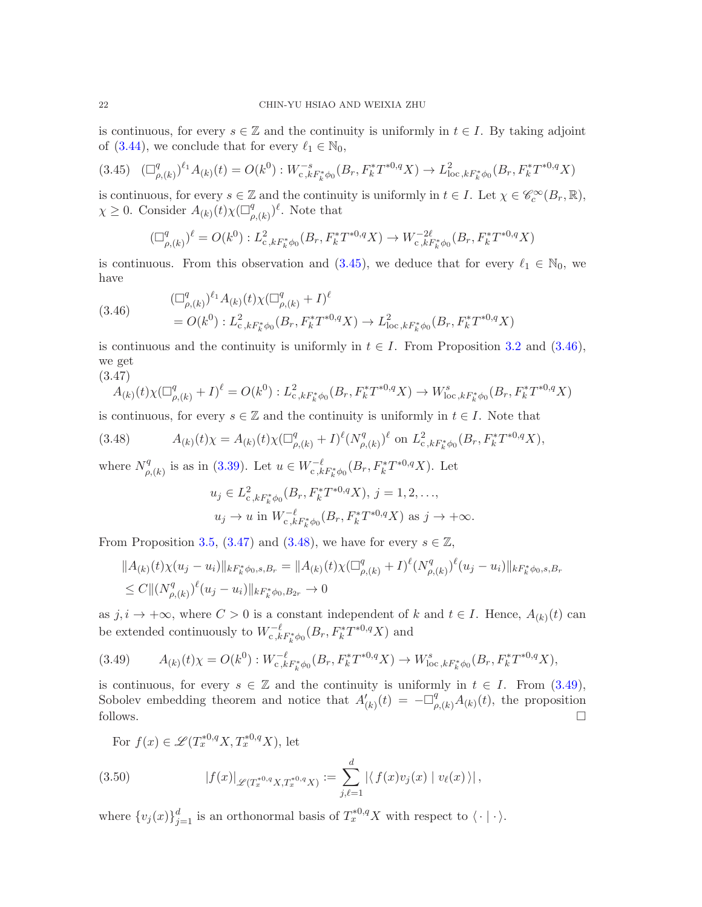is continuous, for every  $s \in \mathbb{Z}$  and the continuity is uniformly in  $t \in I$ . By taking adjoint of [\(3.44\)](#page-20-3), we conclude that for every  $\ell_1 \in \mathbb{N}_0$ ,

<span id="page-21-0"></span>
$$
(3.45)\quad (\Box^q_{\rho,(k)})^{\ell_1} A_{(k)}(t) = O(k^0): W^{-s}_{c,k}F^*_{k}\phi_0(B_r, F^*_{k}T^{*0,q}X) \to L^2_{\text{loc},k}F^*_{k}\phi_0(B_r, F^*_{k}T^{*0,q}X)
$$

is continuous, for every  $s \in \mathbb{Z}$  and the continuity is uniformly in  $t \in I$ . Let  $\chi \in \mathscr{C}_c^\infty(B_r, \mathbb{R})$ ,  $\chi \geq 0$ . Consider  $A_{(k)}(t)\chi(\Box^q_\rho)$  $_{\rho,(k)}^q$  $)^{\ell}$ . Note that

$$
(\Box^q_{\rho,(k)})^{\ell} = O(k^0) : L^2_{c,kF_k^*\phi_0}(B_r, F_k^*T^{*0,q}X) \to W^{-2\ell}_{c,kF_k^*\phi_0}(B_r, F_k^*T^{*0,q}X)
$$

is continuous. From this observation and  $(3.45)$ , we deduce that for every  $\ell_1 \in \mathbb{N}_0$ , we have

<span id="page-21-1"></span>
$$
(3.46) \qquad \begin{aligned} (\Box_{\rho,(k)}^q)^{\ell_1} A_{(k)}(t) \chi (\Box_{\rho,(k)}^q + I)^\ell \\ &= O(k^0) : L^2_{\mathbf{c},k} F_k^* \phi_0(B_r, F_k^* T^{*0,q} X) \to L^2_{\text{loc},k} F_k^* \phi_0(B_r, F_k^* T^{*0,q} X) \end{aligned}
$$

is continuous and the continuity is uniformly in  $t \in I$ . From Proposition [3.2](#page-18-1) and [\(3.46\)](#page-21-1), we get (3.47)

<span id="page-21-2"></span>
$$
A_{(k)}(t)\chi(\Box^q_{\rho,(k)}+I)^\ell = O(k^0): L^2_{c,kF_k^*\phi_0}(B_r, F_k^*T^{*0,q}X) \to W^s_{\text{loc},kF_k^*\phi_0}(B_r, F_k^*T^{*0,q}X)
$$

is continuous, for every  $s \in \mathbb{Z}$  and the continuity is uniformly in  $t \in I$ . Note that

(3.48) 
$$
A_{(k)}(t)\chi = A_{(k)}(t)\chi(\Box^q_{\rho,(k)} + I)^{\ell}(N^q_{\rho,(k)})^{\ell} \text{ on } L^2_{c,kF_k^*\phi_0}(B_r, F_k^*T^{*0,q}X),
$$

where  $N_q^q$  $_{\rho,(k)}^q$  is as in [\(3.39\)](#page-19-0). Let  $u \in W_{c,kF_k^*\phi_0}^{-\ell}(B_r, F_k^*T^{*0,q}X)$ . Let

<span id="page-21-3"></span>
$$
u_j \in L^2_{c,kF_k^*\phi_0}(B_r, F_k^*T^{*0,q}X), j = 1, 2, ...,
$$
  
\n
$$
u_j \to u \text{ in } W_{c,kF_k^*\phi_0}^{-\ell}(B_r, F_k^*T^{*0,q}X) \text{ as } j \to +\infty.
$$

From Proposition [3.5,](#page-20-4) [\(3.47\)](#page-21-2) and [\(3.48\)](#page-21-3), we have for every  $s \in \mathbb{Z}$ ,

$$
||A_{(k)}(t)\chi(u_j - u_i)||_{kF_k^*\phi_0, s, B_r} = ||A_{(k)}(t)\chi(\Box^q_{\rho,(k)} + I)^\ell (N^q_{\rho,(k)})^\ell (u_j - u_i)||_{kF_k^*\phi_0, s, B_r}
$$
  
\n
$$
\leq C ||(N^q_{\rho,(k)})^\ell (u_j - u_i)||_{kF_k^*\phi_0, B_{2r}} \to 0
$$

as  $j, i \to +\infty$ , where  $C > 0$  is a constant independent of k and  $t \in I$ . Hence,  $A_{(k)}(t)$  can be extended continuously to  $W_{c, kF_k^*\phi_0}^{-\ell}(B_r, F_k^*T^{*0,q}X)$  and

<span id="page-21-4"></span>
$$
(3.49) \qquad A_{(k)}(t)\chi = O(k^0): W_{c,k}^{-\ell}F_k^*\phi_0(B_r, F_k^*T^{*0,q}X) \to W_{\text{loc},k}^sF_k^*\phi_0(B_r, F_k^*T^{*0,q}X),
$$

is continuous, for every  $s \in \mathbb{Z}$  and the continuity is uniformly in  $t \in I$ . From [\(3.49\)](#page-21-4), Sobolev embedding theorem and notice that  $A'_{(k)}(t) = -\Box^q_{\rho,(k)}A_{(k)}(t)$ , the proposition follows.  $\Box$ 

For  $f(x) \in \mathscr{L}(T_x^{*0,q}X, T_x^{*0,q}X)$ , let

(3.50) 
$$
|f(x)|_{\mathscr{L}(T_x^{*0,q}X,T_x^{*0,q}X)} := \sum_{j,\ell=1}^d |\langle f(x)v_j(x) | v_\ell(x) \rangle|,
$$

where  $\{v_j(x)\}_{j=1}^d$  is an orthonormal basis of  $T^{*0,q}_xX$  with respect to  $\langle \cdot | \cdot \rangle$ .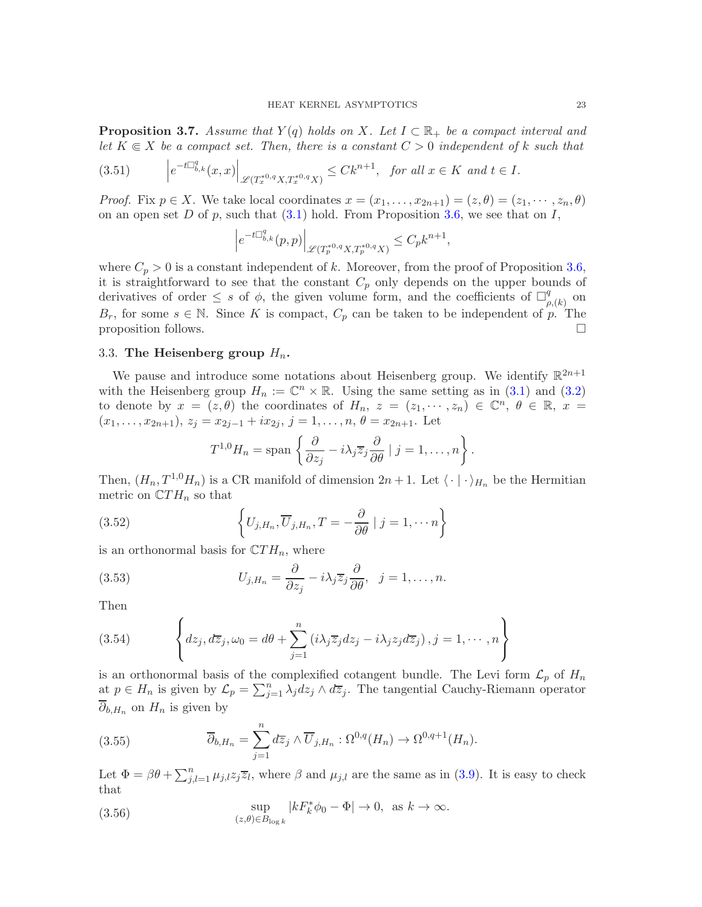<span id="page-22-1"></span>**Proposition 3.7.** Assume that  $Y(q)$  holds on X. Let  $I \subset \mathbb{R}_+$  be a compact interval and let  $K \in X$  be a compact set. Then, there is a constant  $C > 0$  independent of k such that

$$
(3.51) \qquad \left| e^{-t \Box_{b,k}^q(x,x)} \right|_{\mathscr{L}(T_x^{*0,q}X,T_x^{*0,q}X)} \leq C k^{n+1}, \text{ for all } x \in K \text{ and } t \in I.
$$

*Proof.* Fix  $p \in X$ . We take local coordinates  $x = (x_1, \ldots, x_{2n+1}) = (z, \theta) = (z_1, \cdots, z_n, \theta)$ on an open set D of p, such that  $(3.1)$  hold. From Proposition [3.6,](#page-20-5) we see that on I,

$$
\left|e^{-t\Box^q_{b,k}}(p,p)\right|_{\mathscr L(T^{*0,q}_pX,T^{*0,q}_pX)}\leq C_pk^{n+1},
$$

where  $C_p > 0$  is a constant independent of k. Moreover, from the proof of Proposition [3.6,](#page-20-5) it is straightforward to see that the constant  $C_p$  only depends on the upper bounds of derivatives of order  $\leq s$  of  $\phi$ , the given volume form, and the coefficients of  $\Box_{\rho}^{q}$  $_{\rho,(k)}^{q}$  on  $B_r$ , for some  $s \in \mathbb{N}$ . Since K is compact,  $C_p$  can be taken to be independent of p. The proposition follows. proposition follows.

### <span id="page-22-0"></span>3.3. The Heisenberg group  $H_n$ .

We pause and introduce some notations about Heisenberg group. We identify  $\mathbb{R}^{2n+1}$ with the Heisenberg group  $H_n := \mathbb{C}^n \times \mathbb{R}$ . Using the same setting as in [\(3.1\)](#page-12-3) and [\(3.2\)](#page-12-4) to denote by  $x = (z, \theta)$  the coordinates of  $H_n$ ,  $z = (z_1, \dots, z_n) \in \mathbb{C}^n$ ,  $\theta \in \mathbb{R}$ ,  $x =$  $(x_1, \ldots, x_{2n+1}), z_j = x_{2j-1} + ix_{2j}, j = 1, \ldots, n, \theta = x_{2n+1}.$  Let

$$
T^{1,0}H_n = \text{span}\left\{\frac{\partial}{\partial z_j} - i\lambda_j \overline{z}_j \frac{\partial}{\partial \theta} \mid j = 1, \dots, n\right\}.
$$

Then,  $(H_n, T^{1,0}H_n)$  is a CR manifold of dimension  $2n + 1$ . Let  $\langle \cdot | \cdot \rangle_{H_n}$  be the Hermitian metric on  $\mathbb{C}TH_n$  so that

(3.52) 
$$
\left\{U_{j,H_n}, \overline{U}_{j,H_n}, T=-\frac{\partial}{\partial \theta} \mid j=1, \cdots n\right\}
$$

is an orthonormal basis for  $\mathbb{C}TH_n$ , where

(3.53) 
$$
U_{j,H_n} = \frac{\partial}{\partial z_j} - i\lambda_j \overline{z}_j \frac{\partial}{\partial \theta}, \quad j = 1, \dots, n.
$$

Then

(3.54) 
$$
\left\{ dz_j, d\overline{z}_j, \omega_0 = d\theta + \sum_{j=1}^n \left( i\lambda_j \overline{z}_j dz_j - i\lambda_j z_j d\overline{z}_j \right), j = 1, \cdots, n \right\}
$$

is an orthonormal basis of the complexified cotangent bundle. The Levi form  $\mathcal{L}_p$  of  $H_n$ at  $p \in H_n$  is given by  $\mathcal{L}_p = \sum_{j=1}^n \lambda_j dz_j \wedge d\overline{z}_j$ . The tangential Cauchy-Riemann operator  $\partial_{b,H_n}$  on  $H_n$  is given by

(3.55) 
$$
\overline{\partial}_{b,H_n} = \sum_{j=1}^n d\overline{z}_j \wedge \overline{U}_{j,H_n} : \Omega^{0,q}(H_n) \to \Omega^{0,q+1}(H_n).
$$

Let  $\Phi = \beta \theta + \sum_{j,l=1}^n \mu_{j,l} z_j \overline{z}_l$ , where  $\beta$  and  $\mu_{j,l}$  are the same as in [\(3.9\)](#page-13-2). It is easy to check that

(3.56) 
$$
\sup_{(z,\theta)\in B_{\log k}} |kF_k^*\phi_0 - \Phi| \to 0, \text{ as } k \to \infty.
$$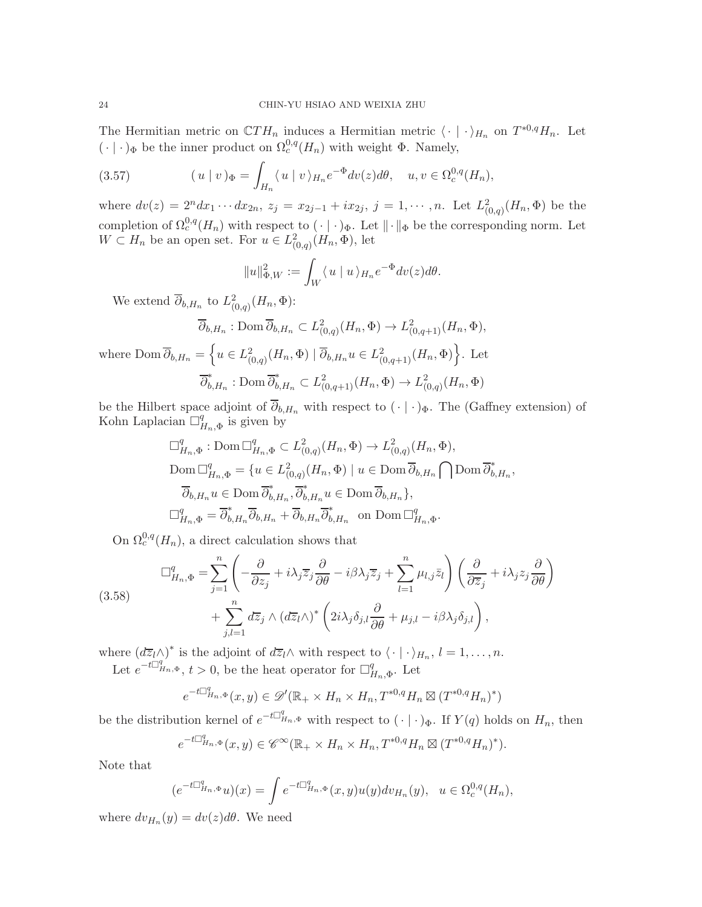The Hermitian metric on  $\mathbb{C}TH_n$  induces a Hermitian metric  $\langle \cdot | \cdot \rangle_{H_n}$  on  $T^{*0,q}H_n$ . Let  $(\cdot | \cdot)_{\Phi}$  be the inner product on  $\Omega_c^{0,q}(H_n)$  with weight  $\Phi$ . Namely,

(3.57) 
$$
(u \mid v)_{\Phi} = \int_{H_n} \langle u \mid v \rangle_{H_n} e^{-\Phi} dv(z) d\theta, \quad u, v \in \Omega_c^{0,q}(H_n),
$$

where  $dv(z) = 2^n dx_1 \cdots dx_{2n}$ ,  $z_j = x_{2j-1} + ix_{2j}$ ,  $j = 1, \cdots, n$ . Let  $L^2_{(0,q)}(H_n, \Phi)$  be the completion of  $\Omega_c^{0,q}(H_n)$  with respect to  $\left(\cdot\right) \cdot$   $\phi$ . Let  $\|\cdot\|_{\Phi}$  be the corresponding norm. Let  $W \subset H_n$  be an open set. For  $u \in L^2_{(0,q)}(H_n, \Phi)$ , let

$$
||u||_{\Phi,W}^2 := \int_W \langle u | u \rangle_{H_n} e^{-\Phi} dv(z) d\theta.
$$

We extend  $\overline{\partial}_{b,H_n}$  to  $L^2_{(0,q)}(H_n,\Phi)$ :

$$
\overline{\partial}_{b,H_n} : \text{Dom } \overline{\partial}_{b,H_n} \subset L^2_{(0,q)}(H_n, \Phi) \to L^2_{(0,q+1)}(H_n, \Phi),
$$

where  $\text{Dom }\overline{\partial}_{b,H_n} = \left\{ u \in L^2_{(0,q)}(H_n, \Phi) \mid \overline{\partial}_{b,H_n} u \in L^2_{(0,q+1)}(H_n, \Phi) \right\}$ . Let  $\overline{\partial}_{b,H_n}^* : \text{Dom }\overline{\partial}_{b,H_n}^* \subset L^2_{(0,q+1)}(H_n,\Phi) \to L^2_{(0,q)}(H_n,\Phi)$ 

be the Hilbert space adjoint of  $\overline{\partial}_{b,H_n}$  with respect to  $(\cdot | \cdot)_{\Phi}$ . The (Gaffney extension) of Kohn Laplacian  $\Box^q$  $H_{n,\Phi}$  is given by

$$
\Box_{H_n,\Phi}^q : \text{Dom } \Box_{H_n,\Phi}^q \subset L^2_{(0,q)}(H_n, \Phi) \to L^2_{(0,q)}(H_n, \Phi),
$$
  
\n
$$
\text{Dom } \Box_{H_n,\Phi}^q = \{ u \in L^2_{(0,q)}(H_n, \Phi) \mid u \in \text{Dom } \overline{\partial}_{b,H_n} \bigcap \text{Dom } \overline{\partial}_{b,H_n},
$$
  
\n
$$
\overline{\partial}_{b,H_n} u \in \text{Dom } \overline{\partial}_{b,H_n}^*, \overline{\partial}_{b,H_n}^* u \in \text{Dom } \overline{\partial}_{b,H_n} \},
$$
  
\n
$$
\Box_{H_n,\Phi}^q = \overline{\partial}_{b,H_n}^* \overline{\partial}_{b,H_n} + \overline{\partial}_{b,H_n} \overline{\partial}_{b,H_n}^* \quad \text{on } \text{Dom } \Box_{H_n,\Phi}^q.
$$

On  $\Omega_c^{0,q}(H_n)$ , a direct calculation shows that

$$
(3.58) \qquad \Box_{H_n,\Phi}^q = \sum_{j=1}^n \left( -\frac{\partial}{\partial z_j} + i\lambda_j \overline{z}_j \frac{\partial}{\partial \theta} - i\beta \lambda_j \overline{z}_j + \sum_{l=1}^n \mu_{l,j} \overline{z}_l \right) \left( \frac{\partial}{\partial \overline{z}_j} + i\lambda_j z_j \frac{\partial}{\partial \theta} \right) + \sum_{j,l=1}^n d\overline{z}_j \wedge (d\overline{z}_l \wedge)^* \left( 2i\lambda_j \delta_{j,l} \frac{\partial}{\partial \theta} + \mu_{j,l} - i\beta \lambda_j \delta_{j,l} \right),
$$

where  $(d\overline{z}_l\wedge)^*$  is the adjoint of  $d\overline{z}_l\wedge$  with respect to  $\langle\cdot|\cdot\rangle_{H_n}, l=1,\ldots,n$ .

Let  $e^{-t\prod_{H_n,\Phi}^q}$ ,  $t>0$ , be the heat operator for  $\prod_{I=1}^q$  $H_{n,\Phi}$ . Let

$$
e^{-t\Box_{H_n,\Phi}^q}(x,y) \in \mathscr{D}'(\mathbb{R}_+ \times H_n \times H_n, T^{*0,q}H_n \boxtimes (T^{*0,q}H_n)^*)
$$

be the distribution kernel of  $e^{-t\Box_{H_n,\Phi}^q}$  with respect to  $(\cdot | \cdot)_{\Phi}$ . If  $Y(q)$  holds on  $H_n$ , then

$$
e^{-t\Box_{H_n,\Phi}^q}(x,y)\in\mathscr{C}^\infty(\mathbb{R}_+\times H_n\times H_n,T^{*0,q}H_n\boxtimes (T^{*0,q}H_n)^*).
$$

Note that

$$
(e^{-t\Box_{H_n,\Phi}^q}u)(x) = \int e^{-t\Box_{H_n,\Phi}^q}(x,y)u(y)dv_{H_n}(y), \quad u \in \Omega_c^{0,q}(H_n),
$$

where  $dv_{H_n}(y) = dv(z)d\theta$ . We need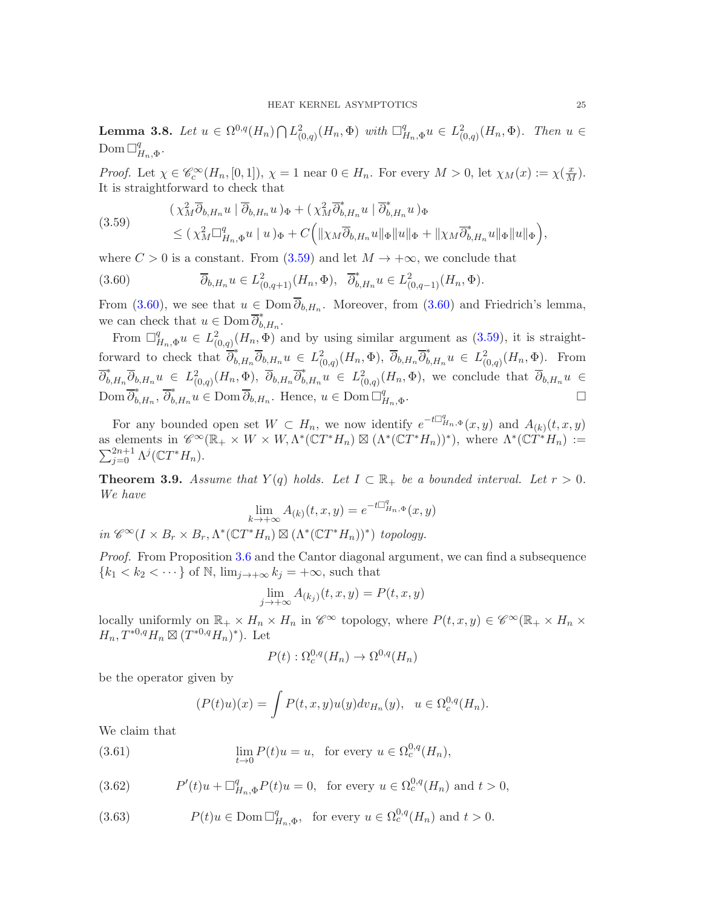<span id="page-24-3"></span>**Lemma 3.8.** Let  $u \in \Omega^{0,q}(H_n) \bigcap L^2_{(0,q)}(H_n, \Phi)$  with  $\Box^q_I$  $H_{n,\Phi} u \in L^2_{(0,q)}(H_n, \Phi)$ . Then  $u \in$ Dom  $\Box^q_I$  $^q_{H_n, \Phi}.$ 

Proof. Let  $\chi \in \mathscr{C}_c^{\infty}(H_n, [0, 1]), \chi = 1$  near  $0 \in H_n$ . For every  $M > 0$ , let  $\chi_M(x) := \chi(\frac{x}{M})$ . It is straightforward to check that

<span id="page-24-0"></span>
$$
(3.59) \qquad (\chi_M^2 \overline{\partial}_{b, H_n} u \mid \overline{\partial}_{b, H_n} u)_{\Phi} + (\chi_M^2 \overline{\partial}_{b, H_n}^* u \mid \overline{\partial}_{b, H_n}^* u)_{\Phi}
$$
  

$$
\leq (\chi_M^2 \Box_{H_n, \Phi}^q u \mid u)_{\Phi} + C \Big( \| \chi_M \overline{\partial}_{b, H_n} u \|_{\Phi} \| u \|_{\Phi} + \| \chi_M \overline{\partial}_{b, H_n}^* u \|_{\Phi} \| u \|_{\Phi} \Big),
$$

where  $C > 0$  is a constant. From  $(3.59)$  and let  $M \rightarrow +\infty$ , we conclude that

<span id="page-24-1"></span>(3.60) 
$$
\overline{\partial}_{b,H_n} u \in L^2_{(0,q+1)}(H_n, \Phi), \quad \overline{\partial}_{b,H_n}^* u \in L^2_{(0,q-1)}(H_n, \Phi).
$$

From [\(3.60\)](#page-24-1), we see that  $u \in \text{Dom } \partial_{b,H_n}$ . Moreover, from (3.60) and Friedrich's lemma, we can check that  $u \in \text{Dom }\overline{\partial}_{b,H_n}^*$ .

From  $\Box^q_{\mu}$  $H_{H_n,\Phi}^q u \in L^2_{(0,q)}(H_n,\Phi)$  and by using similar argument as  $(3.59)$ , it is straightforward to check that  $\overline{\partial}_{b,H_n}^* \overline{\partial}_{b,H_n} u \in L^2_{(0,q)}(H_n,\Phi)$ ,  $\overline{\partial}_{b,H_n} \overline{\partial}_{b,H_n}^* u \in L^2_{(0,q)}(H_n,\Phi)$ . From  $\overline{\partial}_{b,H_n}^*\overline{\partial}_{b,H_n}u \in L^2_{(0,q)}(H_n,\Phi), \ \overline{\partial}_{b,H_n}\overline{\partial}_{b,H_n}^*u \in L^2_{(0,q)}(H_n,\Phi),$  we conclude that  $\overline{\partial}_{b,H_n}u \in L^2_{(0,q)}(H_n,\Phi)$ Dom  $\overline{\partial}_{b,H_n}^*$ ,  $\overline{\partial}_{b,H_n}^* u \in \text{Dom } \overline{\partial}_{b,H_n}$ . Hence,  $u \in \text{Dom } \Box_f^q$  $_{H_n,\Phi}$ .

For any bounded open set  $W \subset H_n$ , we now identify  $e^{-t\Box_{H_n,\Phi}^q}(x,y)$  and  $A_{(k)}(t,x,y)$ as elements in  $\mathscr{C}^{\infty}(\mathbb{R}_+ \times W \times W, \Lambda^*(\mathbb{C}T^*H_n) \boxtimes (\Lambda^*(\mathbb{C}T^*H_n))^*)$ , where  $\Lambda^*(\mathbb{C}T^*H_n) :=$  $\sum_{j=0}^{2n+1} \Lambda^j({\mathbb C} T^*H_n).$ 

<span id="page-24-6"></span>**Theorem 3.9.** Assume that  $Y(q)$  holds. Let  $I \subset \mathbb{R}_+$  be a bounded interval. Let  $r > 0$ . We have

$$
\lim_{k \to +\infty} A_{(k)}(t, x, y) = e^{-t \Box_{H_n, \Phi}^q}(x, y)
$$

in  $\mathscr{C}^{\infty}(I \times B_r \times B_r, \Lambda^*(\mathbb{C}T^*H_n) \boxtimes (\Lambda^*(\mathbb{C}T^*H_n))^*)$  topology.

Proof. From Proposition [3.6](#page-20-5) and the Cantor diagonal argument, we can find a subsequence  ${k_1 < k_2 < \cdots}$  of N,  $\lim_{j \to +\infty} k_j = +\infty$ , such that

$$
\lim_{j \to +\infty} A_{(k_j)}(t, x, y) = P(t, x, y)
$$

locally uniformly on  $\mathbb{R}_+ \times H_n \times H_n$  in  $\mathscr{C}^{\infty}$  topology, where  $P(t, x, y) \in \mathscr{C}^{\infty}(\mathbb{R}_+ \times H_n \times H_n)$  $H_n, T^{*0,q}H_n \boxtimes (T^{*0,q}H_n)^*$ . Let

$$
P(t): \Omega_c^{0,q}(H_n) \to \Omega^{0,q}(H_n)
$$

be the operator given by

<span id="page-24-5"></span>
$$
(P(t)u)(x) = \int P(t, x, y)u(y)dv_{H_n}(y), \quad u \in \Omega_c^{0,q}(H_n).
$$

We claim that

(3.61) 
$$
\lim_{t \to 0} P(t)u = u, \text{ for every } u \in \Omega_c^{0,q}(H_n),
$$

<span id="page-24-2"></span>(3.62) 
$$
P'(t)u + \Box_{H_n, \Phi}^q P(t)u = 0, \text{ for every } u \in \Omega_c^{0,q}(H_n) \text{ and } t > 0,
$$

<span id="page-24-4"></span>(3.63) 
$$
P(t)u \in \text{Dom }\Box_{H_n,\Phi}^q, \text{ for every } u \in \Omega_c^{0,q}(H_n) \text{ and } t > 0.
$$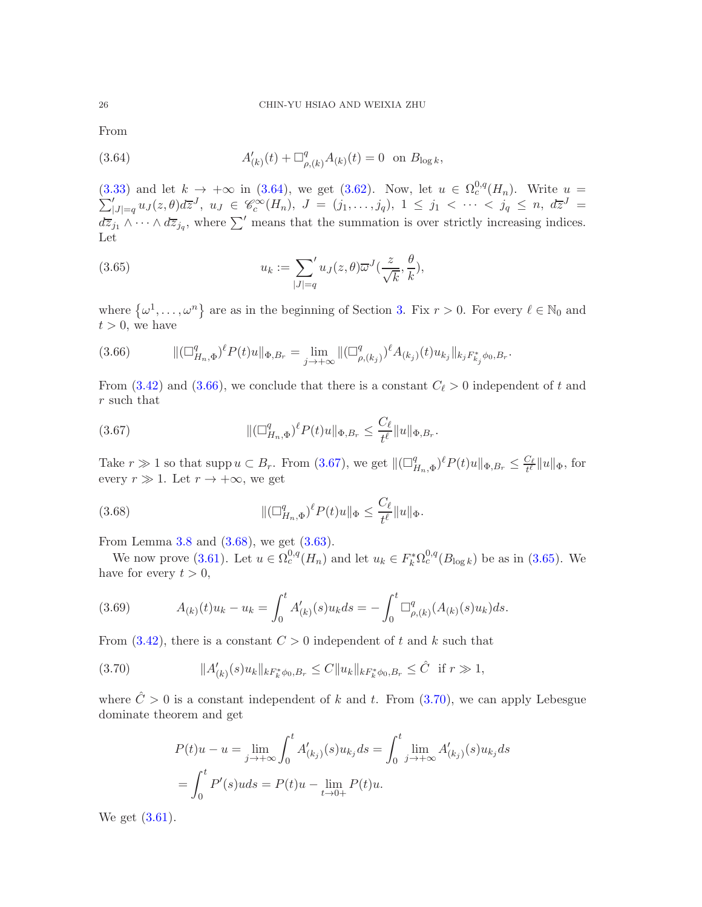From

<span id="page-25-0"></span>(3.64) 
$$
A'_{(k)}(t) + \Box^q_{\rho,(k)}A_{(k)}(t) = 0 \text{ on } B_{\log k},
$$

 $(3.33)$  and let  $k \rightarrow +\infty$  in  $(3.64)$ , we get  $(3.62)$ . Now, let  $u \in \Omega_c^{0,q}$ (3.33) and let  $k \to +\infty$  in (3.64), we get (3.62). Now, let  $u \in \Omega_c^{0,q}(H_n)$ . Write  $u = \sum_{|J|=q}^{\prime} u_J(z,\theta) d\overline{z}^J$ ,  $u_J \in \mathscr{C}_c^{\infty}(H_n)$ ,  $J = (j_1,\ldots,j_q)$ ,  $1 \leq j_1 < \cdots < j_q \leq n$ ,  $d\overline{z}^J =$  $d\overline{z}_{j_1} \wedge \cdots \wedge d\overline{z}_{j_q}$ , where  $\sum'$  means that the summation is over strictly increasing indices. Let

<span id="page-25-4"></span>(3.65) 
$$
u_k := \sum_{|J|=q} u_J(z,\theta) \overline{\omega}^J(\frac{z}{\sqrt{k}},\frac{\theta}{k}),
$$

where  $\{\omega^1,\ldots,\omega^n\}$  are as in the beginning of Section [3.](#page-12-0) Fix  $r > 0$ . For every  $\ell \in \mathbb{N}_0$  and  $t > 0$ , we have

<span id="page-25-1"></span>
$$
(3.66) \qquad \|\left(\Box^q_{H_n,\Phi}\right)^{\ell}P(t)u\|_{\Phi,B_r} = \lim_{j \to +\infty} \|\left(\Box^q_{\rho,(k_j)}\right)^{\ell}A_{(k_j)}(t)u_{k_j}\|_{k_j F^*_{k_j}\phi_0,B_r}.
$$

From [\(3.42\)](#page-20-1) and [\(3.66\)](#page-25-1), we conclude that there is a constant  $C_{\ell} > 0$  independent of t and r such that

<span id="page-25-2"></span>(3.67) 
$$
\| (\Box_{H_n,\Phi}^q)^{\ell} P(t)u \|_{\Phi,B_r} \leq \frac{C_{\ell}}{t^{\ell}} \| u \|_{\Phi,B_r}.
$$

Take  $r \gg 1$  so that supp  $u \subset B_r$ . From [\(3.67\)](#page-25-2), we get  $\Vert(\Box_f^q) \Vert$  $_{H_{n},\Phi}^{q})^{\ell}P(t)u\Vert_{\Phi,B_{r}}\leq\frac{C_{\ell}}{t^{\ell}}$  $\frac{\partial \varrho}{\partial t^{\ell}} \|u\|_{\Phi}$ , for every  $r \gg 1$ . Let  $r \to +\infty$ , we get

<span id="page-25-3"></span>(3.68) 
$$
\|(\Box_{H_n,\Phi}^q)^{\ell} P(t)u\|_{\Phi} \leq \frac{C_{\ell}}{t^{\ell}}\|u\|_{\Phi}.
$$

From Lemma [3.8](#page-24-3) and [\(3.68\)](#page-25-3), we get [\(3.63\)](#page-24-4).

We now prove [\(3.61\)](#page-24-5). Let  $u \in \Omega_c^{0,q}(H_n)$  and let  $u_k \in F_k^*\Omega_c^{0,q}(B_{\log k})$  be as in [\(3.65\)](#page-25-4). We have for every  $t > 0$ ,

(3.69) 
$$
A_{(k)}(t)u_k - u_k = \int_0^t A'_{(k)}(s)u_k ds = -\int_0^t \Box_{\rho,(k)}^q (A_{(k)}(s)u_k) ds.
$$

From  $(3.42)$ , there is a constant  $C > 0$  independent of t and k such that

$$
(3.70) \t\t\t ||A'_{(k)}(s)u_k||_{kF_k^*\phi_0, B_r} \le C||u_k||_{kF_k^*\phi_0, B_r} \le \hat{C} \t\t \text{if } r \gg 1,
$$

where  $\hat{C} > 0$  is a constant independent of k and t. From [\(3.70\)](#page-25-5), we can apply Lebesgue dominate theorem and get

<span id="page-25-5"></span>
$$
P(t)u - u = \lim_{j \to +\infty} \int_0^t A'_{(k_j)}(s)u_{k_j} ds = \int_0^t \lim_{j \to +\infty} A'_{(k_j)}(s)u_{k_j} ds
$$
  
= 
$$
\int_0^t P'(s)u ds = P(t)u - \lim_{t \to 0+} P(t)u.
$$

We get [\(3.61\)](#page-24-5).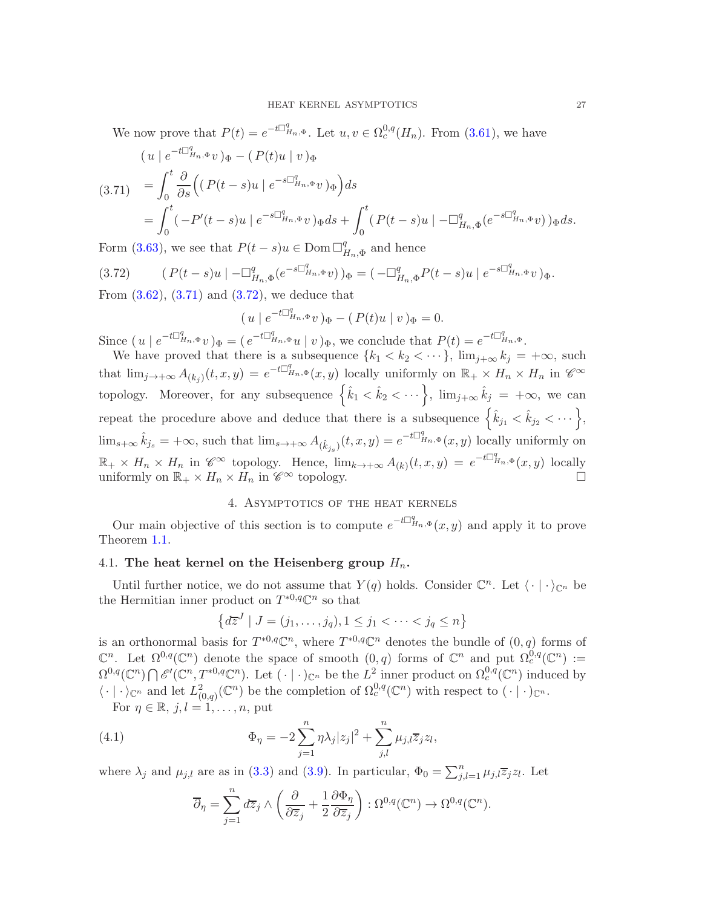We now prove that  $P(t) = e^{-t\Box_{H_n,\Phi}^q}$ . Let  $u, v \in \Omega_c^{0,q}(H_n)$ . From [\(3.61\)](#page-24-5), we have

<span id="page-26-2"></span>
$$
(u \mid e^{-t\Box_{H_n,\Phi}^q} v)_{\Phi} - (P(t)u \mid v)_{\Phi}
$$
  
\n
$$
(3.71) = \int_0^t \frac{\partial}{\partial s} \Big( (P(t-s)u \mid e^{-s\Box_{H_n,\Phi}^q} v)_{\Phi} \Big) ds
$$
  
\n
$$
= \int_0^t (-P'(t-s)u \mid e^{-s\Box_{H_n,\Phi}^q} v)_{\Phi} ds + \int_0^t (P(t-s)u \mid -\Box_{H_n,\Phi}^q (e^{-s\Box_{H_n,\Phi}^q} v))_{\Phi} ds.
$$

Form [\(3.63\)](#page-24-4), we see that  $P(t-s)u \in \text{Dom }\Box^q_I$  $H_{n,\Phi}$  and hence

<span id="page-26-3"></span>
$$
(3.72) \qquad (P(t-s)u \mid -\Box_{H_n,\Phi}^q (e^{-s\Box_{H_n,\Phi}^q}v))_{\Phi} = (-\Box_{H_n,\Phi}^q P(t-s)u \mid e^{-s\Box_{H_n,\Phi}^q}v)_{\Phi}.
$$

From  $(3.62)$ ,  $(3.71)$  and  $(3.72)$ , we deduce that

$$
(u \mid e^{-t\Box_{H_n,\Phi}^q}v)_{\Phi} - (P(t)u \mid v)_{\Phi} = 0.
$$

Since  $(u \mid e^{-t\Box_{H_n,\Phi}^q}v)_{\Phi} = (e^{-t\Box_{H_n,\Phi}^q}u \mid v)_{\Phi}$ , we conclude that  $P(t) = e^{-t\Box_{H_n,\Phi}^q}$ .

We have proved that there is a subsequence  $\{k_1 < k_2 < \cdots\}$ ,  $\lim_{j\to\infty} k_j = +\infty$ , such that  $\lim_{j\to+\infty} A_{(k_j)}(t,x,y) = e^{-t\Box_{H_n,\Phi}^q}(x,y)$  locally uniformly on  $\mathbb{R}_+\times H_n \times H_n$  in  $\mathscr{C}^\infty$ topology. Moreover, for any subsequence  $\left\{\hat{k}_1 < \hat{k}_2 < \cdots\right\}$ ,  $\lim_{j\to\infty} \hat{k}_j = +\infty$ , we can repeat the procedure above and deduce that there is a subsequence  $\left\{\hat{k}_{j_1} < \hat{k}_{j_2} < \cdots\right\},\$  $\lim_{s\to\infty} \hat{k}_{j_s} = +\infty$ , such that  $\lim_{s\to\infty} A_{(\hat{k}_{j_s})}(t, x, y) = e^{-t\sum_{i=1}^q n_s \cdot \Phi}(x, y)$  locally uniformly on  $\mathbb{R}_+ \times H_n \times H_n$  in  $\mathscr{C}^{\infty}$  topology. Hence,  $\lim_{k \to +\infty} A_{(k)}(t,x,y) = e^{-t \mathbb{I}_{H_n,\Phi}^q}(x,y)$  locally uniformly on  $\mathbb{R}_+ \times H_n \times H_n$  in  $\mathscr{C}^{\infty}$  topology.

### 4. Asymptotics of the heat kernels

<span id="page-26-0"></span>Our main objective of this section is to compute  $e^{-t\Box_{H_n,\Phi}^q}(x,y)$  and apply it to prove Theorem [1.1.](#page-2-1)

### <span id="page-26-1"></span>4.1. The heat kernel on the Heisenberg group  $H_n$ .

Until further notice, we do not assume that  $Y(q)$  holds. Consider  $\mathbb{C}^n$ . Let  $\langle \cdot | \cdot \rangle_{\mathbb{C}^n}$  be the Hermitian inner product on  $T^{*0,q}\mathbb{C}^n$  so that

$$
\left\{d\overline{z}^J \mid J = (j_1, \dots, j_q), 1 \le j_1 < \dots < j_q \le n\right\}
$$

is an orthonormal basis for  $T^{*0,q}\mathbb{C}^n$ , where  $T^{*0,q}\mathbb{C}^n$  denotes the bundle of  $(0,q)$  forms of  $\mathbb{C}^n$ . Let  $\Omega^{0,q}(\mathbb{C}^n)$  denote the space of smooth  $(0,q)$  forms of  $\mathbb{C}^n$  and put  $\Omega_c^{0,q}(\mathbb{C}^n) :=$  $\Omega^{0,q}(\mathbb{C}^n) \bigcap \mathscr{E}'(\mathbb{C}^n, T^{*0,q}\mathbb{C}^n)$ . Let  $(\cdot | \cdot)_{\mathbb{C}^n}$  be the  $L^2$  inner product on  $\Omega_c^{0,q}(\mathbb{C}^n)$  induced by  $\langle \cdot | \cdot \rangle_{\mathbb{C}^n}$  and let  $L^2_{(0,q)}(\mathbb{C}^n)$  be the completion of  $\Omega_c^{0,q}(\mathbb{C}^n)$  with respect to  $(\cdot | \cdot)_{\mathbb{C}^n}$ .

For  $\eta \in \mathbb{R}$ ,  $j, l = 1, \ldots, n$ , put

(4.1) 
$$
\Phi_{\eta} = -2\sum_{j=1}^{n} \eta \lambda_j |z_j|^2 + \sum_{j,l}^{n} \mu_{j,l} \overline{z}_j z_l,
$$

where  $\lambda_j$  and  $\mu_{j,l}$  are as in [\(3.3\)](#page-12-2) and [\(3.9\)](#page-13-2). In particular,  $\Phi_0 = \sum_{j,l=1}^n \mu_{j,l} \overline{z}_j z_l$ . Let

<span id="page-26-4"></span>
$$
\overline{\partial}_{\eta} = \sum_{j=1}^{n} d\overline{z}_{j} \wedge \left( \frac{\partial}{\partial \overline{z}_{j}} + \frac{1}{2} \frac{\partial \Phi_{\eta}}{\partial \overline{z}_{j}} \right) : \Omega^{0,q}(\mathbb{C}^{n}) \to \Omega^{0,q}(\mathbb{C}^{n}).
$$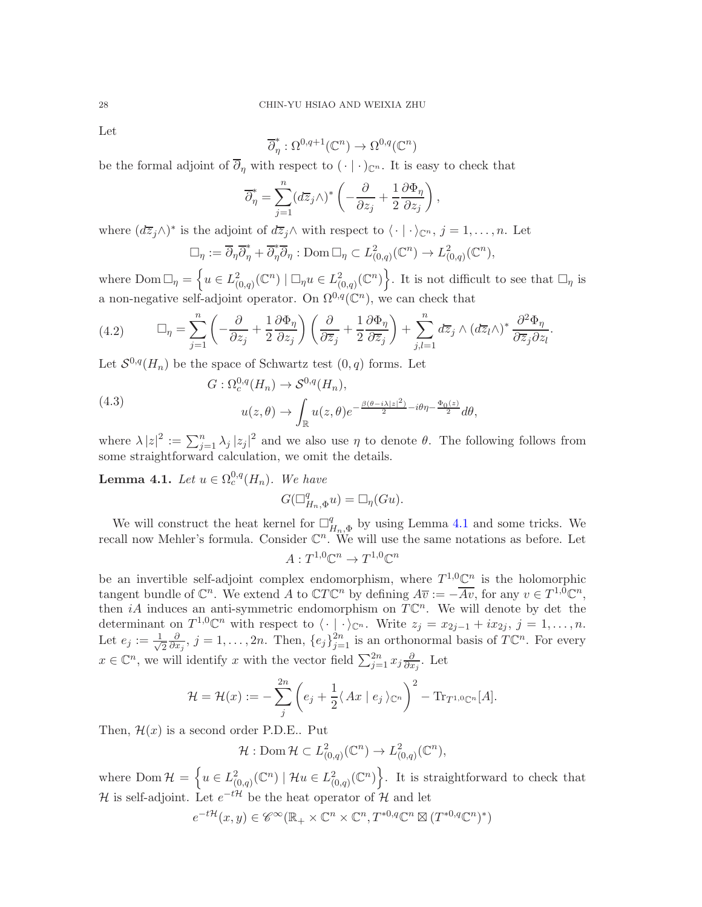Let

$$
\overline{\partial}_{\eta}^* : \Omega^{0,q+1}(\mathbb{C}^n) \to \Omega^{0,q}(\mathbb{C}^n)
$$

be the formal adjoint of  $\overline{\partial}_{\eta}$  with respect to  $(\cdot | \cdot)_{\mathbb{C}^n}$ . It is easy to check that

$$
\overline{\partial}_{\eta}^* = \sum_{j=1}^n (d\overline{z}_j \wedge)^* \left( -\frac{\partial}{\partial z_j} + \frac{1}{2} \frac{\partial \Phi_{\eta}}{\partial z_j} \right),
$$

where  $(d\overline{z}_j\wedge)^*$  is the adjoint of  $d\overline{z}_j\wedge$  with respect to  $\langle\cdot|\cdot\rangle_{\mathbb{C}^n}$ ,  $j=1,\ldots,n$ . Let

$$
\Box_{\eta} := \overline{\partial}_{\eta} \overline{\partial}_{\eta}^* + \overline{\partial}_{\eta}^* \overline{\partial}_{\eta} : \text{Dom } \Box_{\eta} \subset L^2_{(0,q)}(\mathbb{C}^n) \to L^2_{(0,q)}(\mathbb{C}^n),
$$

where  $\text{Dom }\Box_{\eta} = \left\{ u \in L^2_{(0,q)}(\mathbb{C}^n) \mid \Box_{\eta} u \in L^2_{(0,q)}(\mathbb{C}^n) \right\}$ . It is not difficult to see that  $\Box_{\eta}$  is a non-negative self-adjoint operator. On  $\Omega^{0,q}(\mathbb{C}^n)$ , we can check that

<span id="page-27-1"></span>(4.2) 
$$
\Box_{\eta} = \sum_{j=1}^{n} \left( -\frac{\partial}{\partial z_j} + \frac{1}{2} \frac{\partial \Phi_{\eta}}{\partial z_j} \right) \left( \frac{\partial}{\partial \overline{z}_j} + \frac{1}{2} \frac{\partial \Phi_{\eta}}{\partial \overline{z}_j} \right) + \sum_{j,l=1}^{n} d\overline{z}_j \wedge (d\overline{z}_l \wedge)^* \frac{\partial^2 \Phi_{\eta}}{\partial \overline{z}_j \partial z_l}.
$$

Let  $S^{0,q}(H_n)$  be the space of Schwartz test  $(0, q)$  forms. Let

(4.3)  

$$
G: \Omega_c^{0,q}(H_n) \to \mathcal{S}^{0,q}(H_n),
$$

$$
u(z,\theta) \to \int_{\mathbb{R}} u(z,\theta) e^{-\frac{\beta(\theta - i\lambda |z|^2)}{2} - i\theta \eta - \frac{\Phi_0(z)}{2}} d\theta,
$$

where  $\lambda |z|^2 := \sum_{j=1}^n \lambda_j |z_j|^2$  and we also use  $\eta$  to denote  $\theta$ . The following follows from some straightforward calculation, we omit the details.

<span id="page-27-0"></span>**Lemma 4.1.** Let  $u \in \Omega_c^{0,q}(H_n)$ . We have

 $G(\Box^q_I)$  $_{H_n,\Phi}^q u$ ) =  $\Box_\eta(Gu)$ .

We will construct the heat kernel for  $\Box^q_I$  $H_{n,\Phi}^{q}$  by using Lemma [4.1](#page-27-0) and some tricks. We recall now Mehler's formula. Consider  $\mathbb{C}^n$ . We will use the same notations as before. Let

$$
A: T^{1,0}\mathbb{C}^n \to T^{1,0}\mathbb{C}^n
$$

be an invertible self-adjoint complex endomorphism, where  $T^{1,0}\mathbb{C}^n$  is the holomorphic tangent bundle of  $\mathbb{C}^n$ . We extend A to  $\mathbb{C}T\mathbb{C}^n$  by defining  $A\overline{v} := -\overline{Av}$ , for any  $v \in T^{1,0}\mathbb{C}^n$ , then iA induces an anti-symmetric endomorphism on  $T\mathbb{C}^n$ . We will denote by det the determinant on  $T^{1,0}\mathbb{C}^n$  with respect to  $\langle\cdot|\cdot\rangle_{\mathbb{C}^n}$ . Write  $z_j = x_{2j-1} + ix_{2j}, j = 1, \ldots, n$ . Let  $e_j := \frac{1}{\sqrt{2}}$ 2 ∂  $\frac{\partial}{\partial x_j}$ ,  $j = 1, \ldots, 2n$ . Then,  $\{e_j\}_{j=1}^{2n}$  is an orthonormal basis of  $T\mathbb{C}^n$ . For every  $x \in \mathbb{C}^n$ , we will identify x with the vector field  $\sum_{j=1}^{2n} x_j \frac{\partial}{\partial x_j}$  $\frac{\partial}{\partial x_j}$ . Let

$$
\mathcal{H} = \mathcal{H}(x) := -\sum_{j}^{2n} \left( e_j + \frac{1}{2} \langle Ax \mid e_j \rangle_{\mathbb{C}^n} \right)^2 - \text{Tr}_{T^{1,0}\mathbb{C}^n}[A].
$$

Then,  $\mathcal{H}(x)$  is a second order P.D.E.. Put

$$
\mathcal{H}: \text{Dom }\mathcal{H} \subset L^2_{(0,q)}(\mathbb{C}^n) \to L^2_{(0,q)}(\mathbb{C}^n),
$$

where Dom  $\mathcal{H} = \left\{ u \in L^2_{(0,q)}(\mathbb{C}^n) \mid \mathcal{H}u \in L^2_{(0,q)}(\mathbb{C}^n) \right\}$ . It is straightforward to check that  $\mathcal H$  is self-adjoint. Let  $e^{-t\mathcal H}$  be the heat operator of  $\mathcal H$  and let

$$
e^{-t\mathcal{H}}(x,y) \in \mathscr{C}^{\infty}(\mathbb{R}_+ \times \mathbb{C}^n \times \mathbb{C}^n, T^{*0,q} \mathbb{C}^n \boxtimes (T^{*0,q} \mathbb{C}^n)^*)
$$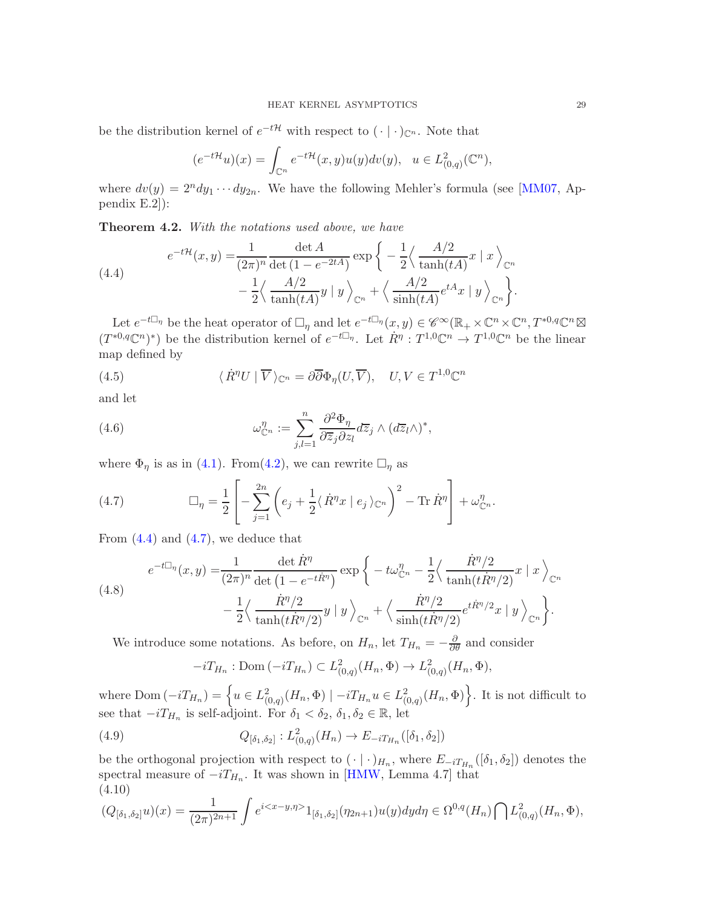be the distribution kernel of  $e^{-t\mathcal{H}}$  with respect to  $(\cdot | \cdot)_{\mathbb{C}^n}$ . Note that

$$
(e^{-t\mathcal{H}}u)(x)=\int_{\mathbb{C}^n}e^{-t\mathcal{H}}(x,y)u(y)dv(y),\quad u\in L^2_{(0,q)}(\mathbb{C}^n),
$$

where  $dv(y) = 2^n dy_1 \cdots dy_{2n}$ . We have the following Mehler's formula (see [\[MM07,](#page-41-0) Appendix E.2]):

Theorem 4.2. With the notations used above, we have

<span id="page-28-0"></span>(4.4) 
$$
e^{-t\mathcal{H}}(x,y) = \frac{1}{(2\pi)^n} \frac{\det A}{\det (1 - e^{-2tA})} \exp \left\{-\frac{1}{2} \left\langle \frac{A/2}{\tanh(tA)} x \mid x \right\rangle_{\mathbb{C}^n} - \frac{1}{2} \left\langle \frac{A/2}{\tanh(tA)} y \mid y \right\rangle_{\mathbb{C}^n} + \left\langle \frac{A/2}{\sinh(tA)} e^{tA} x \mid y \right\rangle_{\mathbb{C}^n} \right\}.
$$

Let  $e^{-t\Box_{\eta}}$  be the heat operator of  $\Box_{\eta}$  and let  $e^{-t\Box_{\eta}}(x, y) \in \mathscr{C}^{\infty}(\mathbb{R}_{+} \times \mathbb{C}^{n} \times \mathbb{C}^{n}, T^{*0,q} \mathbb{C}^{n} \boxtimes$  $(T^{*0,q}\mathbb{C}^n)^*$  be the distribution kernel of  $e^{-t\Box_{\eta}}$ . Let  $\dot{R}^{\eta}: T^{1,0}\mathbb{C}^n \to T^{1,0}\mathbb{C}^n$  be the linear map defined by

<span id="page-28-4"></span>(4.5) 
$$
\langle \dot{R}^{\eta} U \mid \overline{V} \rangle_{\mathbb{C}^n} = \partial \overline{\partial} \Phi_{\eta} (U, \overline{V}), \quad U, V \in T^{1,0} \mathbb{C}^n
$$

and let

<span id="page-28-5"></span>(4.6) 
$$
\omega_{\mathbb{C}^n}^{\eta} := \sum_{j,l=1}^n \frac{\partial^2 \Phi_{\eta}}{\partial \overline{z}_j \partial z_l} d\overline{z}_j \wedge (d\overline{z}_l \wedge)^*,
$$

where  $\Phi_{\eta}$  is as in [\(4.1\)](#page-26-4). From[\(4.2\)](#page-27-1), we can rewrite  $\Box_{\eta}$  as

<span id="page-28-1"></span>(4.7) 
$$
\Box_{\eta} = \frac{1}{2} \left[ -\sum_{j=1}^{2n} \left( e_j + \frac{1}{2} \langle \dot{R}^{\eta} x \mid e_j \rangle_{\mathbb{C}^n} \right)^2 - \text{Tr} \, \dot{R}^{\eta} \right] + \omega_{\mathbb{C}^n}^{\eta}.
$$

From  $(4.4)$  and  $(4.7)$ , we deduce that

<span id="page-28-3"></span>(4.8) 
$$
e^{-t\Box_{\eta}}(x,y) = \frac{1}{(2\pi)^n} \frac{\det \dot{R}^{\eta}}{\det (1 - e^{-t\dot{R}^{\eta}})} \exp \left\{-t\omega_{\mathbb{C}^n}^{\eta} - \frac{1}{2} \left\langle \frac{\dot{R}^{\eta}/2}{\tanh(t\dot{R}^{\eta}/2)} x \mid x \right\rangle_{\mathbb{C}^n} \right. \\ \left. - \frac{1}{2} \left\langle \frac{\dot{R}^{\eta}/2}{\tanh(t\dot{R}^{\eta}/2)} y \mid y \right\rangle_{\mathbb{C}^n} + \left\langle \frac{\dot{R}^{\eta}/2}{\sinh(t\dot{R}^{\eta}/2)} e^{t\dot{R}^{\eta}/2} x \mid y \right\rangle_{\mathbb{C}^n} \right\}.
$$

We introduce some notations. As before, on  $H_n$ , let  $T_{H_n} = -\frac{\partial}{\partial \theta}$  and consider

<span id="page-28-6"></span>
$$
-iT_{H_n} : \text{Dom}(-iT_{H_n}) \subset L^2_{(0,q)}(H_n, \Phi) \to L^2_{(0,q)}(H_n, \Phi),
$$

where Dom  $(-iT_{H_n}) = \left\{ u \in L^2_{(0,q)}(H_n, \Phi) \mid -iT_{H_n}u \in L^2_{(0,q)}(H_n, \Phi) \right\}$ . It is not difficult to see that  $-iT_{H_n}$  is self-adjoint. For  $\delta_1 < \delta_2$ ,  $\delta_1$ ,  $\delta_2 \in \mathbb{R}$ , let

(4.9) 
$$
Q_{\left[\delta_1,\delta_2\right]}: L^2_{\left(0,q\right)}(H_n) \to E_{-i T_{H_n}}\left(\left[\delta_1,\delta_2\right]\right)
$$

be the orthogonal projection with respect to  $(\cdot | \cdot)_{H_n}$ , where  $E_{-iT_{H_n}}([\delta_1, \delta_2])$  denotes the spectral measure of  $-iT_{H_n}$ . It was shown in [\[HMW,](#page-41-2) Lemma 4.7] that (4.10)

<span id="page-28-2"></span>
$$
(Q_{\lbrack \delta_1, \delta_2 \rbrack} u)(x) = \frac{1}{(2\pi)^{2n+1}} \int e^{i \langle x-y, \eta \rangle} 1_{\lbrack \delta_1, \delta_2 \rbrack} (\eta_{2n+1}) u(y) dy d\eta \in \Omega^{0,q}(H_n) \bigcap L^2_{(0,q)}(H_n, \Phi),
$$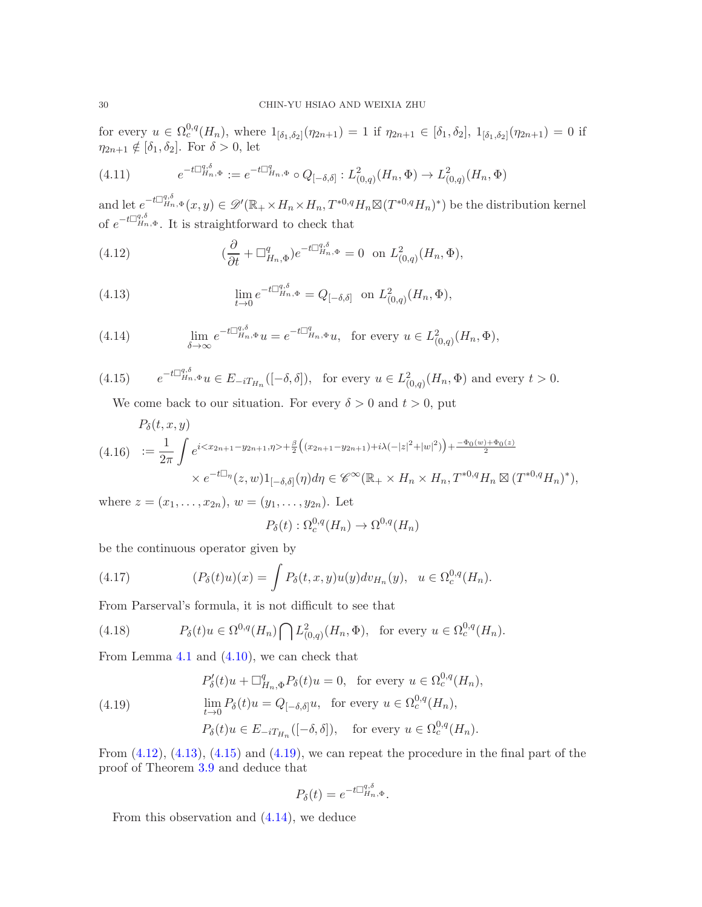for every  $u \in \Omega_c^{0,q}(H_n)$ , where  $1_{\lbrack \delta_1,\delta_2 \rbrack}(\eta_{2n+1}) = 1$  if  $\eta_{2n+1} \in [\delta_1,\delta_2], 1_{\lbrack \delta_1,\delta_2 \rbrack}(\eta_{2n+1}) = 0$  if  $\eta_{2n+1} \notin [\delta_1, \delta_2]$ . For  $\delta > 0$ , let

<span id="page-29-6"></span>
$$
(4.11) \t e^{-t\Box_{H_n,\Phi}^{q,\delta}} := e^{-t\Box_{H_n,\Phi}^q} \circ Q_{[-\delta,\delta]} : L^2_{(0,q)}(H_n,\Phi) \to L^2_{(0,q)}(H_n,\Phi)
$$

and let  $e^{-t\Box_{H_n,\Phi}^{q,\delta}}(x,y) \in \mathscr{D}'(\mathbb{R}_+ \times H_n \times H_n, T^{*0,q}H_n \boxtimes (T^{*0,q}H_n)^*)$  be the distribution kernel of  $e^{-t\Box_{H_n,\Phi}^{q,\delta}}$ . It is straightforward to check that

<span id="page-29-0"></span>(4.12) 
$$
(\frac{\partial}{\partial t} + \Box_{H_n,\Phi}^q)e^{-t\Box_{H_n,\Phi}^{q,\delta}} = 0 \text{ on } L^2_{(0,q)}(H_n,\Phi),
$$

<span id="page-29-1"></span>(4.13) 
$$
\lim_{t \to 0} e^{-t \Box_{H_n, \Phi}^{q, \delta}} = Q_{[-\delta, \delta]} \text{ on } L^2_{(0,q)}(H_n, \Phi),
$$

<span id="page-29-4"></span>(4.14) 
$$
\lim_{\delta \to \infty} e^{-t \Box_{H_n, \Phi}^{q, \delta}} u = e^{-t \Box_{H_n, \Phi}^q} u, \text{ for every } u \in L^2_{(0,q)}(H_n, \Phi),
$$

(4.15) 
$$
e^{-t\Box_{H_n,\Phi}^{q,\delta}}u \in E_{-iT_{H_n}}([-\delta,\delta]), \text{ for every } u \in L^2_{(0,q)}(H_n,\Phi) \text{ and every } t > 0.
$$

<span id="page-29-2"></span>We come back to our situation. For every  $\delta > 0$  and  $t > 0$ , put

<span id="page-29-5"></span>
$$
P_{\delta}(t, x, y)
$$
\n
$$
(4.16) \quad := \frac{1}{2\pi} \int e^{i \langle x_{2n+1} - y_{2n+1}, \eta \rangle + \frac{\beta}{2} \left( (x_{2n+1} - y_{2n+1}) + i\lambda (-|z|^2 + |w|^2) \right) + \frac{-\Phi_0(w) + \Phi_0(z)}{2}}
$$
\n
$$
\times e^{-t\Box_{\eta}}(z, w) 1_{[-\delta, \delta]}(\eta) d\eta \in \mathscr{C}^{\infty}(\mathbb{R}_+ \times H_n \times H_n, T^{*0, q} H_n \boxtimes (T^{*0, q} H_n)^*),
$$

where  $z = (x_1, \ldots, x_{2n}), w = (y_1, \ldots, y_{2n}).$  Let

$$
P_{\delta}(t): \Omega_c^{0,q}(H_n) \to \Omega^{0,q}(H_n)
$$

be the continuous operator given by

(4.17) 
$$
(P_{\delta}(t)u)(x) = \int P_{\delta}(t,x,y)u(y)dv_{H_n}(y), \ \ u \in \Omega_c^{0,q}(H_n).
$$

From Parserval's formula, it is not difficult to see that

(4.18) 
$$
P_{\delta}(t)u \in \Omega^{0,q}(H_n) \cap L^2_{(0,q)}(H_n, \Phi), \text{ for every } u \in \Omega_c^{0,q}(H_n).
$$

From Lemma [4.1](#page-27-0) and [\(4.10\)](#page-28-2), we can check that

<span id="page-29-3"></span>(4.19) 
$$
P'_{\delta}(t)u + \Box_{H_n,\Phi}^q P_{\delta}(t)u = 0, \text{ for every } u \in \Omega_c^{0,q}(H_n),
$$

$$
\lim_{t \to 0} P_{\delta}(t)u = Q_{[-\delta,\delta]}u, \text{ for every } u \in \Omega_c^{0,q}(H_n),
$$

$$
P_{\delta}(t)u \in E_{-iT_{H_n}}([-\delta,\delta]), \text{ for every } u \in \Omega_c^{0,q}(H_n).
$$

From  $(4.12)$ ,  $(4.13)$ ,  $(4.15)$  and  $(4.19)$ , we can repeat the procedure in the final part of the proof of Theorem [3.9](#page-24-6) and deduce that

$$
P_{\delta}(t) = e^{-t\Box_{H_n,\Phi}^{q,\delta}}.
$$

From this observation and [\(4.14\)](#page-29-4), we deduce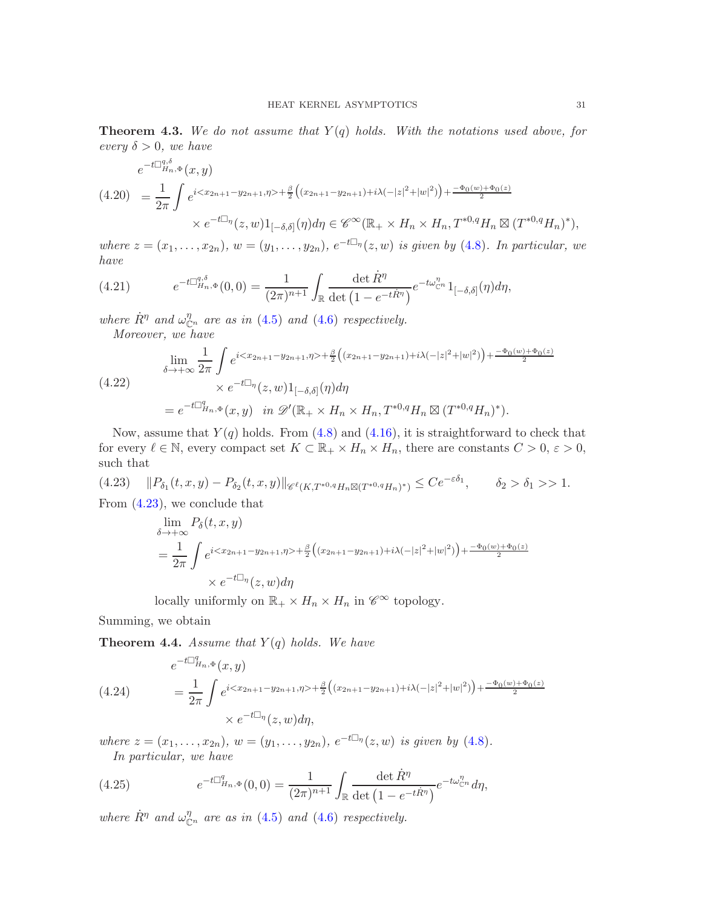<span id="page-30-2"></span>**Theorem 4.3.** We do not assume that  $Y(q)$  holds. With the notations used above, for every  $\delta > 0$ , we have

$$
e^{-t\Box_{H_n,\Phi}^{q,\delta}}(x,y)
$$
\n
$$
(4.20) = \frac{1}{2\pi} \int e^{i\langle x_{2n+1} - y_{2n+1}, \eta \rangle + \frac{\beta}{2} \left( (x_{2n+1} - y_{2n+1}) + i\lambda(-|z|^2 + |w|^2) \right) + \frac{-\Phi_0(w) + \Phi_0(z)}{2}}
$$
\n
$$
\times e^{-t\Box_\eta}(z,w) \mathbf{1}_{[-\delta,\delta]}(\eta) d\eta \in \mathscr{C}^\infty(\mathbb{R}_+ \times H_n \times H_n, T^{*0,q}H_n \boxtimes (T^{*0,q}H_n)^*),
$$

where  $z = (x_1, \ldots, x_{2n})$ ,  $w = (y_1, \ldots, y_{2n})$ ,  $e^{-t\Box_{\eta}}(z, w)$  is given by [\(4.8\)](#page-28-3). In particular, we have

(4.21) 
$$
e^{-t\Box_{H_n,\Phi}^{q,\delta}}(0,0)=\frac{1}{(2\pi)^{n+1}}\int_{\mathbb{R}}\frac{\det\dot{R}^{\eta}}{\det(1-e^{-t\dot{R}^{\eta}})}e^{-t\omega_{\mathbb{C}^n}^{\eta}}1_{[-\delta,\delta]}(\eta)d\eta,
$$

where  $\dot{R}^{\eta}$  and  $\omega_{\mathbb{C}^n}^{\eta}$  are as in [\(4.5\)](#page-28-4) and [\(4.6\)](#page-28-5) respectively.

Moreover, we have

$$
\lim_{\delta \to +\infty} \frac{1}{2\pi} \int e^{i\langle x_{2n+1} - y_{2n+1}, \eta \rangle + \frac{\beta}{2} \left( (x_{2n+1} - y_{2n+1}) + i\lambda(-|z|^2 + |w|^2) \right) + \frac{-\Phi_0(w) + \Phi_0(z)}{2}} \times e^{-t\Box \eta}(z, w) 1_{[-\delta, \delta]}(\eta) d\eta
$$
\n
$$
= e^{-t\Box_{H_n, \Phi}^q}(x, y) \quad \text{in } \mathscr{D}'(\mathbb{R}_+ \times H_n \times H_n, T^{*0,q}H_n \boxtimes (T^{*0,q}H_n)^*).
$$

Now, assume that  $Y(q)$  holds. From  $(4.8)$  and  $(4.16)$ , it is straightforward to check that for every  $\ell \in \mathbb{N}$ , every compact set  $K \subset \mathbb{R}_+ \times H_n \times H_n$ , there are constants  $C > 0$ ,  $\varepsilon > 0$ , such that

 $(4.23)$   $||P_{\delta_1}(t, x, y) - P_{\delta_2}(t, x, y)||_{\mathscr{C}^{\ell}(K, T^{*0,q}H_n \boxtimes (T^{*0,q}H_n)^*)} \leq Ce^{-\varepsilon \delta_1}, \quad \delta_2 > \delta_1 >> 1.$ From [\(4.23\)](#page-30-0), we conclude that

<span id="page-30-0"></span>
$$
\lim_{\delta \to +\infty} P_{\delta}(t, x, y)
$$
\n
$$
= \frac{1}{2\pi} \int e^{i \langle x_{2n+1} - y_{2n+1}, \eta \rangle + \frac{\beta}{2} \left( (x_{2n+1} - y_{2n+1}) + i \lambda (-|z|^2 + |w|^2) \right) + \frac{-\Phi_0(w) + \Phi_0(z)}{2}}
$$
\n
$$
\times e^{-t \Box_{\eta}}(z, w) d\eta
$$

locally uniformly on  $\mathbb{R}_+ \times H_n \times H_n$  in  $\mathscr{C}^{\infty}$  topology.

Summing, we obtain

<span id="page-30-1"></span>**Theorem 4.4.** Assume that  $Y(q)$  holds. We have

(4.24)  
\n
$$
e^{-t\Box_{H_n,\Phi}^q}(x,y) = \frac{1}{2\pi} \int e^{i\langle x_{2n+1}-y_{2n+1},\eta\rangle + \frac{\beta}{2}\left((x_{2n+1}-y_{2n+1})+i\lambda(-|z|^2+|w|^2)\right) + \frac{-\Phi_0(w)+\Phi_0(z)}{2}}
$$
\n
$$
\times e^{-t\Box_\eta}(z,w)d\eta,
$$

where  $z = (x_1, \ldots, x_{2n}), w = (y_1, \ldots, y_{2n}), e^{-t \Box_{\eta}}(z, w)$  is given by [\(4.8\)](#page-28-3). In particular, we have

(4.25) 
$$
e^{-t\Box_{H_n,\Phi}^q}(0,0)=\frac{1}{(2\pi)^{n+1}}\int_{\mathbb{R}}\frac{\det\dot{R}^{\eta}}{\det(1-e^{-t\dot{R}^{\eta}})}e^{-t\omega_{\mathbb{C}^n}^{\eta}}d\eta,
$$

where  $\dot{R}^{\eta}$  and  $\omega_{\mathbb{C}^n}^{\eta}$  are as in [\(4.5\)](#page-28-4) and [\(4.6\)](#page-28-5) respectively.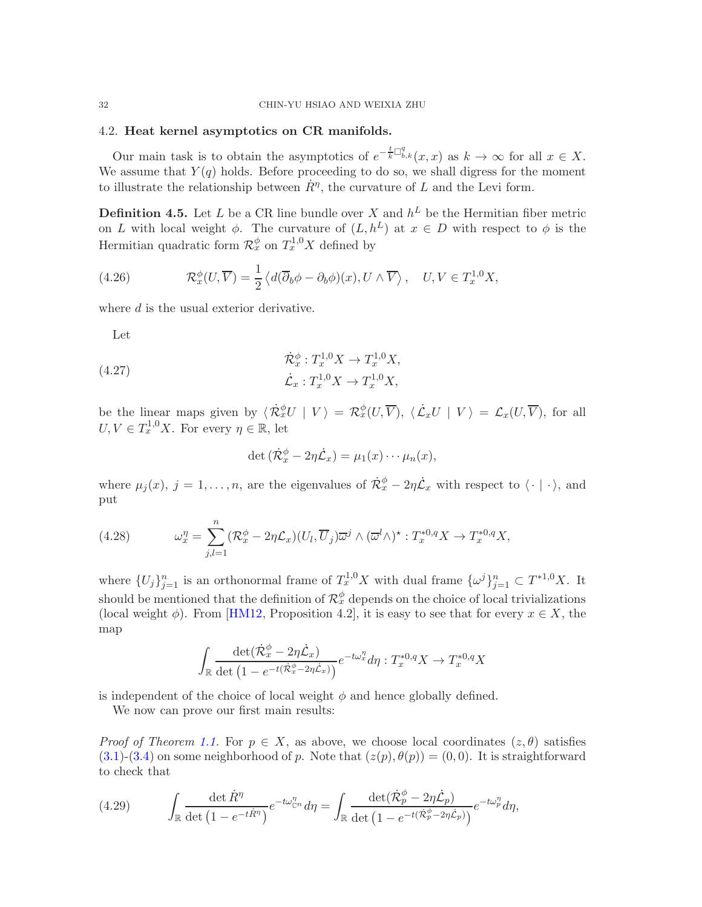### <span id="page-31-0"></span>4.2. Heat kernel asymptotics on CR manifolds.

Our main task is to obtain the asymptotics of  $e^{-\frac{t}{k}\Box_{b,k}^q}(x,x)$  as  $k \to \infty$  for all  $x \in X$ . We assume that  $Y(q)$  holds. Before proceeding to do so, we shall digress for the moment to illustrate the relationship between  $\dot{R}^{\eta}$ , the curvature of L and the Levi form.

<span id="page-31-1"></span>**Definition 4.5.** Let L be a CR line bundle over X and  $h^L$  be the Hermitian fiber metric on L with local weight  $\phi$ . The curvature of  $(L, h^L)$  at  $x \in D$  with respect to  $\phi$  is the Hermitian quadratic form  $\mathcal{R}_x^{\phi}$  on  $T_x^{1,0}X$  defined by

(4.26) 
$$
\mathcal{R}_x^{\phi}(U,\overline{V}) = \frac{1}{2} \left\langle d(\overline{\partial}_b \phi - \partial_b \phi)(x), U \wedge \overline{V} \right\rangle, \quad U, V \in T_x^{1,0} X,
$$

where d is the usual exterior derivative.

Let

(4.27) 
$$
\dot{\mathcal{R}}_x^{\phi} : T_x^{1,0} X \to T_x^{1,0} X, \n\dot{\mathcal{L}}_x : T_x^{1,0} X \to T_x^{1,0} X,
$$

be the linear maps given by  $\langle \dot{\mathcal{R}}_x^{\phi} U | V \rangle = \mathcal{R}_x^{\phi} (U, \overline{V}), \langle \dot{\mathcal{L}}_x U | V \rangle = \mathcal{L}_x (U, \overline{V}),$  for all  $U, V \in T^{1,0}_x X$ . For every  $\eta \in \mathbb{R}$ , let

$$
\det (\dot{\mathcal{R}}_x^{\phi} - 2\eta \dot{\mathcal{L}}_x) = \mu_1(x) \cdots \mu_n(x),
$$

where  $\mu_j(x)$ ,  $j = 1, \ldots, n$ , are the eigenvalues of  $\dot{\mathcal{R}}_x^{\phi} - 2\eta \dot{\mathcal{L}}_x$  with respect to  $\langle \cdot | \cdot \rangle$ , and put

(4.28) 
$$
\omega_x^{\eta} = \sum_{j,l=1}^n (\mathcal{R}_x^{\phi} - 2\eta \mathcal{L}_x)(U_l, \overline{U}_j) \overline{\omega}^j \wedge (\overline{\omega}^l \wedge)^* : T_x^{*0,q} X \to T_x^{*0,q} X,
$$

where  $\{U_j\}_{j=1}^n$  is an orthonormal frame of  $T_x^{1,0}X$  with dual frame  $\{\omega^j\}_{j=1}^n \subset T^{*1,0}X$ . It should be mentioned that the definition of  $\mathcal{R}_x^{\phi}$  depends on the choice of local trivializations (local weight  $\phi$ ). From [\[HM12,](#page-40-1) Proposition 4.2], it is easy to see that for every  $x \in X$ , the map

$$
\int_{\mathbb{R}} \frac{\det(\dot{\mathcal{R}}_x^{\phi} - 2\eta \dot{\mathcal{L}}_x)}{\det (1 - e^{-t(\dot{\mathcal{R}}_x^{\phi} - 2\eta \dot{\mathcal{L}}_x)})} e^{-t\omega_x^{\eta}} d\eta : T_x^{*0,q} X \to T_x^{*0,q} X
$$

is independent of the choice of local weight  $\phi$  and hence globally defined.

We now can prove our first main results:

*Proof of Theorem [1.1.](#page-2-1)* For  $p \in X$ , as above, we choose local coordinates  $(z, \theta)$  satisfies  $(3.1)-(3.4)$  $(3.1)-(3.4)$  $(3.1)-(3.4)$  on some neighborhood of p. Note that  $(z(p), \theta(p)) = (0, 0)$ . It is straightforward to check that

<span id="page-31-2"></span>(4.29) 
$$
\int_{\mathbb{R}} \frac{\det \dot{R}^{\eta}}{\det (1 - e^{-t\dot{R}^{\eta}})} e^{-t\omega_{\mathbb{C}^n}^{\eta}} d\eta = \int_{\mathbb{R}} \frac{\det (\dot{\mathcal{R}}_p^{\phi} - 2\eta \dot{\mathcal{L}}_p)}{\det (1 - e^{-t(\dot{\mathcal{R}}_p^{\phi} - 2\eta \dot{\mathcal{L}}_p)})} e^{-t\omega_p^{\eta}} d\eta,
$$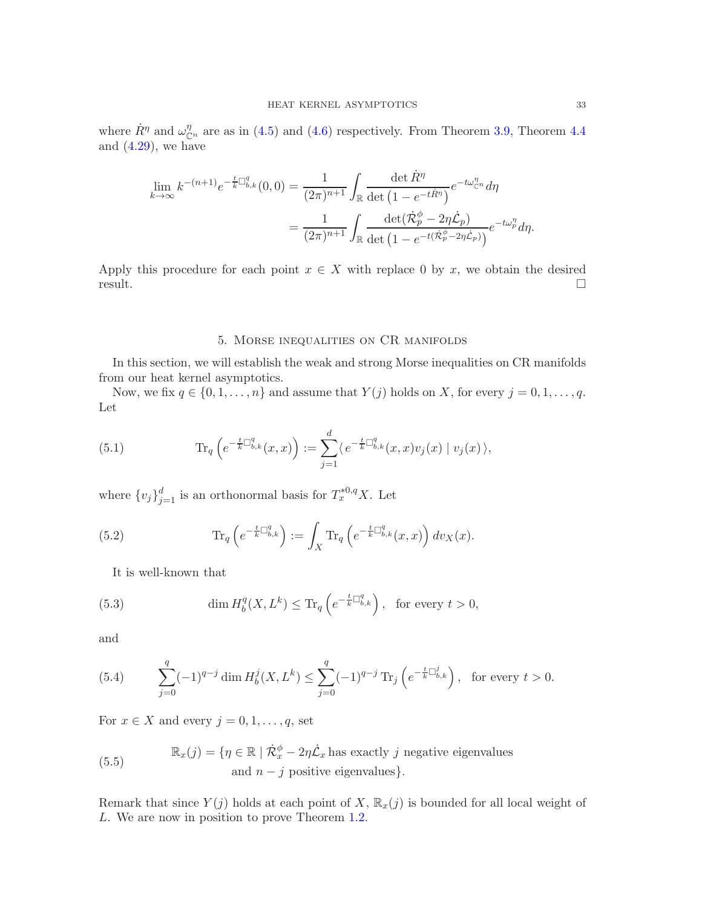where  $\dot{R}^{\eta}$  and  $\omega_{\mathbb{C}^n}^{\eta}$  are as in [\(4.5\)](#page-28-4) and [\(4.6\)](#page-28-5) respectively. From Theorem [3.9,](#page-24-6) Theorem [4.4](#page-30-1) and  $(4.29)$ , we have

$$
\lim_{k \to \infty} k^{-(n+1)} e^{-\frac{t}{k} \Box_{b,k}^q} (0,0) = \frac{1}{(2\pi)^{n+1}} \int_{\mathbb{R}} \frac{\det \dot{R}^\eta}{\det (1 - e^{-t\dot{R}^\eta})} e^{-t\omega_{\mathbb{C}^n}^q} d\eta
$$

$$
= \frac{1}{(2\pi)^{n+1}} \int_{\mathbb{R}} \frac{\det (\dot{\mathcal{R}}_p^\phi - 2\eta \dot{\mathcal{L}}_p)}{\det (1 - e^{-t(\dot{\mathcal{R}}_p^\phi - 2\eta \dot{\mathcal{L}}_p)})} e^{-t\omega_p^\eta} d\eta.
$$

Apply this procedure for each point  $x \in X$  with replace 0 by x, we obtain the desired result.  $r$ esult.

### 5. Morse inequalities on CR manifolds

<span id="page-32-0"></span>In this section, we will establish the weak and strong Morse inequalities on CR manifolds from our heat kernel asymptotics.

Now, we fix  $q \in \{0, 1, \ldots, n\}$  and assume that  $Y(j)$  holds on X, for every  $j = 0, 1, \ldots, q$ . Let

(5.1) 
$$
\text{Tr}_q \left( e^{-\frac{t}{k} \Box_{b,k}^q}(x,x) \right) := \sum_{j=1}^d \langle e^{-\frac{t}{k} \Box_{b,k}^q}(x,x) v_j(x) \mid v_j(x) \rangle,
$$

where  $\{v_j\}_{j=1}^d$  is an orthonormal basis for  $T^{*0,q}_xX$ . Let

(5.2) 
$$
\operatorname{Tr}_q \left( e^{-\frac{t}{k} \Box_{b,k}^q} \right) := \int_X \operatorname{Tr}_q \left( e^{-\frac{t}{k} \Box_{b,k}^q} (x, x) \right) dv_X(x).
$$

<span id="page-32-2"></span>It is well-known that

(5.3) 
$$
\dim H_b^q(X, L^k) \le \mathrm{Tr}_q\left(e^{-\frac{t}{k}\Box_{b,k}^q}\right), \text{ for every } t > 0,
$$

and

<span id="page-32-1"></span>(5.4) 
$$
\sum_{j=0}^{q} (-1)^{q-j} \dim H_b^j(X, L^k) \leq \sum_{j=0}^{q} (-1)^{q-j} \operatorname{Tr}_j \left( e^{-\frac{t}{k} \Box_{b,k}^j} \right), \text{ for every } t > 0.
$$

For  $x \in X$  and every  $j = 0, 1, \ldots, q$ , set

(5.5)  $\mathbb{R}_x(j) = \{ \eta \in \mathbb{R} \mid \dot{\mathcal{R}}_x^{\phi} - 2\eta \dot{\mathcal{L}}_x \text{ has exactly } j \text{ negative eigenvalues} \}$ and  $n - j$  positive eigenvalues}.

Remark that since  $Y(j)$  holds at each point of X,  $\mathbb{R}_x(j)$  is bounded for all local weight of L. We are now in position to prove Theorem [1.2.](#page-3-0)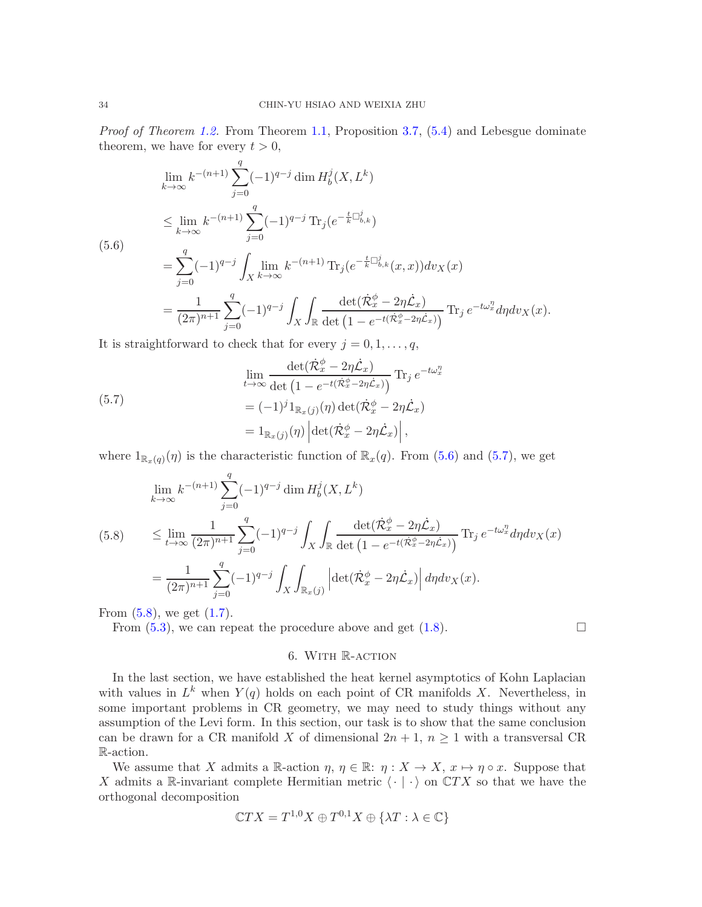Proof of Theorem [1.2.](#page-3-0) From Theorem [1.1,](#page-2-1) Proposition [3.7,](#page-22-1) [\(5.4\)](#page-32-1) and Lebesgue dominate theorem, we have for every  $t > 0$ ,

$$
\lim_{k \to \infty} k^{-(n+1)} \sum_{j=0}^{q} (-1)^{q-j} \dim H_b^j(X, L^k)
$$
\n
$$
\leq \lim_{k \to \infty} k^{-(n+1)} \sum_{j=0}^{q} (-1)^{q-j} \operatorname{Tr}_j(e^{-\frac{t}{k} \Box_{b,k}^j})
$$
\n
$$
= \sum_{j=0}^{q} (-1)^{q-j} \int_X \lim_{k \to \infty} k^{-(n+1)} \operatorname{Tr}_j(e^{-\frac{t}{k} \Box_{b,k}^j}(x, x)) dv_X(x)
$$
\n
$$
= \frac{1}{(2\pi)^{n+1}} \sum_{j=0}^{q} (-1)^{q-j} \int_X \int_{\mathbb{R}} \frac{\det(\dot{\mathcal{R}}_x^{\phi} - 2\eta \dot{\mathcal{L}}_x)}{\det(1 - e^{-t(\dot{\mathcal{R}}_x^{\phi} - 2\eta \dot{\mathcal{L}}_x)})} \operatorname{Tr}_j e^{-t\omega_x^{\eta}} d\eta dv_X(x).
$$

<span id="page-33-1"></span> $(5)$ 

It is straightforward to check that for every  $j = 0, 1, \ldots, q$ ,

<span id="page-33-2"></span>(5.7)  
\n
$$
\lim_{t \to \infty} \frac{\det(\dot{\mathcal{R}}_x^{\phi} - 2\eta \dot{\mathcal{L}}_x)}{\det (1 - e^{-t(\dot{\mathcal{R}}_x^{\phi} - 2\eta \dot{\mathcal{L}}_x)})} \text{Tr}_j e^{-t\omega_x^{\eta}}
$$
\n
$$
= (-1)^j 1_{\mathbb{R}_x(j)}(\eta) \det(\dot{\mathcal{R}}_x^{\phi} - 2\eta \dot{\mathcal{L}}_x)
$$
\n
$$
= 1_{\mathbb{R}_x(j)}(\eta) \left| \det(\dot{\mathcal{R}}_x^{\phi} - 2\eta \dot{\mathcal{L}}_x) \right|,
$$

where  $1_{\mathbb{R}_x(q)}(\eta)$  is the characteristic function of  $\mathbb{R}_x(q)$ . From [\(5.6\)](#page-33-1) and [\(5.7\)](#page-33-2), we get

<span id="page-33-3"></span>
$$
\lim_{k \to \infty} k^{-(n+1)} \sum_{j=0}^{q} (-1)^{q-j} \dim H_b^j(X, L^k)
$$
\n
$$
\leq \lim_{t \to \infty} \frac{1}{(2\pi)^{n+1}} \sum_{j=0}^{q} (-1)^{q-j} \int_X \int_{\mathbb{R}} \frac{\det(\dot{\mathcal{R}}_x^{\phi} - 2\eta \dot{\mathcal{L}}_x)}{\det(1 - e^{-t(\dot{\mathcal{R}}_x^{\phi} - 2\eta \dot{\mathcal{L}}_x)})} \operatorname{Tr}_j e^{-t\omega_x^{\eta}} d\eta d\upsilon_X(x)
$$
\n
$$
= \frac{1}{(2\pi)^{n+1}} \sum_{j=0}^{q} (-1)^{q-j} \int_X \int_{\mathbb{R}_x(j)} \left| \det(\dot{\mathcal{R}}_x^{\phi} - 2\eta \dot{\mathcal{L}}_x) \right| d\eta d\upsilon_X(x).
$$

From  $(5.8)$ , we get  $(1.7)$ .

<span id="page-33-0"></span>From  $(5.3)$ , we can repeat the procedure above and get  $(1.8)$ .

# 6. With R-action

In the last section, we have established the heat kernel asymptotics of Kohn Laplacian with values in  $L^k$  when  $Y(q)$  holds on each point of CR manifolds X. Nevertheless, in some important problems in CR geometry, we may need to study things without any assumption of the Levi form. In this section, our task is to show that the same conclusion can be drawn for a CR manifold X of dimensional  $2n + 1$ ,  $n \ge 1$  with a transversal CR R-action.

We assume that X admits a R-action  $\eta, \eta \in \mathbb{R}$ :  $\eta: X \to X$ ,  $x \mapsto \eta \circ x$ . Suppose that X admits a R-invariant complete Hermitian metric  $\langle \cdot | \cdot \rangle$  on  $\mathbb{C}TX$  so that we have the orthogonal decomposition

$$
\mathbb{C}TX = T^{1,0}X \oplus T^{0,1}X \oplus \{\lambda T : \lambda \in \mathbb{C}\}
$$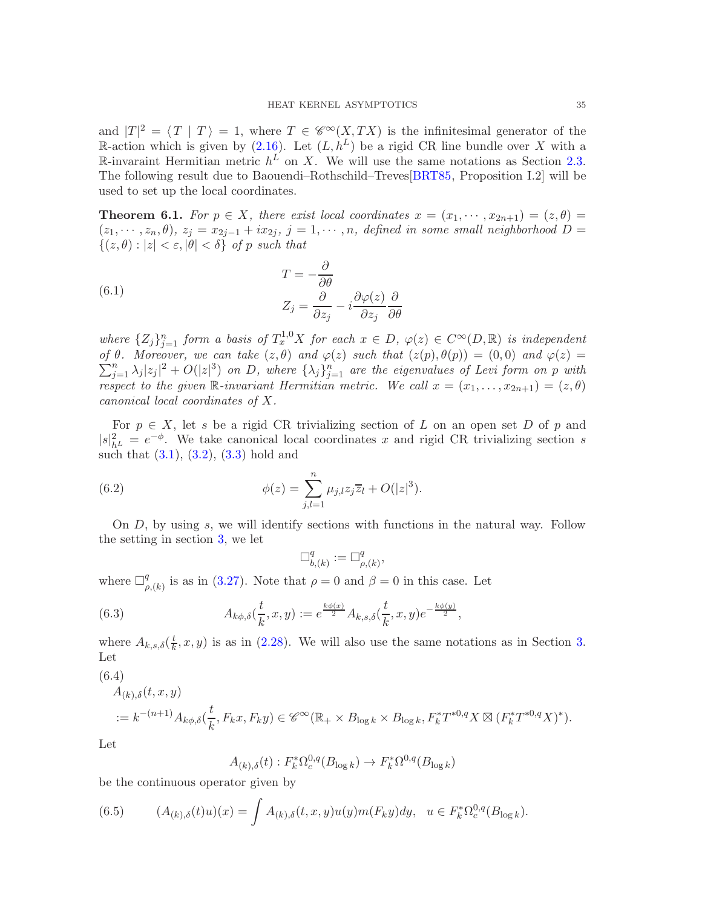and  $|T|^2 = \langle T | T \rangle = 1$ , where  $T \in \mathscr{C}^{\infty}(X, TX)$  is the infinitesimal generator of the R-action which is given by [\(2.16\)](#page-9-3). Let  $(L, h^L)$  be a rigid CR line bundle over X with a R-invaraint Hermitian metric  $h^L$  on X. We will use the same notations as Section [2.3.](#page-9-0) The following result due to Baouendi–Rothschild–Treves[\[BRT85,](#page-40-10) Proposition I.2] will be used to set up the local coordinates.

**Theorem 6.1.** For  $p \in X$ , there exist local coordinates  $x = (x_1, \dots, x_{2n+1}) = (z, \theta)$  $(z_1, \dots, z_n, \theta)$ ,  $z_j = x_{2j-1} + ix_{2j}$ ,  $j = 1, \dots, n$ , defined in some small neighborhood  $D =$  $\{(z,\theta): |z| < \varepsilon, |\theta| < \delta\}$  of p such that

(6.1) 
$$
T = -\frac{\partial}{\partial \theta} \nZ_j = \frac{\partial}{\partial z_j} - i \frac{\partial \varphi(z)}{\partial z_j} \frac{\partial}{\partial \theta}
$$

where  $\{Z_j\}_{j=1}^n$  form a basis of  $T_x^{1,0}X$  for each  $x \in D$ ,  $\varphi(z) \in C^\infty(D, \mathbb{R})$  is independent  $\sum$ of  $\theta$ . Moreover, we can take  $(z, \theta)$  and  $\varphi(z)$  such that  $(z(p), \theta(p)) = (0, 0)$  and  $\varphi(z) = \sum_{j=1}^{n} \lambda_j |z_j|^2 + O(|z|^3)$  on D, where  $\{\lambda_j\}_{j=1}^n$  are the eigenvalues of Levi form on p with respect to the given R-invariant Hermitian metric. We call  $x = (x_1, \ldots, x_{2n+1}) = (z, \theta)$ canonical local coordinates of X.

For  $p \in X$ , let s be a rigid CR trivializing section of L on an open set D of p and  $|s|^2_{h^L} = e^{-\phi}$ . We take canonical local coordinates x and rigid CR trivializing section s such that  $(3.1), (3.2), (3.3)$  $(3.1), (3.2), (3.3)$  $(3.1), (3.2), (3.3)$  $(3.1), (3.2), (3.3)$  hold and

(6.2) 
$$
\phi(z) = \sum_{j,l=1}^{n} \mu_{j,l} z_j \overline{z}_l + O(|z|^3).
$$

On D, by using s, we will identify sections with functions in the natural way. Follow the setting in section [3,](#page-12-0) we let

$$
\Box^q_{b,(k)}:=\Box^q_{\rho,(k)},
$$

where  $\Box_g^q$  $_{\rho,(k)}^q$  is as in [\(3.27\)](#page-16-6). Note that  $\rho=0$  and  $\beta=0$  in this case. Let

(6.3) 
$$
A_{k\phi,\delta}(\frac{t}{k},x,y) := e^{\frac{k\phi(x)}{2}} A_{k,s,\delta}(\frac{t}{k},x,y)e^{-\frac{k\phi(y)}{2}},
$$

where  $A_{k,s,\delta}(\frac{t}{k})$  $\frac{t}{k}$ , x, y) is as in [\(2.28\)](#page-11-1). We will also use the same notations as in Section [3.](#page-12-0) Let

$$
(6.4)
$$

<span id="page-34-0"></span>
$$
A_{(k),\delta}(t,x,y)
$$
  

$$
:= k^{-(n+1)} A_{k\phi,\delta}(\frac{t}{k},F_k x, F_k y) \in \mathscr{C}^{\infty}(\mathbb{R}_+ \times B_{\log k} \times B_{\log k}, F_k^* T^{*0,q} X \boxtimes (F_k^* T^{*0,q} X)^*).
$$

Let

$$
A_{(k),\delta}(t) : F_k^* \Omega_c^{0,q}(B_{\log k}) \to F_k^* \Omega^{0,q}(B_{\log k})
$$

be the continuous operator given by

(6.5) 
$$
(A_{(k),\delta}(t)u)(x) = \int A_{(k),\delta}(t,x,y)u(y)m(F_ky)dy, \ \ u \in F_k^*\Omega_c^{0,q}(B_{\log k}).
$$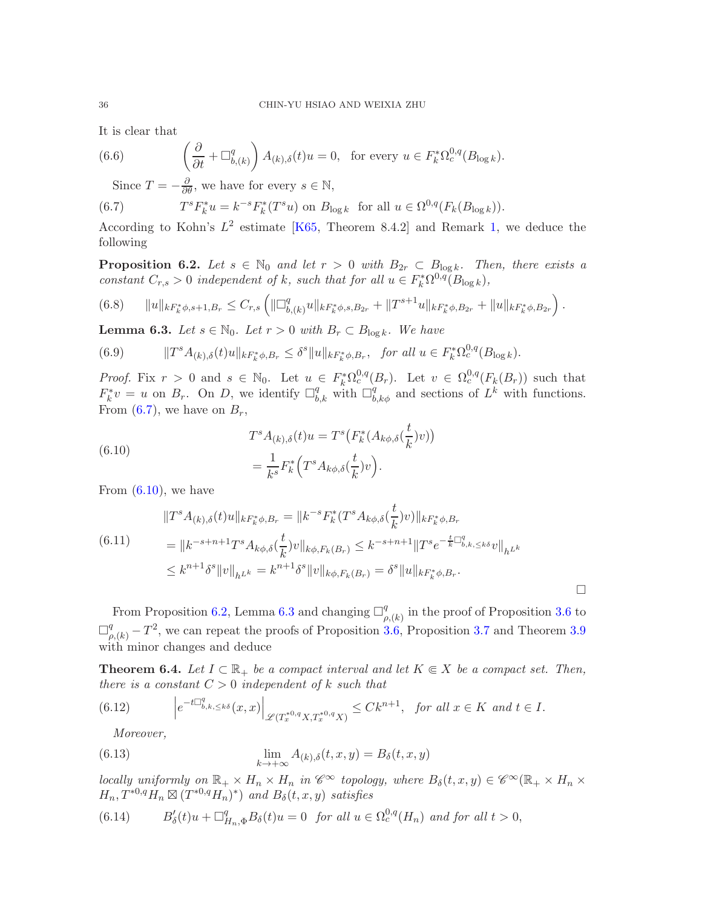It is clear that

(6.6) 
$$
\left(\frac{\partial}{\partial t} + \Box_{b,(k)}^q\right) A_{(k),\delta}(t)u = 0, \text{ for every } u \in F_k^*\Omega_c^{0,q}(B_{\log k}).
$$

<span id="page-35-0"></span>Since  $T = -\frac{\partial}{\partial \theta}$ , we have for every  $s \in \mathbb{N}$ ,

(6.7) 
$$
T^{s}F_{k}^{*}u = k^{-s}F_{k}^{*}(T^{s}u) \text{ on } B_{\log k} \text{ for all } u \in \Omega^{0,q}(F_{k}(B_{\log k})).
$$

According to Kohn's  $L^2$  estimate [\[K65,](#page-41-1) Theorem 8.4.2] and Remark [1,](#page-18-3) we deduce the following

<span id="page-35-2"></span>**Proposition 6.2.** Let  $s \in \mathbb{N}_0$  and let  $r > 0$  with  $B_{2r} \subset B_{\log k}$ . Then, there exists a constant  $C_{r,s} > 0$  independent of k, such that for all  $u \in F_k^* \Omega^{0,q}(B_{\log k}),$ 

$$
(6.8) \t\t ||u||_{kF_k^*\phi,s+1,B_r} \leq C_{r,s} \left( \|\Box^q_{b,(k)}u\|_{kF_k^*\phi,s,B_{2r}} + \|T^{s+1}u\|_{kF_k^*\phi,B_{2r}} + \|u\|_{kF_k^*\phi,B_{2r}} \right).
$$

<span id="page-35-3"></span>**Lemma 6.3.** Let  $s \in \mathbb{N}_0$ . Let  $r > 0$  with  $B_r \subset B_{\log k}$ . We have

(6.9) 
$$
||T^s A_{(k),\delta}(t)u||_{kF_k^*\phi, B_r} \leq \delta^s ||u||_{kF_k^*\phi, B_r}, \text{ for all } u \in F_k^*\Omega_c^{0,q}(B_{\log k}).
$$

*Proof.* Fix  $r > 0$  and  $s \in \mathbb{N}_0$ . Let  $u \in F_k^* \Omega_c^{0,q}(B_r)$ . Let  $v \in \Omega_c^{0,q}(F_k(B_r))$  such that  $F_k^*v = u$  on  $B_r$ . On D, we identify  $\Box_{b,k}^q$  with  $\Box_{b,k\phi}^q$  and sections of  $L^k$  with functions. From  $(6.7)$ , we have on  $B_r$ ,

<span id="page-35-1"></span>(6.10)  

$$
T^s A_{(k),\delta}(t)u = T^s \left( F_k^* (A_{k\phi,\delta}(\frac{t}{k})v) \right)
$$

$$
= \frac{1}{k^s} F_k^* \left( T^s A_{k\phi,\delta}(\frac{t}{k})v \right).
$$

From  $(6.10)$ , we have

$$
\|T^s A_{(k),\delta}(t)u\|_{k,_k^* \phi, B_r} = \|k^{-s} F_k^*(T^s A_{k\phi,\delta}(\frac{t}{k})v)\|_{k,_k^* \phi, B_r}
$$
  
(6.11)  

$$
= \|k^{-s+n+1} T^s A_{k\phi,\delta}(\frac{t}{k})v\|_{k\phi, F_k(B_r)} \le k^{-s+n+1} \|T^s e^{-\frac{t}{k} \Box_{b,k,\le k\delta}^d} v\|_{h^{L^k}}
$$
  

$$
\le k^{n+1} \delta^s \|v\|_{h^{L^k}} = k^{n+1} \delta^s \|v\|_{k\phi, F_k(B_r)} = \delta^s \|u\|_{k,_k^* \phi, B_r}.
$$

From Proposition [6.2,](#page-35-2) Lemma [6.3](#page-35-3) and changing  $\Box^q_a$  $P_{\rho,(k)}^q$  in the proof of Proposition [3.6](#page-20-5) to  $\Box_{\rho,(k)}^q - T^2$ , we can repeat the proofs of Proposition [3.6,](#page-20-5) Proposition [3.7](#page-22-1) and Theorem [3.9](#page-24-6) with minor changes and deduce

<span id="page-35-4"></span>**Theorem 6.4.** Let  $I \subset \mathbb{R}_+$  be a compact interval and let  $K \in X$  be a compact set. Then, there is a constant  $C > 0$  independent of k such that

(6.12) 
$$
\left|e^{-t\Box_{b,k,\leq k\delta}^q}(x,x)\right|_{\mathscr{L}(T_x^{*0,q}X,T_x^{*0,q}X)} \leq Ck^{n+1}, \text{ for all } x \in K \text{ and } t \in I.
$$

Moreover,

(6.13) 
$$
\lim_{k \to +\infty} A_{(k),\delta}(t,x,y) = B_{\delta}(t,x,y)
$$

locally uniformly on  $\mathbb{R}_+ \times H_n \times H_n$  in  $\mathscr{C}^{\infty}$  topology, where  $B_{\delta}(t, x, y) \in \mathscr{C}^{\infty}(\mathbb{R}_+ \times H_n \times H_n)$  $H_n, T^{*0,q}H_n \boxtimes (T^{*0,q}H_n)^*)$  and  $B_\delta(t, x, y)$  satisfies

<span id="page-35-5"></span>(6.14) 
$$
B'_{\delta}(t)u + \Box_{H_n,\Phi}^q B_{\delta}(t)u = 0 \text{ for all } u \in \Omega_c^{0,q}(H_n) \text{ and for all } t > 0,
$$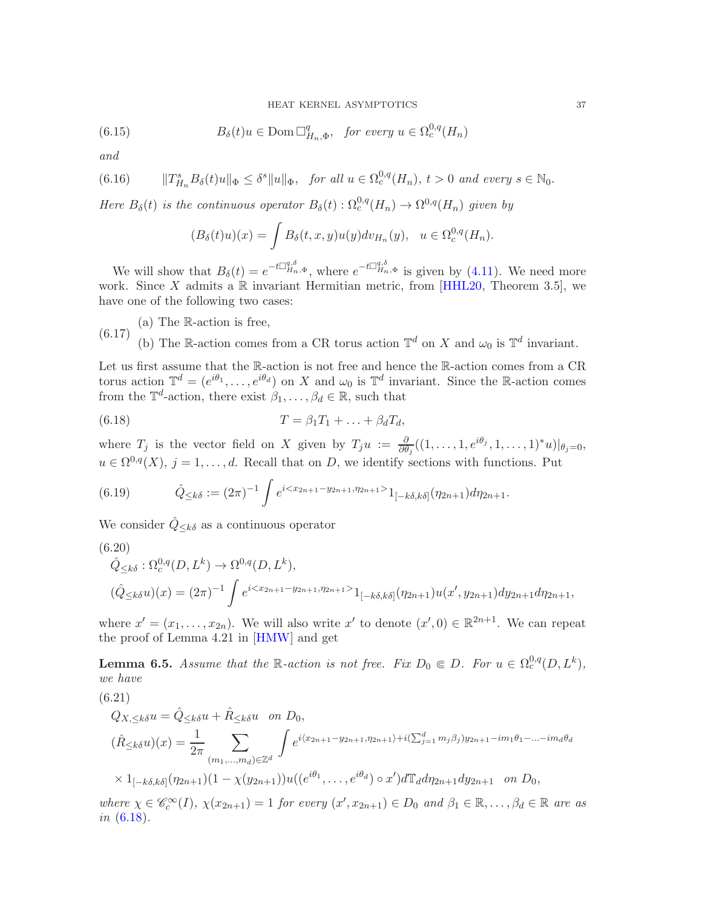(6.15) 
$$
B_{\delta}(t)u \in \text{Dom }\Box_{H_n,\Phi}^q, \text{ for every } u \in \Omega_c^{0,q}(H_n)
$$

and

$$
(6.16) \t\t ||T_{H_n}^s B_\delta(t)u||_{\Phi} \le \delta^s \|u\|_{\Phi}, \tfor all  $u \in \Omega_c^{0,q}(H_n)$ ,  $t > 0$  and every  $s \in \mathbb{N}_0$ .
$$

Here  $B_\delta(t)$  is the continuous operator  $B_\delta(t)$ :  $\Omega_c^{0,q}(H_n) \to \Omega^{0,q}(H_n)$  given by

<span id="page-36-3"></span><span id="page-36-2"></span>
$$
(B_{\delta}(t)u)(x) = \int B_{\delta}(t,x,y)u(y)dv_{H_n}(y), \quad u \in \Omega_c^{0,q}(H_n).
$$

We will show that  $B_\delta(t) = e^{-t\prod_{H_n,\Phi}^{q,\delta}}$ , where  $e^{-t\prod_{H_n,\Phi}^{q,\delta}}$  is given by [\(4.11\)](#page-29-6). We need more work. Since X admits a  $\mathbb R$  invariant Hermitian metric, from [\[HHL20,](#page-40-8) Theorem 3.5], we have one of the following two cases:

(a) The R-action is free, (b) The R-action comes from a CR torus action  $\mathbb{T}^d$  on X and  $\omega_0$  is  $\mathbb{T}^d$  invariant. (6.17)

Let us first assume that the R-action is not free and hence the R-action comes from a CR torus action  $\mathbb{T}^d = (e^{i\theta_1}, \dots, e^{i\theta_d})$  on X and  $\omega_0$  is  $\mathbb{T}^d$  invariant. Since the R-action comes from the  $\mathbb{T}^d$ -action, there exist  $\beta_1, \ldots, \beta_d \in \mathbb{R}$ , such that

<span id="page-36-0"></span>
$$
(6.18) \t\t T = \beta_1 T_1 + \ldots + \beta_d T_d,
$$

where  $T_j$  is the vector field on X given by  $T_j u := \frac{\partial}{\partial \theta_j} ((1, \ldots, 1, e^{i\theta_j}, 1, \ldots, 1)^* u)|_{\theta_j = 0}$ ,  $u \in \Omega^{0,q}(X), j = 1, \ldots, d.$  Recall that on D, we identify sections with functions. Put

(6.19) 
$$
\hat{Q}_{\leq k\delta} := (2\pi)^{-1} \int e^{i \langle x_{2n+1} - y_{2n+1}, \eta_{2n+1} \rangle} 1_{[-k\delta, k\delta]}(\eta_{2n+1}) d\eta_{2n+1}.
$$

We consider  $\hat{Q}_{\leq k\delta}$  as a continuous operator

$$
(6.20)
$$

$$
\hat{Q}_{\leq k\delta}: \Omega_c^{0,q}(D, L^k) \to \Omega^{0,q}(D, L^k),
$$
  

$$
(\hat{Q}_{\leq k\delta}u)(x) = (2\pi)^{-1} \int e^{i\langle x_{2n+1} - y_{2n+1}, \eta_{2n+1}\rangle} 1_{[-k\delta, k\delta]}(\eta_{2n+1}) u(x', y_{2n+1}) dy_{2n+1} d\eta_{2n+1},
$$

where  $x' = (x_1, \ldots, x_{2n})$ . We will also write  $x'$  to denote  $(x', 0) \in \mathbb{R}^{2n+1}$ . We can repeat the proof of Lemma 4.21 in [\[HMW\]](#page-41-2) and get

<span id="page-36-1"></span>**Lemma 6.5.** Assume that the R-action is not free. Fix  $D_0 \in D$ . For  $u \in \Omega_c^{0,q}(D, L^k)$ , we have

$$
(6.21)
$$

$$
Q_{X,\leq k\delta}u = \hat{Q}_{\leq k\delta}u + \hat{R}_{\leq k\delta}u \quad on \ D_0,
$$
  
\n
$$
(\hat{R}_{\leq k\delta}u)(x) = \frac{1}{2\pi} \sum_{(m_1,\dots,m_d)\in\mathbb{Z}^d} \int e^{i\langle x_{2n+1}-y_{2n+1},\eta_{2n+1}\rangle + i(\sum_{j=1}^d m_j\beta_j)y_{2n+1} - im_1\theta_1 - \dots - im_d\theta_d}
$$
  
\n
$$
\times 1_{[-k\delta,k\delta]}(\eta_{2n+1})(1 - \chi(y_{2n+1}))u((e^{i\theta_1},\dots,e^{i\theta_d}) \circ x')d\mathbb{T}_d d\eta_{2n+1} dy_{2n+1} \quad on \ D_0,
$$

where  $\chi \in \mathscr{C}_c^{\infty}(I)$ ,  $\chi(x_{2n+1}) = 1$  for every  $(x', x_{2n+1}) \in D_0$  and  $\beta_1 \in \mathbb{R}, \ldots, \beta_d \in \mathbb{R}$  are as in [\(6.18\)](#page-36-0).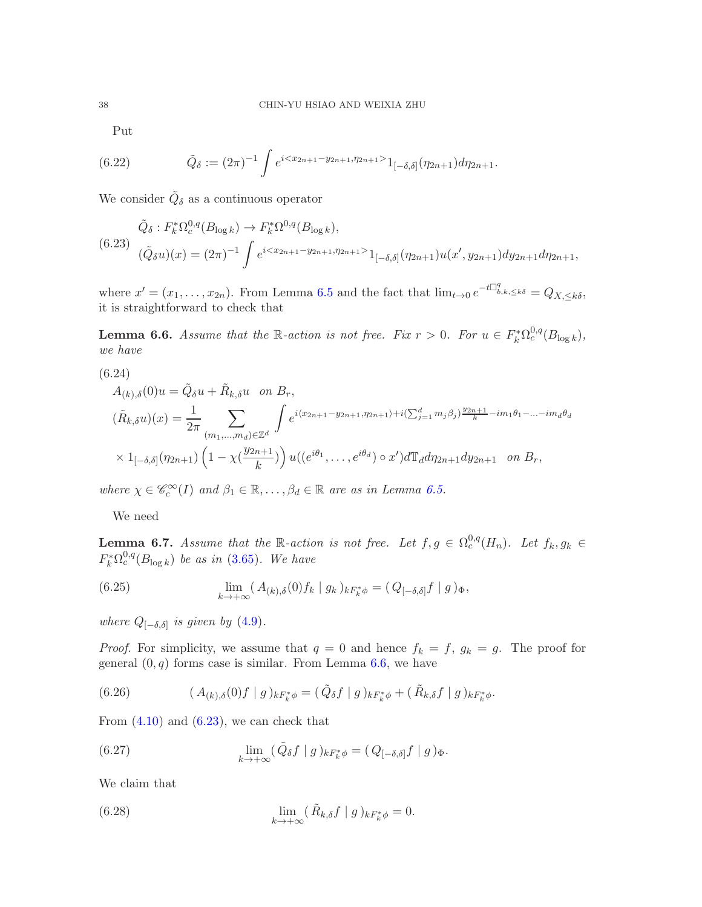Put

(6.22) 
$$
\tilde{Q}_{\delta} := (2\pi)^{-1} \int e^{i \langle x_{2n+1} - y_{2n+1}, \eta_{2n+1} \rangle} 1_{[-\delta, \delta]}(\eta_{2n+1}) d\eta_{2n+1}.
$$

We consider  $\tilde{Q}_{\delta}$  as a continuous operator

<span id="page-37-1"></span>
$$
\tilde{Q}_{\delta}: F_{k}^{*}\Omega_{c}^{0,q}(B_{\log k}) \to F_{k}^{*}\Omega_{c}^{0,q}(B_{\log k}),
$$
\n
$$
(6.23) \quad (\tilde{Q}_{\delta}u)(x) = (2\pi)^{-1} \int e^{i(x_{2n+1}-y_{2n+1}, \eta_{2n+1})} 1_{[-\delta,\delta]}(\eta_{2n+1})u(x', y_{2n+1}) dy_{2n+1} d\eta_{2n+1},
$$

where  $x' = (x_1, \ldots, x_{2n})$ . From Lemma [6.5](#page-36-1) and the fact that  $\lim_{t\to 0} e^{-t\prod_{b,k\leq k\delta}^q} = Q_{X,\leq k\delta}$ , it is straightforward to check that

<span id="page-37-0"></span>**Lemma 6.6.** Assume that the R-action is not free. Fix  $r > 0$ . For  $u \in F_k^* \Omega_c^{0,q}(B_{\log k}),$ we have

(6.24)

<span id="page-37-2"></span>
$$
A_{(k),\delta}(0)u = \tilde{Q}_{\delta}u + \tilde{R}_{k,\delta}u \text{ on } B_r,
$$
  
\n
$$
(\tilde{R}_{k,\delta}u)(x) = \frac{1}{2\pi} \sum_{(m_1,...,m_d)\in\mathbb{Z}^d} \int e^{i\langle x_{2n+1}-y_{2n+1},\eta_{2n+1}\rangle + i(\sum_{j=1}^d m_j\beta_j)\frac{y_{2n+1}}{k} - im_1\theta_1 - ... - im_d\theta_d}
$$
  
\n
$$
\times 1_{[-\delta,\delta]}(\eta_{2n+1})\left(1-\chi(\frac{y_{2n+1}}{k})\right)u((e^{i\theta_1},...,e^{i\theta_d})\circ x')d\mathbb{T}_d d\eta_{2n+1} dy_{2n+1} \text{ on } B_r,
$$

where  $\chi \in \mathscr{C}_c^{\infty}(I)$  and  $\beta_1 \in \mathbb{R}, \ldots, \beta_d \in \mathbb{R}$  are as in Lemma [6.5.](#page-36-1)

We need

**Lemma 6.7.** Assume that the R-action is not free. Let  $f, g \in \Omega_c^{0,q}(H_n)$ . Let  $f_k, g_k \in$  $F_k^* \Omega_c^{0,q}(B_{\log k})$  be as in [\(3.65\)](#page-25-4). We have

<span id="page-37-6"></span>(6.25) 
$$
\lim_{k \to +\infty} (A_{(k),\delta}(0) f_k | g_k)_{kF_k^*\phi} = (Q_{[-\delta,\delta]}f | g)_{\Phi},
$$

where  $Q_{[-\delta,\delta]}$  is given by  $(4.9)$ .

*Proof.* For simplicity, we assume that  $q = 0$  and hence  $f_k = f$ ,  $g_k = g$ . The proof for general  $(0, q)$  forms case is similar. From Lemma [6.6,](#page-37-0) we have

<span id="page-37-4"></span>(6.26) 
$$
(A_{(k),\delta}(0)f \mid g)_{kF_k^*\phi} = (\tilde{Q}_{\delta}f \mid g)_{kF_k^*\phi} + (\tilde{R}_{k,\delta}f \mid g)_{kF_k^*\phi}.
$$

From  $(4.10)$  and  $(6.23)$ , we can check that

<span id="page-37-5"></span>(6.27) 
$$
\lim_{k \to +\infty} (\tilde{Q}_{\delta} f \mid g)_{k F_k^* \phi} = (Q_{[-\delta, \delta]} f \mid g)_{\Phi}.
$$

We claim that

<span id="page-37-3"></span>(6.28) 
$$
\lim_{k \to +\infty} (\tilde{R}_{k,\delta} f \mid g)_{kF_k^*\phi} = 0.
$$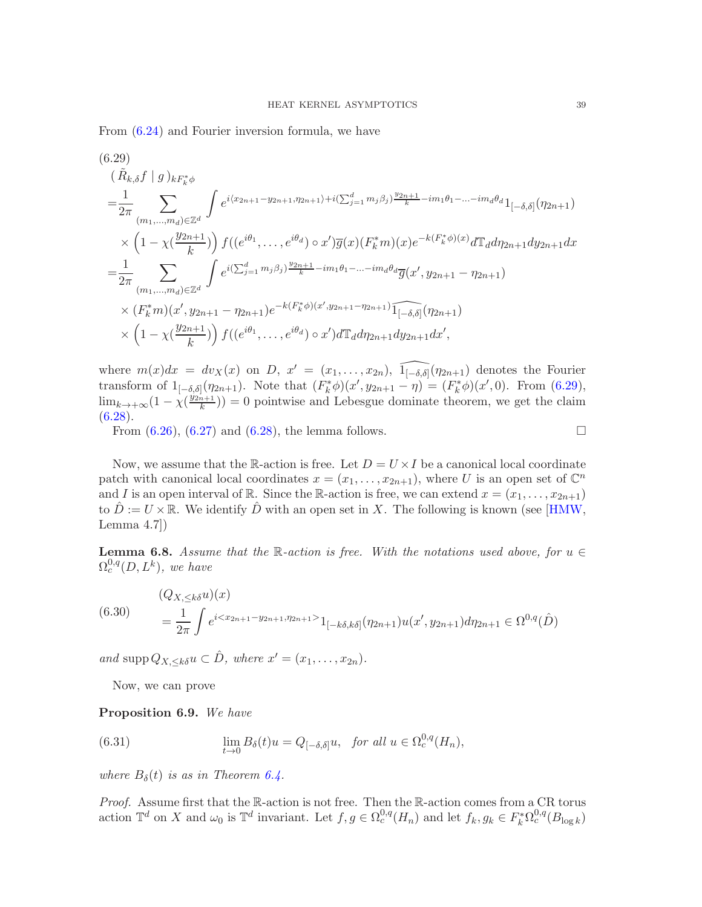From [\(6.24\)](#page-37-2) and Fourier inversion formula, we have

<span id="page-38-0"></span>
$$
(6.29)
$$
  
\n
$$
(\tilde{R}_{k,\delta}f \mid g)_{k}F_{k}^{*}\phi
$$
  
\n
$$
= \frac{1}{2\pi} \sum_{(m_{1},...,m_{d}) \in \mathbb{Z}^{d}} \int e^{i\langle x_{2n+1}-y_{2n+1}, \eta_{2n+1}\rangle + i(\sum_{j=1}^{d} m_{j}\beta_{j})\frac{y_{2n+1}}{k} - im_{1}\theta_{1} - ... - im_{d}\theta_{d}} 1_{[-\delta,\delta]}(\eta_{2n+1})
$$
  
\n
$$
\times \left(1 - \chi\left(\frac{y_{2n+1}}{k}\right)\right) f((e^{i\theta_{1}},...,e^{i\theta_{d}}) \circ x')\overline{g}(x) (F_{k}^{*}m)(x) e^{-k(F_{k}^{*}\phi)(x)} d\mathbb{T}_{d}d\eta_{2n+1}dy_{2n+1}dx
$$
  
\n
$$
= \frac{1}{2\pi} \sum_{(m_{1},...,m_{d}) \in \mathbb{Z}^{d}} \int e^{i\langle \sum_{j=1}^{d} m_{j}\beta_{j}\rangle \frac{y_{2n+1}}{k} - im_{1}\theta_{1} - ... - im_{d}\theta_{d}} \overline{g}(x', y_{2n+1} - \eta_{2n+1})
$$
  
\n
$$
\times (F_{k}^{*}m)(x', y_{2n+1} - \eta_{2n+1}) e^{-k(F_{k}^{*}\phi)(x', y_{2n+1} - \eta_{2n+1})} \widehat{1_{[-\delta,\delta]}(\eta_{2n+1})}
$$
  
\n
$$
\times \left(1 - \chi\left(\frac{y_{2n+1}}{k}\right)\right) f((e^{i\theta_{1}},...,e^{i\theta_{d}) \circ x') d\mathbb{T}_{d}d\eta_{2n+1}dy_{2n+1}dx',
$$

where  $m(x)dx = dy_X(x)$  on D,  $x' = (x_1, \ldots, x_{2n})$ ,  $\widehat{1_{[-\delta,\delta]}}(\eta_{2n+1})$  denotes the Fourier transform of  $1_{[-\delta,\delta]}(\eta_{2n+1})$ . Note that  $(F_k^*\phi)(x',y_{2n+1}-\eta)=(F_k^*\phi)(x',0)$ . From [\(6.29\)](#page-38-0),  $\lim_{k \to +\infty} (1 - \chi(\frac{y_{2n+1}}{k})$  $\binom{n+1}{k}$  = 0 pointwise and Lebesgue dominate theorem, we get the claim  $(6.28).$  $(6.28).$ 

From  $(6.26)$ ,  $(6.27)$  and  $(6.28)$ , the lemma follows.

Now, we assume that the R-action is free. Let  $D = U \times I$  be a canonical local coordinate patch with canonical local coordinates  $x = (x_1, \ldots, x_{2n+1})$ , where U is an open set of  $\mathbb{C}^n$ and I is an open interval of R. Since the R-action is free, we can extend  $x = (x_1, \ldots, x_{2n+1})$ to  $\hat{D} := U \times \mathbb{R}$ . We identify  $\hat{D}$  with an open set in X. The following is known (see [\[HMW,](#page-41-2) Lemma  $4.7$ ]

**Lemma 6.8.** Assume that the R-action is free. With the notations used above, for  $u \in$  $\Omega_c^{0,q}(D,L^k)$ , we have

<span id="page-38-2"></span>
$$
(6.30) \qquad \begin{aligned} (Q_{X,\leq k\delta}u)(x) \\ &= \frac{1}{2\pi} \int e^{i1_{[-k\delta,k\delta]}(\eta_{2n+1})u(x',y_{2n+1})d\eta_{2n+1} \in \Omega^{0,q}(\hat{D}) \end{aligned}
$$

and supp  $Q_{X, \leq k\delta} u \subset \hat{D}$ , where  $x' = (x_1, \ldots, x_{2n}).$ 

<span id="page-38-1"></span>Now, we can prove

### <span id="page-38-3"></span>Proposition 6.9. We have

(6.31) 
$$
\lim_{t \to 0} B_{\delta}(t)u = Q_{[-\delta,\delta]}u, \text{ for all } u \in \Omega_c^{0,q}(H_n),
$$

where  $B_{\delta}(t)$  is as in Theorem [6.4.](#page-35-4)

Proof. Assume first that the R-action is not free. Then the R-action comes from a CR torus action  $\mathbb{T}^d$  on X and  $\omega_0$  is  $\mathbb{T}^d$  invariant. Let  $f, g \in \Omega_c^{0,q}(H_n)$  and let  $f_k, g_k \in F_k^* \Omega_c^{0,q}(B_{\log k})$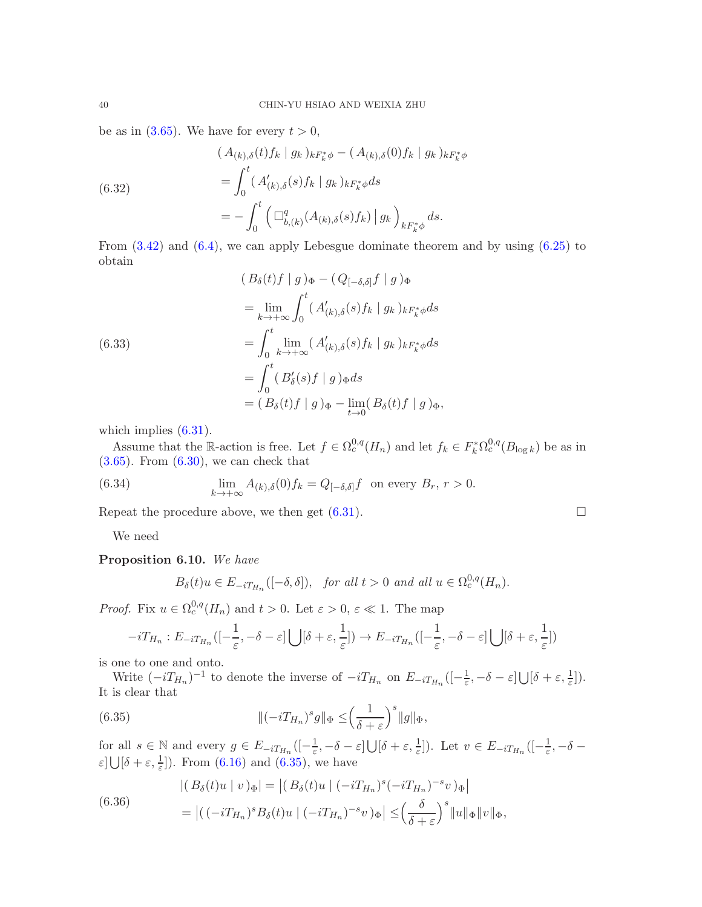be as in  $(3.65)$ . We have for every  $t > 0$ ,

(6.32)  
\n
$$
(A_{(k),\delta}(t) f_k | g_k)_{kF_k^*\phi} - (A_{(k),\delta}(0) f_k | g_k)_{kF_k^*\phi}
$$
\n
$$
= \int_0^t (A'_{(k),\delta}(s) f_k | g_k)_{kF_k^*\phi} ds
$$
\n
$$
= - \int_0^t \left( \Box_{b,(k)}^q (A_{(k),\delta}(s) f_k) | g_k \right)_{kF_k^*\phi} ds.
$$

From [\(3.42\)](#page-20-1) and [\(6.4\)](#page-34-0), we can apply Lebesgue dominate theorem and by using [\(6.25\)](#page-37-6) to obtain

(6.33)  
\n
$$
(B_{\delta}(t)f | g)_{\Phi} - (Q_{[-\delta,\delta]}f | g)_{\Phi}
$$
\n
$$
= \lim_{k \to +\infty} \int_0^t (A'_{(k),\delta}(s)f_k | g_k)_{kF_k^*\phi} ds
$$
\n
$$
= \int_0^t \lim_{k \to +\infty} (A'_{(k),\delta}(s)f_k | g_k)_{kF_k^*\phi} ds
$$
\n
$$
= \int_0^t (B'_{\delta}(s)f | g)_{\Phi} ds
$$
\n
$$
= (B_{\delta}(t)f | g)_{\Phi} - \lim_{t \to 0} (B_{\delta}(t)f | g)_{\Phi},
$$

which implies  $(6.31)$ .

Assume that the R-action is free. Let  $f \in \Omega_c^{0,q}(H_n)$  and let  $f_k \in F_k^* \Omega_c^{0,q}(B_{\log k})$  be as in [\(3.65\)](#page-25-4). From [\(6.30\)](#page-38-2), we can check that

(6.34) 
$$
\lim_{k \to +\infty} A_{(k),\delta}(0) f_k = Q_{[-\delta,\delta]} f \text{ on every } B_r, r > 0.
$$

Repeat the procedure above, we then get  $(6.31)$ .

We need

<span id="page-39-2"></span>Proposition 6.10. We have

$$
B_{\delta}(t)u \in E_{-iT_{H_n}}([-\delta,\delta]), \text{ for all } t > 0 \text{ and all } u \in \Omega_c^{0,q}(H_n).
$$

*Proof.* Fix  $u \in \Omega_c^{0,q}(H_n)$  and  $t > 0$ . Let  $\varepsilon > 0$ ,  $\varepsilon \ll 1$ . The map

<span id="page-39-0"></span>
$$
-iT_{H_n}: E_{-iT_{H_n}}([-\frac{1}{\varepsilon}, -\delta-\varepsilon] \bigcup [\delta+\varepsilon, \frac{1}{\varepsilon}]) \to E_{-iT_{H_n}}([-\frac{1}{\varepsilon}, -\delta-\varepsilon] \bigcup [\delta+\varepsilon, \frac{1}{\varepsilon}])
$$

is one to one and onto.

Write  $(-iT_{H_n})^{-1}$  to denote the inverse of  $-iT_{H_n}$  on  $E_{-iT_{H_n}}([-\frac{1}{\varepsilon}, -\delta-\varepsilon] \bigcup [\delta+\varepsilon, \frac{1}{\varepsilon}]).$ It is clear that

(6.35) 
$$
\|(-iT_{H_n})^s g\|_{\Phi} \leq \left(\frac{1}{\delta + \varepsilon}\right)^s \|g\|_{\Phi},
$$

for all  $s \in \mathbb{N}$  and every  $g \in E_{-iT_{H_n}} \left( \left[ -\frac{1}{\varepsilon} \right] \right)$  $\frac{1}{\varepsilon}, -\delta - \varepsilon$ ]  $\bigcup_{\delta} [\delta + \varepsilon, \frac{1}{\varepsilon}]\big)$ . Let  $v \in E_{-i}T_{H_n}\left([- \frac{1}{\varepsilon}, \frac{1}{\varepsilon}]\right)$  $\frac{1}{\varepsilon}, -\delta$  –  $\varepsilon$ ] $\bigcup_{\delta} {\delta} + \varepsilon, \frac{1}{\varepsilon}$ ]. From [\(6.16\)](#page-36-2) and [\(6.35\)](#page-39-0), we have

<span id="page-39-1"></span>(6.36)  
\n
$$
\left| \left( B_{\delta}(t)u \mid v \right) \Phi \right| = \left| \left( B_{\delta}(t)u \mid (-iT_{H_n})^s (-iT_{H_n})^{-s}v \right) \Phi \right|
$$
\n
$$
= \left| \left( (-iT_{H_n})^s B_{\delta}(t)u \mid (-iT_{H_n})^{-s}v \right) \Phi \right| \leq \left( \frac{\delta}{\delta + \varepsilon} \right)^s \|u\|_{\Phi} \|v\|_{\Phi},
$$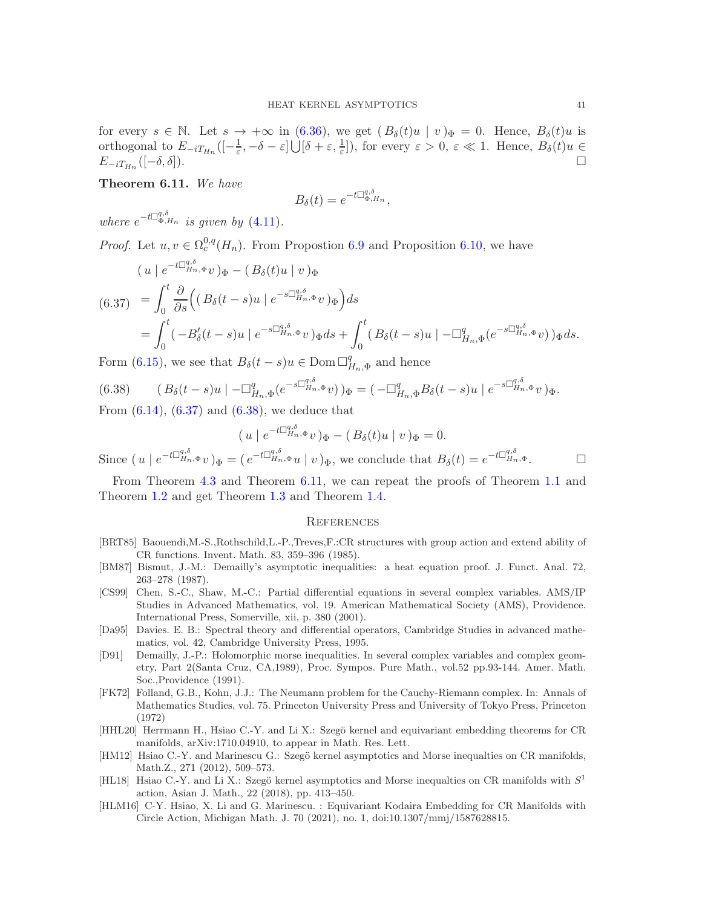for every  $s \in \mathbb{N}$ . Let  $s \to +\infty$  in [\(6.36\)](#page-39-1), we get  $(B_\delta(t)u \mid v)_\Phi = 0$ . Hence,  $B_\delta(t)u$  is orthogonal to  $E_{-iT_{H_n}}([-\frac{1}{\varepsilon}, -\delta-\varepsilon] \bigcup [\delta+\varepsilon, \frac{1}{\varepsilon}]),$  for every  $\varepsilon > 0$ ,  $\varepsilon \ll 1$ . Hence,  $B_\delta(t)u \in$  $E_{-iT_{H_n}}([-\delta,\delta]).$  $([-\delta, \delta]).$ 

<span id="page-40-13"></span>Theorem 6.11. We have

$$
B_{\delta}(t) = e^{-t\Box_{\Phi,H_n}^{q,\delta}},
$$

where  $e^{-t\Box_{\Phi,H_n}^{q,\delta}}$  is given by [\(4.11\)](#page-29-6).

*Proof.* Let  $u, v \in \Omega_c^{0,q}(H_n)$ . From Proposition [6.9](#page-38-3) and Proposition [6.10,](#page-39-2) we have

<span id="page-40-11"></span>
$$
(u \mid e^{-t\Box_{H_n,\Phi}^{q,\delta}}v)_{\Phi} - (B_{\delta}(t)u \mid v)_{\Phi}
$$
  
\n
$$
(6.37) = \int_0^t \frac{\partial}{\partial s} \Big( (B_{\delta}(t-s)u \mid e^{-s\Box_{H_n,\Phi}^{q,\delta}}v)_{\Phi} \Big) ds
$$
  
\n
$$
= \int_0^t (-B'_{\delta}(t-s)u \mid e^{-s\Box_{H_n,\Phi}^{q,\delta}}v)_{\Phi} ds + \int_0^t (B_{\delta}(t-s)u \mid -\Box_{H_n,\Phi}^q(e^{-s\Box_{H_n,\Phi}^{q,\delta}}v))_{\Phi} ds.
$$

Form [\(6.15\)](#page-36-3), we see that  $B_{\delta}(t-s)u \in \text{Dom }\square_{I}^{q}$  $H_{n,\Phi}$  and hence

<span id="page-40-12"></span>
$$
(6.38) \qquad (B_{\delta}(t-s)u\mid -\Box_{H_n,\Phi}^q(e^{-s\Box_{H_n,\Phi}^{q,\delta}}v))_{\Phi} = (-\Box_{H_n,\Phi}^qB_{\delta}(t-s)u\mid e^{-s\Box_{H_n,\Phi}^{q,\delta}}v)_{\Phi}.
$$

From  $(6.14)$ ,  $(6.37)$  and  $(6.38)$ , we deduce that

$$
(u \mid e^{-t\Box_{H_n,\Phi}^{q,\delta}v})_{\Phi} - (B_{\delta}(t)u \mid v)_{\Phi} = 0.
$$

Since  $(u \mid e^{-t \Box_{H_n,\Phi}^{q,\delta} v})_{\Phi} = (e^{-t \Box_{H_n,\Phi}^{q,\delta} u} \mid v)_{\Phi}$ , we conclude that  $B_{\delta}(t) = e^{-t \Box_{H_n,\Phi}^{q,\delta}}$ .

From Theorem [4.3](#page-30-2) and Theorem [6.11,](#page-40-13) we can repeat the proofs of Theorem [1.1](#page-2-1) and Theorem [1.2](#page-3-0) and get Theorem [1.3](#page-4-0) and Theorem [1.4.](#page-5-2)

#### <span id="page-40-0"></span>**REFERENCES**

- <span id="page-40-10"></span>[BRT85] Baouendi,M.-S.,Rothschild,L.-P.,Treves,F.:CR structures with group action and extend ability of CR functions. Invent. Math. 83, 359–396 (1985).
- <span id="page-40-3"></span>[BM87] Bismut, J.-M.: Demailly's asymptotic inequalities: a heat equation proof. J. Funct. Anal. 72, 263–278 (1987).
- <span id="page-40-6"></span>[CS99] Chen, S.-C., Shaw, M.-C.: Partial differential equations in several complex variables. AMS/IP Studies in Advanced Mathematics, vol. 19. American Mathematical Society (AMS), Providence. International Press, Somerville, xii, p. 380 (2001).
- <span id="page-40-9"></span>[Da95] Davies. E. B.: Spectral theory and differential operators, Cambridge Studies in advanced mathematics, vol. 42, Cambridge University Press, 1995.
- <span id="page-40-2"></span>[D91] Demailly, J.-P.: Holomorphic morse inequalities. In several complex variables and complex geometry, Part 2(Santa Cruz, CA,1989), Proc. Sympos. Pure Math., vol.52 pp.93-144. Amer. Math. Soc.,Providence (1991).
- <span id="page-40-4"></span>[FK72] Folland, G.B., Kohn, J.J.: The Neumann problem for the Cauchy-Riemann complex. In: Annals of Mathematics Studies, vol. 75. Princeton University Press and University of Tokyo Press, Princeton (1972)
- <span id="page-40-8"></span>[HHL20] Herrmann H., Hsiao C.-Y. and Li X.: Szegö kernel and equivariant embedding theorems for CR manifolds, arXiv:1710.04910, to appear in Math. Res. Lett.
- <span id="page-40-1"></span>[HM12] Hsiao C.-Y. and Marinescu G.: Szegö kernel asymptotics and Morse inequalties on CR manifolds, Math.Z., 271 (2012), 509–573.
- <span id="page-40-5"></span>[HL18] Hsiao C.-Y. and Li X.: Szegö kernel asymptotics and Morse inequalties on CR manifolds with  $S<sup>1</sup>$ action, Asian J. Math., 22 (2018), pp. 413–450.
- <span id="page-40-7"></span>[HLM16] C-Y. Hsiao, X. Li and G. Marinescu. : Equivariant Kodaira Embedding for CR Manifolds with Circle Action, Michigan Math. J. 70 (2021), no. 1, doi:10.1307/mmj/1587628815.